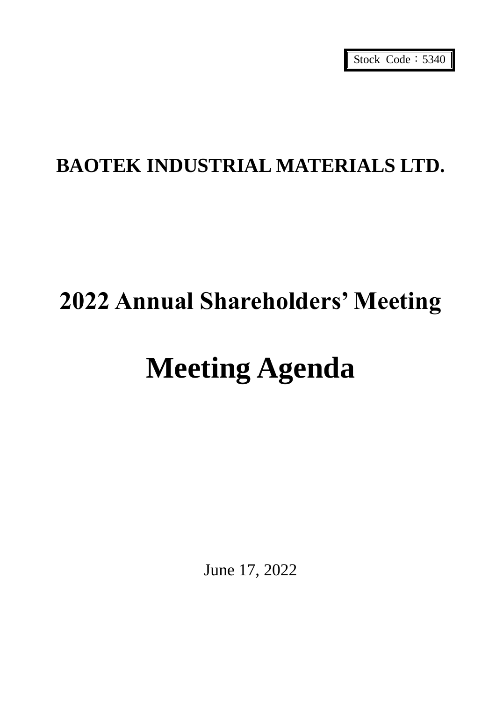Stock Code: 5340

## **BAOTEK INDUSTRIAL MATERIALS LTD.**

## **2022 Annual Shareholders' Meeting**

# **Meeting Agenda**

June 17, 2022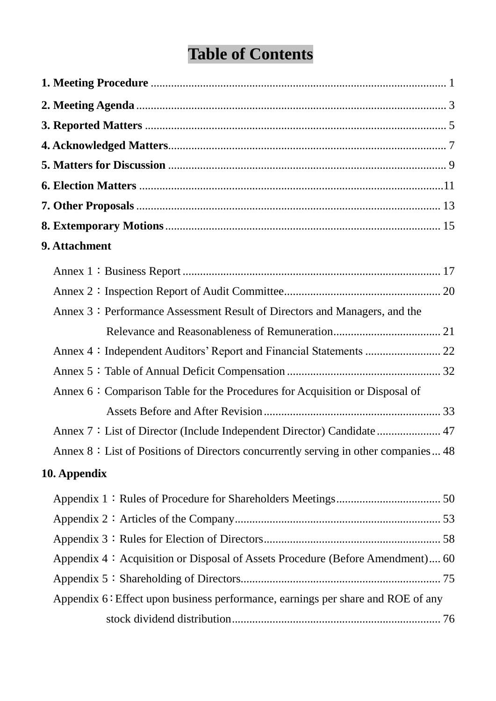### **Table of Contents**

| 9. Attachment                                                                      |  |
|------------------------------------------------------------------------------------|--|
|                                                                                    |  |
|                                                                                    |  |
| Annex 3: Performance Assessment Result of Directors and Managers, and the          |  |
|                                                                                    |  |
|                                                                                    |  |
|                                                                                    |  |
| Annex 6: Comparison Table for the Procedures for Acquisition or Disposal of        |  |
|                                                                                    |  |
| Annex 7: List of Director (Include Independent Director) Candidate  47             |  |
| Annex 8: List of Positions of Directors concurrently serving in other companies 48 |  |
| 10. Appendix                                                                       |  |
|                                                                                    |  |
|                                                                                    |  |
|                                                                                    |  |
| Appendix 4: Acquisition or Disposal of Assets Procedure (Before Amendment) 60      |  |
|                                                                                    |  |
| Appendix 6: Effect upon business performance, earnings per share and ROE of any    |  |
|                                                                                    |  |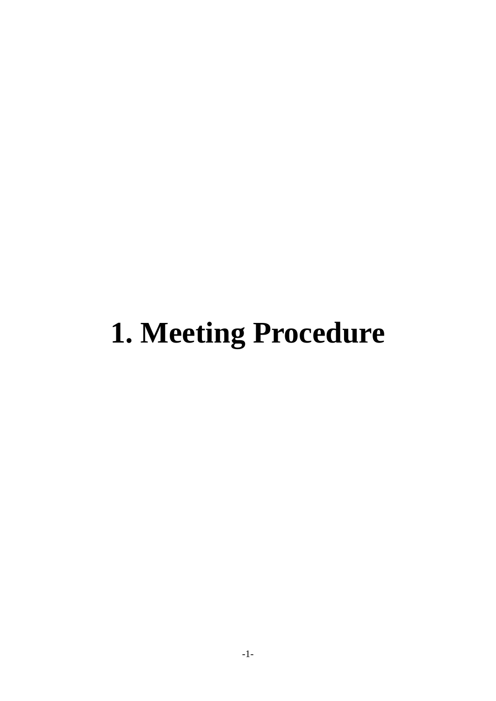# **1. Meeting Procedure**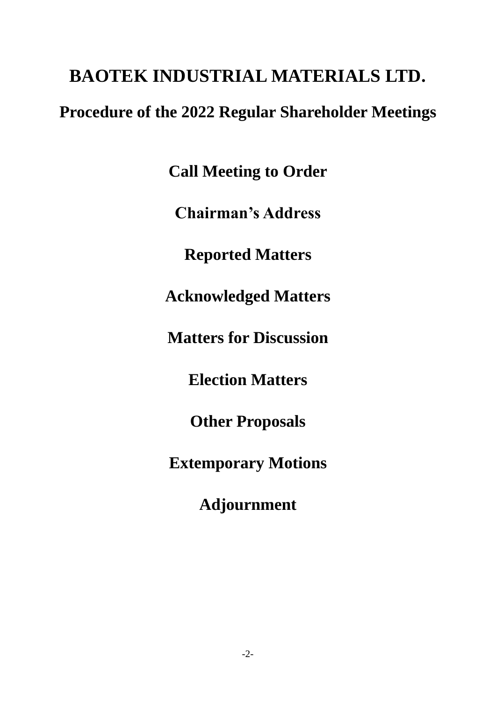### **BAOTEK INDUSTRIAL MATERIALS LTD.**

### **Procedure of the 2022 Regular Shareholder Meetings**

**Call Meeting to Order**

**Chairman's Address**

**Reported Matters**

**Acknowledged Matters**

**Matters for Discussion**

**Election Matters**

**Other Proposals**

**Extemporary Motions**

**Adjournment**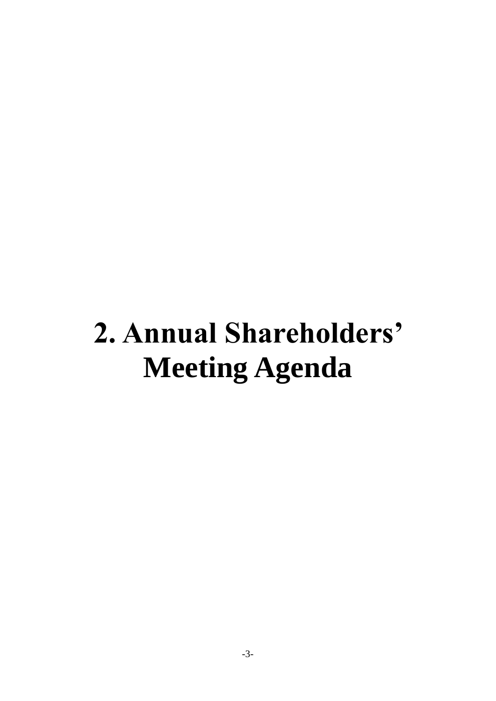# **2. Annual Shareholders' Meeting Agenda**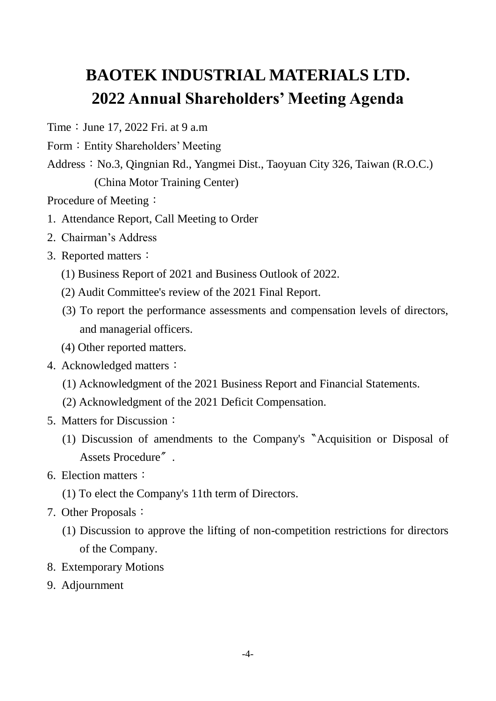## **BAOTEK INDUSTRIAL MATERIALS LTD. 2022 Annual Shareholders' Meeting Agenda**

Time: June 17, 2022 Fri. at 9 a.m.

Form: Entity Shareholders' Meeting

Address: No.3, Qingnian Rd., Yangmei Dist., Taoyuan City 326, Taiwan (R.O.C.) (China Motor Training Center)

Procedure of Meeting:

- 1. Attendance Report, Call Meeting to Order
- 2. Chairman's Address
- 3. Reported matters:
	- (1) Business Report of 2021 and Business Outlook of 2022.
	- (2) Audit Committee's review of the 2021 Final Report.
	- (3) To report the performance assessments and compensation levels of directors, and managerial officers.
	- (4) Other reported matters.

#### 4. Acknowledged matters:

- (1) Acknowledgment of the 2021 Business Report and Financial Statements.
- (2) Acknowledgment of the 2021 Deficit Compensation.
- 5. Matters for Discussion:
	- (1) Discussion of amendments to the Company's〝Acquisition or Disposal of Assets Procedure〞.
- 6. Election matters:
	- (1) To elect the Company's 11th term of Directors.
- 7. Other Proposals:
	- (1) Discussion to approve the lifting of non-competition restrictions for directors of the Company.
- 8. Extemporary Motions
- 9. Adjournment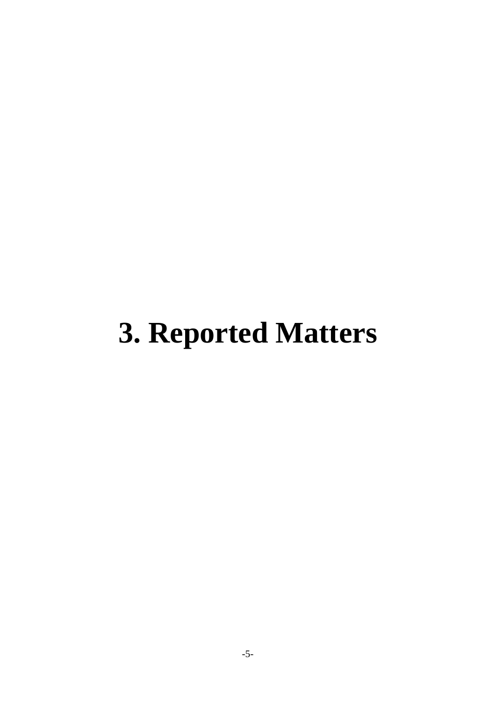# **3. Reported Matters**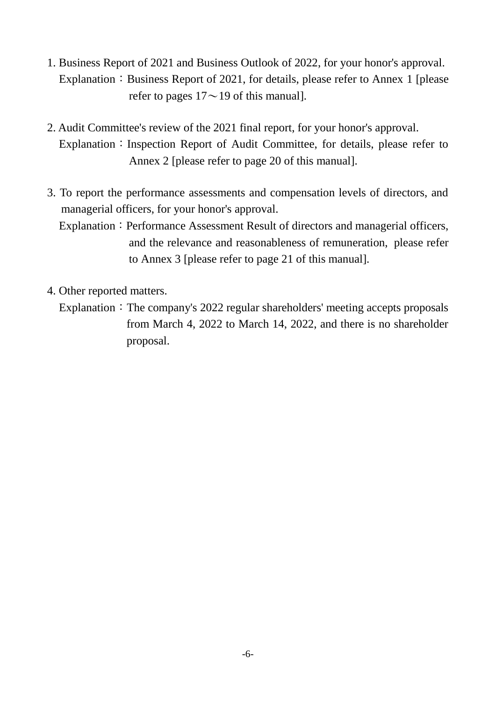- 1. Business Report of 2021 and Business Outlook of 2022, for your honor's approval. Explanation: Business Report of 2021, for details, please refer to Annex 1 [please refer to pages  $17 \sim 19$  of this manual].
- 2. Audit Committee's review of the 2021 final report, for your honor's approval. Explanation: Inspection Report of Audit Committee, for details, please refer to Annex 2 [please refer to page 20 of this manual].
- 3. To report the performance assessments and compensation levels of directors, and managerial officers, for your honor's approval.

Explanation: Performance Assessment Result of directors and managerial officers, and the relevance and reasonableness of remuneration, please refer to Annex 3 [please refer to page 21 of this manual].

- 4. Other reported matters.
	- Explanation: The company's  $2022$  regular shareholders' meeting accepts proposals from March 4, 2022 to March 14, 2022, and there is no shareholder proposal.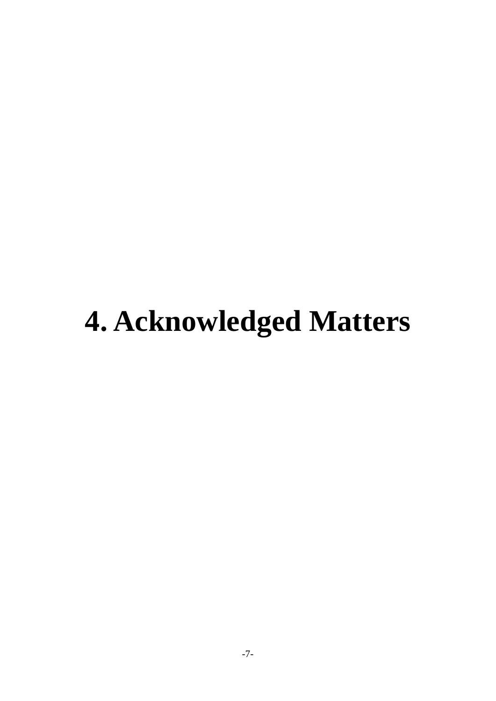## **4. Acknowledged Matters**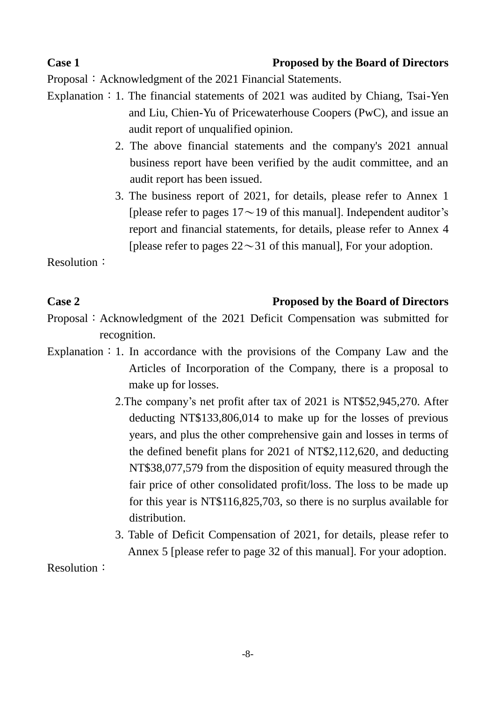### **Case 1 Proposed by the Board of Directors**

Proposal: Acknowledgment of the 2021 Financial Statements.

- Explanation: 1. The financial statements of  $2021$  was audited by Chiang, Tsai-Yen and Liu, Chien-Yu of Pricewaterhouse Coopers (PwC), and issue an audit report of unqualified opinion.
	- 2. The above financial statements and the company's 2021 annual business report have been verified by the audit committee, and an audit report has been issued.
	- 3. The business report of 2021, for details, please refer to Annex 1 [please refer to pages  $17 \sim 19$  of this manual]. Independent auditor's report and financial statements, for details, please refer to Annex 4 [please refer to pages  $22 \sim 31$  of this manual], For your adoption.

Resolution:

### **Case 2 Proposed by the Board of Directors**

- Proposal: Acknowledgment of the 2021 Deficit Compensation was submitted for recognition.
- Explanation: 1. In accordance with the provisions of the Company Law and the Articles of Incorporation of the Company, there is a proposal to make up for losses.
	- 2.The company's net profit after tax of 2021 is NT\$52,945,270. After deducting NT\$133,806,014 to make up for the losses of previous years, and plus the other comprehensive gain and losses in terms of the defined benefit plans for 2021 of NT\$2,112,620, and deducting NT\$38,077,579 from the disposition of equity measured through the fair price of other consolidated profit/loss. The loss to be made up for this year is NT\$116,825,703, so there is no surplus available for distribution.
	- 3. Table of Deficit Compensation of 2021, for details, please refer to Annex 5 [please refer to page 32 of this manual]. For your adoption.

Resolution: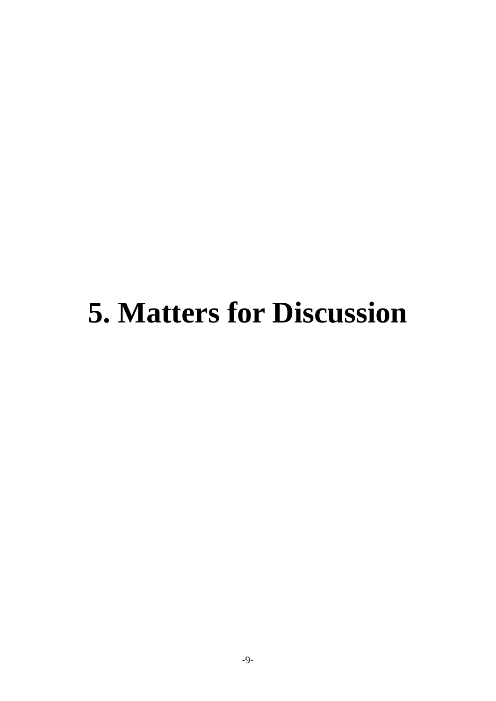# **5. Matters for Discussion**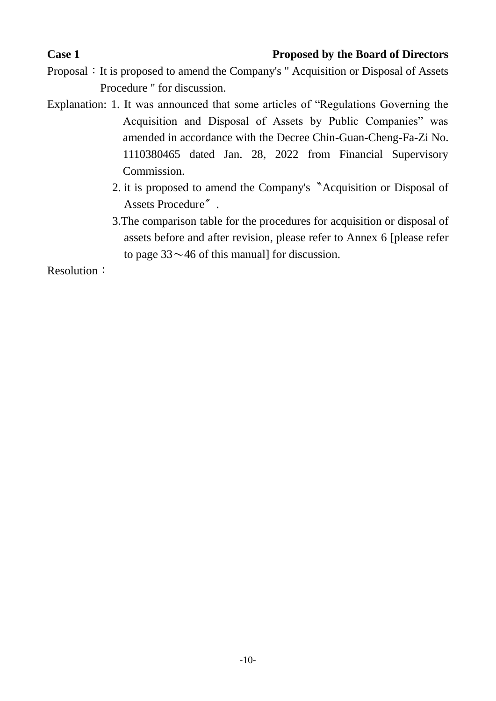### **Case 1 Proposed by the Board of Directors**

- Proposal: It is proposed to amend the Company's " Acquisition or Disposal of Assets Procedure " for discussion.
- Explanation: 1. It was announced that some articles of "Regulations Governing the Acquisition and Disposal of Assets by Public Companies" was amended in accordance with the Decree Chin-Guan-Cheng-Fa-Zi No. 1110380465 dated Jan. 28, 2022 from Financial Supervisory Commission.
	- 2. it is proposed to amend the Company's〝Acquisition or Disposal of Assets Procedure".
	- 3.The comparison table for the procedures for acquisition or disposal of assets before and after revision, please refer to Annex 6 [please refer to page  $33 \sim 46$  of this manual] for discussion.

Resolution: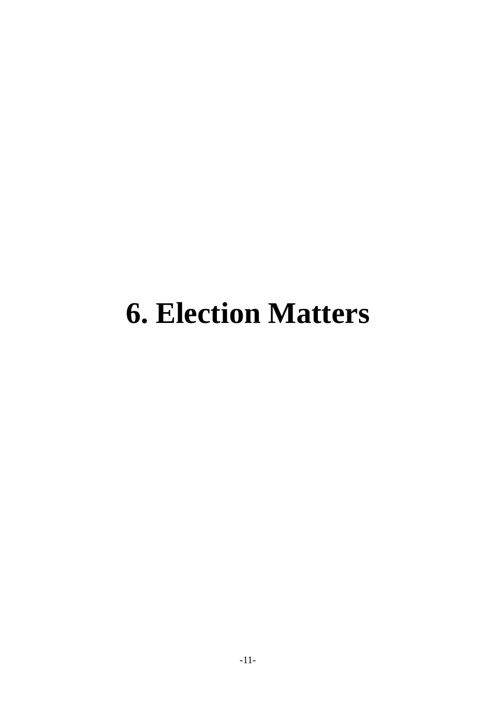# **6. Election Matters**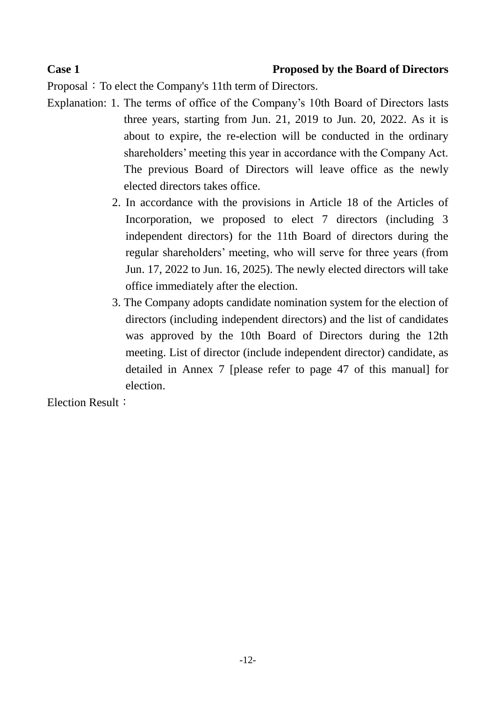#### **Case 1 Proposed by the Board of Directors**

Proposal: To elect the Company's 11th term of Directors.

- Explanation: 1. The terms of office of the Company's 10th Board of Directors lasts three years, starting from Jun. 21, 2019 to Jun. 20, 2022. As it is about to expire, the re-election will be conducted in the ordinary shareholders' meeting this year in accordance with the Company Act. The previous Board of Directors will leave office as the newly elected directors takes office.
	- 2. In accordance with the provisions in Article 18 of the Articles of Incorporation, we proposed to elect 7 directors (including 3 independent directors) for the 11th Board of directors during the regular shareholders' meeting, who will serve for three years (from Jun. 17, 2022 to Jun. 16, 2025). The newly elected directors will take office immediately after the election.
	- 3. The Company adopts candidate nomination system for the election of directors (including independent directors) and the list of candidates was approved by the 10th Board of Directors during the 12th meeting. List of director (include independent director) candidate, as detailed in Annex 7 [please refer to page 47 of this manual] for election.

Election Result: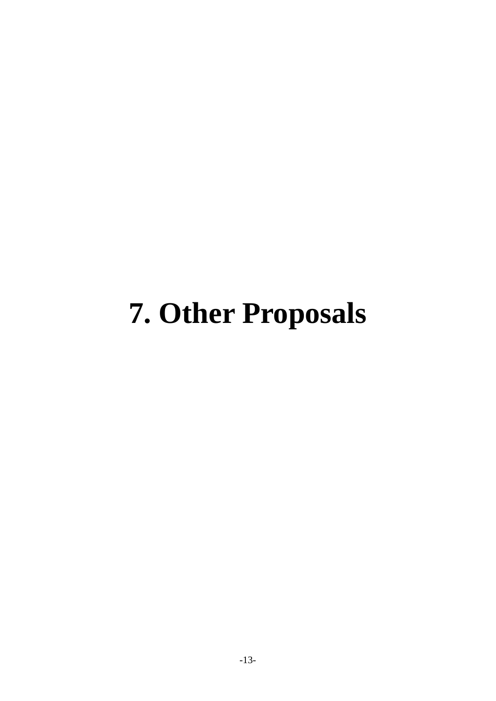# **7. Other Proposals**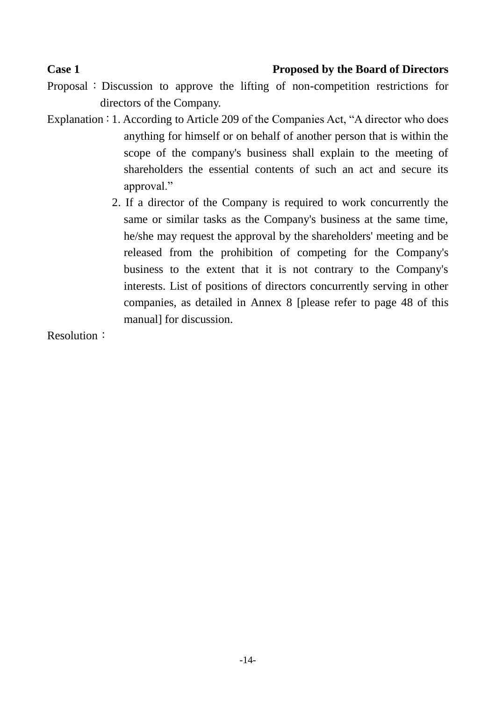#### **Case 1 Proposed by the Board of Directors**

- Proposal: Discussion to approve the lifting of non-competition restrictions for directors of the Company.
- Explanation: 1. According to Article 209 of the Companies Act, "A director who does anything for himself or on behalf of another person that is within the scope of the company's business shall explain to the meeting of shareholders the essential contents of such an act and secure its approval."
	- 2. If a director of the Company is required to work concurrently the same or similar tasks as the Company's business at the same time, he/she may request the approval by the shareholders' meeting and be released from the prohibition of competing for the Company's business to the extent that it is not contrary to the Company's interests. List of positions of directors concurrently serving in other companies, as detailed in Annex 8 [please refer to page 48 of this manual] for discussion.

Resolution: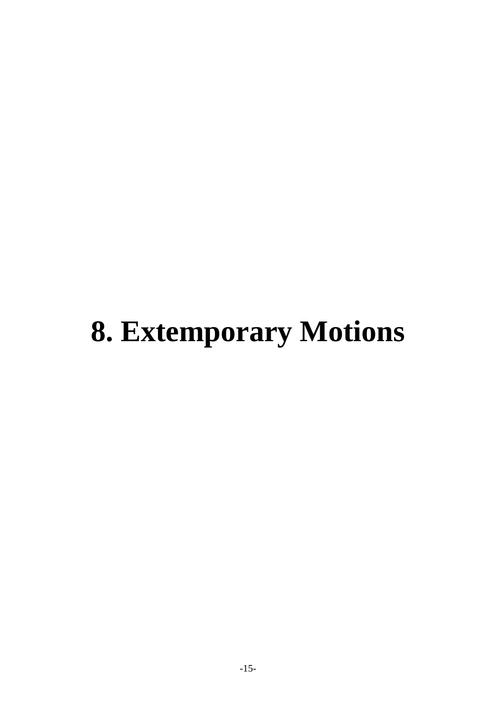# **8. Extemporary Motions**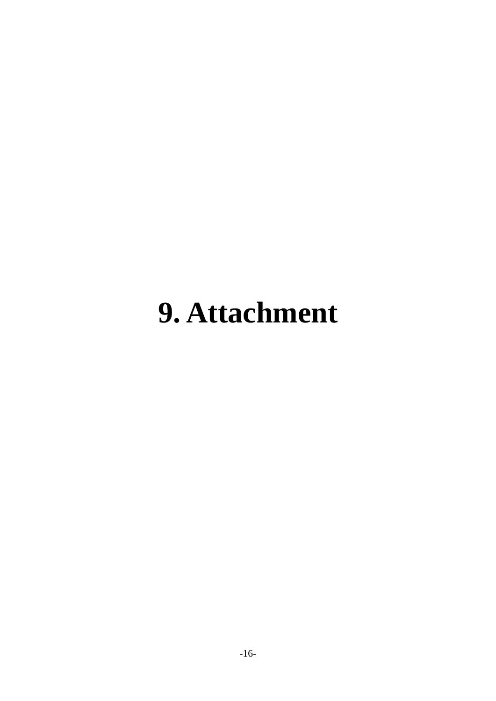# **9. Attachment**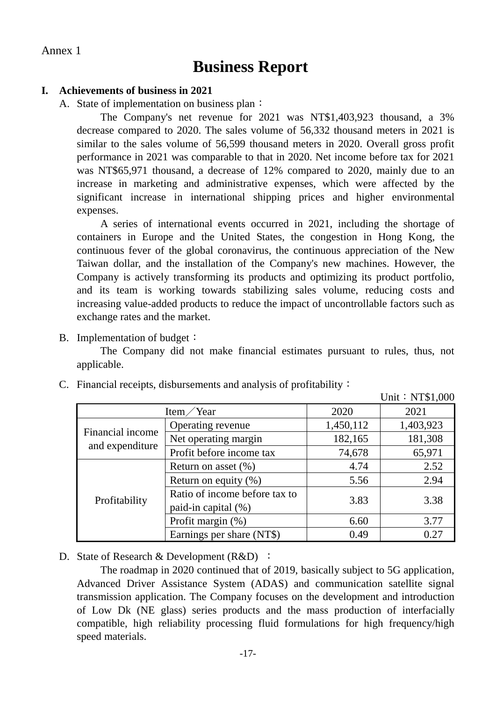### **Business Report**

#### **I. Achievements of business in 2021**

A. State of implementation on business plan:

The Company's net revenue for 2021 was NT\$1,403,923 thousand, a 3% decrease compared to 2020. The sales volume of 56,332 thousand meters in 2021 is similar to the sales volume of 56,599 thousand meters in 2020. Overall gross profit performance in 2021 was comparable to that in 2020. Net income before tax for 2021 was NT\$65,971 thousand, a decrease of 12% compared to 2020, mainly due to an increase in marketing and administrative expenses, which were affected by the significant increase in international shipping prices and higher environmental expenses.

A series of international events occurred in 2021, including the shortage of containers in Europe and the United States, the congestion in Hong Kong, the continuous fever of the global coronavirus, the continuous appreciation of the New Taiwan dollar, and the installation of the Company's new machines. However, the Company is actively transforming its products and optimizing its product portfolio, and its team is working towards stabilizing sales volume, reducing costs and increasing value-added products to reduce the impact of uncontrollable factors such as exchange rates and the market.

B. Implementation of budget:

The Company did not make financial estimates pursuant to rules, thus, not applicable.

|                  |                                                      |           | Unit: NT\$1,000 |
|------------------|------------------------------------------------------|-----------|-----------------|
|                  | Item / Year                                          | 2020      | 2021            |
| Financial income | Operating revenue                                    | 1,450,112 | 1,403,923       |
|                  | Net operating margin                                 | 182,165   | 181,308         |
| and expenditure  | Profit before income tax                             | 74,678    | 65,971          |
|                  | Return on asset $(\% )$                              | 4.74      | 2.52            |
|                  | Return on equity $(\%)$                              | 5.56      | 2.94            |
| Profitability    | Ratio of income before tax to<br>paid-in capital (%) | 3.83      | 3.38            |
|                  | Profit margin (%)                                    | 6.60      | 3.77            |
|                  | Earnings per share (NT\$)                            | 0.49      | 0.27            |

C. Financial receipts, disbursements and analysis of profitability:

D. State of Research & Development (R&D) :

The roadmap in 2020 continued that of 2019, basically subject to 5G application, Advanced Driver Assistance System (ADAS) and communication satellite signal transmission application. The Company focuses on the development and introduction of Low Dk (NE glass) series products and the mass production of interfacially compatible, high reliability processing fluid formulations for high frequency/high speed materials.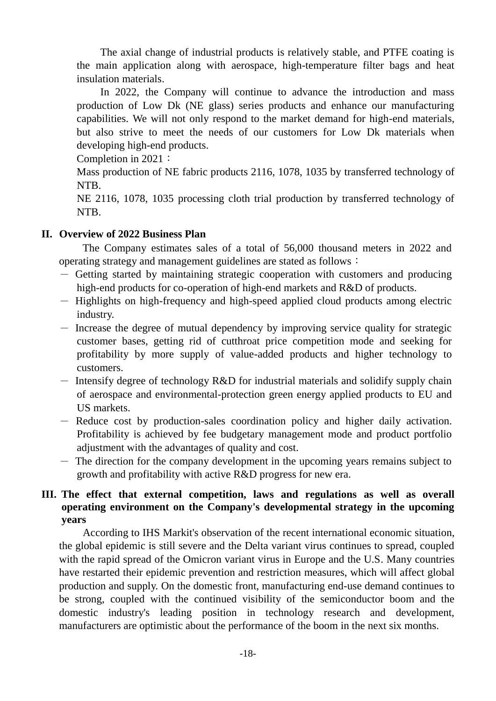The axial change of industrial products is relatively stable, and PTFE coating is the main application along with aerospace, high-temperature filter bags and heat insulation materials.

In 2022, the Company will continue to advance the introduction and mass production of Low Dk (NE glass) series products and enhance our manufacturing capabilities. We will not only respond to the market demand for high-end materials, but also strive to meet the needs of our customers for Low Dk materials when developing high-end products.

Completion in 2021:

Mass production of NE fabric products 2116, 1078, 1035 by transferred technology of NTB.

NE 2116, 1078, 1035 processing cloth trial production by transferred technology of NTB.

#### **II. Overview of 2022 Business Plan**

The Company estimates sales of a total of 56,000 thousand meters in 2022 and operating strategy and management guidelines are stated as follows:

- Getting started by maintaining strategic cooperation with customers and producing high-end products for co-operation of high-end markets and R&D of products.
- Highlights on high-frequency and high-speed applied cloud products among electric industry.
- Increase the degree of mutual dependency by improving service quality for strategic customer bases, getting rid of cutthroat price competition mode and seeking for profitability by more supply of value-added products and higher technology to customers.
- $-$  Intensify degree of technology R&D for industrial materials and solidify supply chain of aerospace and environmental-protection green energy applied products to EU and US markets.
- Reduce cost by production-sales coordination policy and higher daily activation. Profitability is achieved by fee budgetary management mode and product portfolio adjustment with the advantages of quality and cost.
- The direction for the company development in the upcoming years remains subject to growth and profitability with active R&D progress for new era.

#### **III. The effect that external competition, laws and regulations as well as overall operating environment on the Company's developmental strategy in the upcoming years**

According to IHS Markit's observation of the recent international economic situation, the global epidemic is still severe and the Delta variant virus continues to spread, coupled with the rapid spread of the Omicron variant virus in Europe and the U.S. Many countries have restarted their epidemic prevention and restriction measures, which will affect global production and supply. On the domestic front, manufacturing end-use demand continues to be strong, coupled with the continued visibility of the semiconductor boom and the domestic industry's leading position in technology research and development, manufacturers are optimistic about the performance of the boom in the next six months.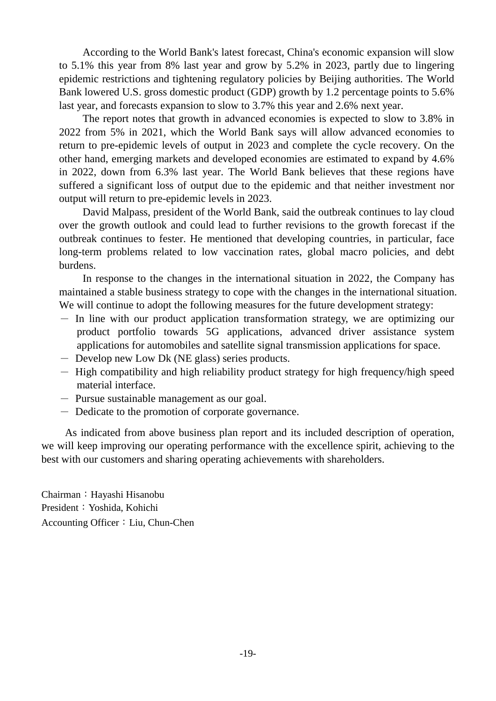According to the World Bank's latest forecast, China's economic expansion will slow to 5.1% this year from 8% last year and grow by 5.2% in 2023, partly due to lingering epidemic restrictions and tightening regulatory policies by Beijing authorities. The World Bank lowered U.S. gross domestic product (GDP) growth by 1.2 percentage points to 5.6% last year, and forecasts expansion to slow to 3.7% this year and 2.6% next year.

The report notes that growth in advanced economies is expected to slow to 3.8% in 2022 from 5% in 2021, which the World Bank says will allow advanced economies to return to pre-epidemic levels of output in 2023 and complete the cycle recovery. On the other hand, emerging markets and developed economies are estimated to expand by 4.6% in 2022, down from 6.3% last year. The World Bank believes that these regions have suffered a significant loss of output due to the epidemic and that neither investment nor output will return to pre-epidemic levels in 2023.

David Malpass, president of the World Bank, said the outbreak continues to lay cloud over the growth outlook and could lead to further revisions to the growth forecast if the outbreak continues to fester. He mentioned that developing countries, in particular, face long-term problems related to low vaccination rates, global macro policies, and debt burdens.

In response to the changes in the international situation in 2022, the Company has maintained a stable business strategy to cope with the changes in the international situation. We will continue to adopt the following measures for the future development strategy:

- In line with our product application transformation strategy, we are optimizing our product portfolio towards 5G applications, advanced driver assistance system applications for automobiles and satellite signal transmission applications for space.
- Develop new Low Dk (NE glass) series products.
- High compatibility and high reliability product strategy for high frequency/high speed material interface.
- Pursue sustainable management as our goal.
- Dedicate to the promotion of corporate governance.

As indicated from above business plan report and its included description of operation, we will keep improving our operating performance with the excellence spirit, achieving to the best with our customers and sharing operating achievements with shareholders.

Chairman: Hayashi Hisanobu President: Yoshida, Kohichi Accounting Officer: Liu, Chun-Chen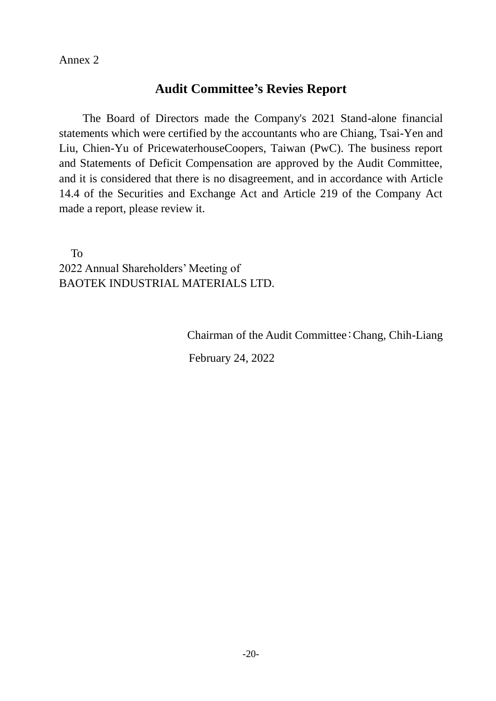### **Audit Committee's Revies Report**

The Board of Directors made the Company's 2021 Stand-alone financial statements which were certified by the accountants who are Chiang, Tsai-Yen and Liu, Chien-Yu of PricewaterhouseCoopers, Taiwan (PwC). The business report and Statements of Deficit Compensation are approved by the Audit Committee, and it is considered that there is no disagreement, and in accordance with Article 14.4 of the Securities and Exchange Act and Article 219 of the Company Act made a report, please review it.

 To 2022 Annual Shareholders' Meeting of BAOTEK INDUSTRIAL MATERIALS LTD.

> Chairman of the Audit Committee:Chang, Chih-Liang February 24, 2022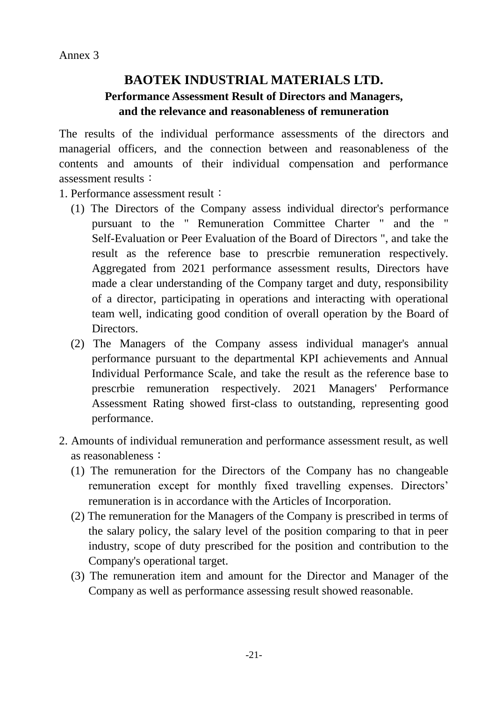### **BAOTEK INDUSTRIAL MATERIALS LTD. Performance Assessment Result of Directors and Managers, and the relevance and reasonableness of remuneration**

The results of the individual performance assessments of the directors and managerial officers, and the connection between and reasonableness of the contents and amounts of their individual compensation and performance assessment results:

- 1. Performance assessment result:
	- (1) The Directors of the Company assess individual director's performance pursuant to the " Remuneration Committee Charter " and the " Self-Evaluation or Peer Evaluation of the Board of Directors ", and take the result as the reference base to prescrbie remuneration respectively. Aggregated from 2021 performance assessment results, Directors have made a clear understanding of the Company target and duty, responsibility of a director, participating in operations and interacting with operational team well, indicating good condition of overall operation by the Board of Directors.
	- (2) The Managers of the Company assess individual manager's annual performance pursuant to the departmental KPI achievements and Annual Individual Performance Scale, and take the result as the reference base to prescrbie remuneration respectively. 2021 Managers' Performance Assessment Rating showed first-class to outstanding, representing good performance.
- 2. Amounts of individual remuneration and performance assessment result, as well as reasonableness:
	- (1) The remuneration for the Directors of the Company has no changeable remuneration except for monthly fixed travelling expenses. Directors' remuneration is in accordance with the Articles of Incorporation.
	- (2) The remuneration for the Managers of the Company is prescribed in terms of the salary policy, the salary level of the position comparing to that in peer industry, scope of duty prescribed for the position and contribution to the Company's operational target.
	- (3) The remuneration item and amount for the Director and Manager of the Company as well as performance assessing result showed reasonable.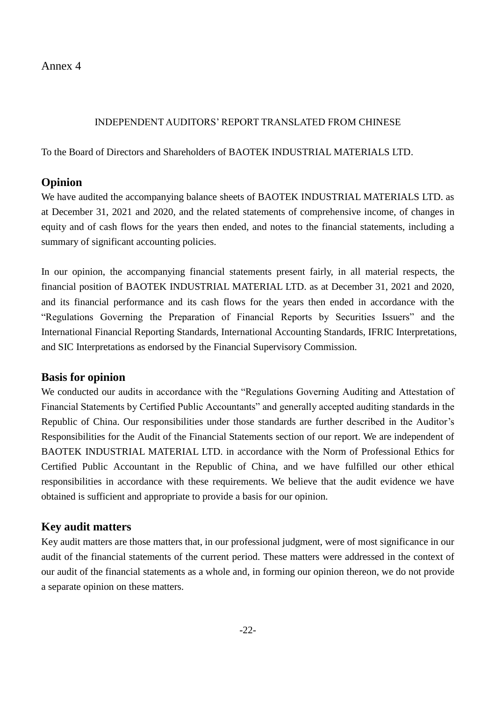#### INDEPENDENT AUDITORS' REPORT TRANSLATED FROM CHINESE

To the Board of Directors and Shareholders of BAOTEK INDUSTRIAL MATERIALS LTD.

#### **Opinion**

We have audited the accompanying balance sheets of BAOTEK INDUSTRIAL MATERIALS LTD. as at December 31, 2021 and 2020, and the related statements of comprehensive income, of changes in equity and of cash flows for the years then ended, and notes to the financial statements, including a summary of significant accounting policies.

In our opinion, the accompanying financial statements present fairly, in all material respects, the financial position of BAOTEK INDUSTRIAL MATERIAL LTD. as at December 31, 2021 and 2020, and its financial performance and its cash flows for the years then ended in accordance with the "Regulations Governing the Preparation of Financial Reports by Securities Issuers" and the International Financial Reporting Standards, International Accounting Standards, IFRIC Interpretations, and SIC Interpretations as endorsed by the Financial Supervisory Commission.

#### **Basis for opinion**

We conducted our audits in accordance with the "Regulations Governing Auditing and Attestation of Financial Statements by Certified Public Accountants" and generally accepted auditing standards in the Republic of China. Our responsibilities under those standards are further described in the Auditor's Responsibilities for the Audit of the Financial Statements section of our report. We are independent of BAOTEK INDUSTRIAL MATERIAL LTD. in accordance with the Norm of Professional Ethics for Certified Public Accountant in the Republic of China, and we have fulfilled our other ethical responsibilities in accordance with these requirements. We believe that the audit evidence we have obtained is sufficient and appropriate to provide a basis for our opinion.

#### **Key audit matters**

Key audit matters are those matters that, in our professional judgment, were of most significance in our audit of the financial statements of the current period. These matters were addressed in the context of our audit of the financial statements as a whole and, in forming our opinion thereon, we do not provide a separate opinion on these matters.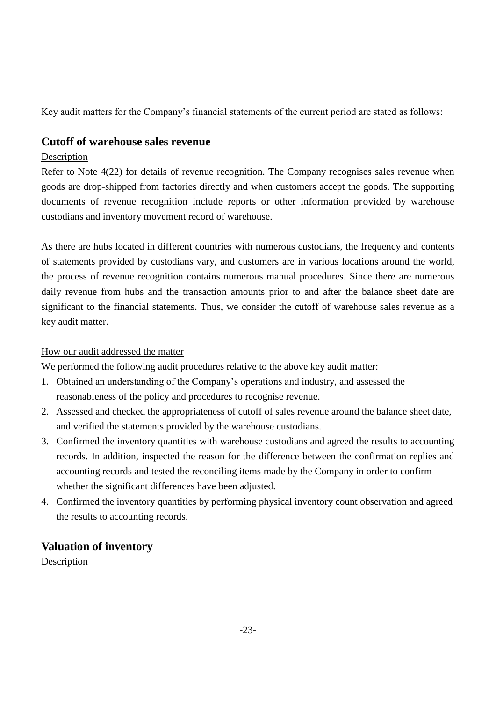Key audit matters for the Company's financial statements of the current period are stated as follows:

#### **Cutoff of warehouse sales revenue**

#### **Description**

Refer to Note 4(22) for details of revenue recognition. The Company recognises sales revenue when goods are drop-shipped from factories directly and when customers accept the goods. The supporting documents of revenue recognition include reports or other information provided by warehouse custodians and inventory movement record of warehouse.

As there are hubs located in different countries with numerous custodians, the frequency and contents of statements provided by custodians vary, and customers are in various locations around the world, the process of revenue recognition contains numerous manual procedures. Since there are numerous daily revenue from hubs and the transaction amounts prior to and after the balance sheet date are significant to the financial statements. Thus, we consider the cutoff of warehouse sales revenue as a key audit matter.

#### How our audit addressed the matter

We performed the following audit procedures relative to the above key audit matter:

- 1. Obtained an understanding of the Company's operations and industry, and assessed the reasonableness of the policy and procedures to recognise revenue.
- 2. Assessed and checked the appropriateness of cutoff of sales revenue around the balance sheet date, and verified the statements provided by the warehouse custodians.
- 3. Confirmed the inventory quantities with warehouse custodians and agreed the results to accounting records. In addition, inspected the reason for the difference between the confirmation replies and accounting records and tested the reconciling items made by the Company in order to confirm whether the significant differences have been adjusted.
- 4. Confirmed the inventory quantities by performing physical inventory count observation and agreed the results to accounting records.

### **Valuation of inventory**

Description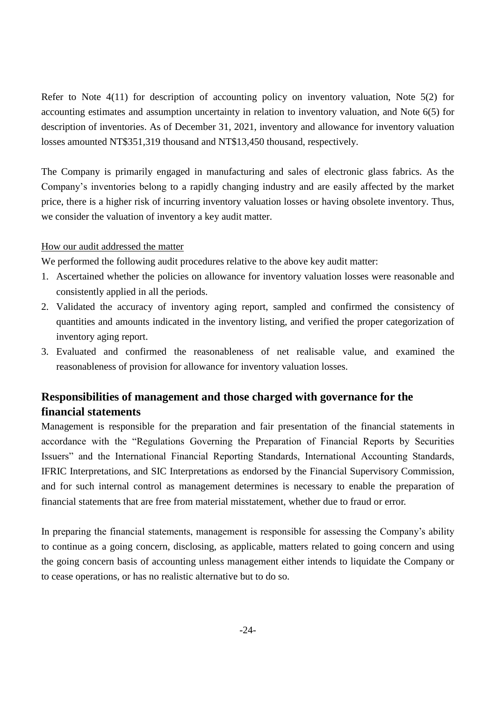Refer to Note 4(11) for description of accounting policy on inventory valuation, Note 5(2) for accounting estimates and assumption uncertainty in relation to inventory valuation, and Note 6(5) for description of inventories. As of December 31, 2021, inventory and allowance for inventory valuation losses amounted NT\$351,319 thousand and NT\$13,450 thousand, respectively.

The Company is primarily engaged in manufacturing and sales of electronic glass fabrics. As the Company's inventories belong to a rapidly changing industry and are easily affected by the market price, there is a higher risk of incurring inventory valuation losses or having obsolete inventory. Thus, we consider the valuation of inventory a key audit matter.

#### How our audit addressed the matter

We performed the following audit procedures relative to the above key audit matter:

- 1. Ascertained whether the policies on allowance for inventory valuation losses were reasonable and consistently applied in all the periods.
- 2. Validated the accuracy of inventory aging report, sampled and confirmed the consistency of quantities and amounts indicated in the inventory listing, and verified the proper categorization of inventory aging report.
- 3. Evaluated and confirmed the reasonableness of net realisable value, and examined the reasonableness of provision for allowance for inventory valuation losses.

#### **Responsibilities of management and those charged with governance for the financial statements**

Management is responsible for the preparation and fair presentation of the financial statements in accordance with the "Regulations Governing the Preparation of Financial Reports by Securities Issuers" and the International Financial Reporting Standards, International Accounting Standards, IFRIC Interpretations, and SIC Interpretations as endorsed by the Financial Supervisory Commission, and for such internal control as management determines is necessary to enable the preparation of financial statements that are free from material misstatement, whether due to fraud or error.

In preparing the financial statements, management is responsible for assessing the Company's ability to continue as a going concern, disclosing, as applicable, matters related to going concern and using the going concern basis of accounting unless management either intends to liquidate the Company or to cease operations, or has no realistic alternative but to do so.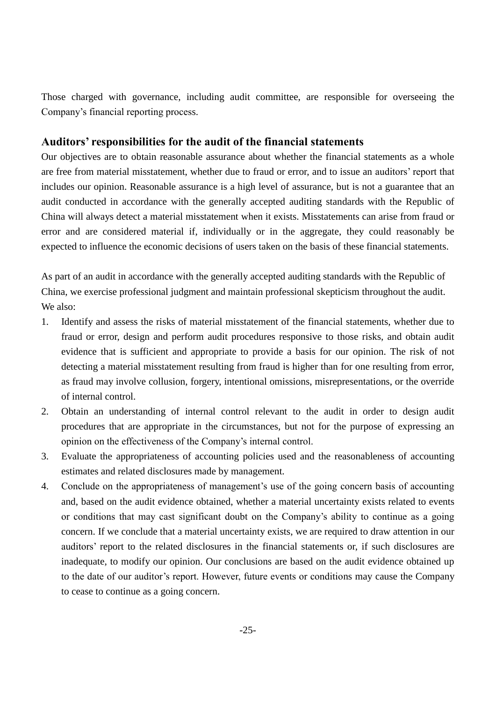Those charged with governance, including audit committee, are responsible for overseeing the Company's financial reporting process.

#### **Auditors' responsibilities for the audit of the financial statements**

Our objectives are to obtain reasonable assurance about whether the financial statements as a whole are free from material misstatement, whether due to fraud or error, and to issue an auditors' report that includes our opinion. Reasonable assurance is a high level of assurance, but is not a guarantee that an audit conducted in accordance with the generally accepted auditing standards with the Republic of China will always detect a material misstatement when it exists. Misstatements can arise from fraud or error and are considered material if, individually or in the aggregate, they could reasonably be expected to influence the economic decisions of users taken on the basis of these financial statements.

As part of an audit in accordance with the generally accepted auditing standards with the Republic of China, we exercise professional judgment and maintain professional skepticism throughout the audit. We also:

- 1. Identify and assess the risks of material misstatement of the financial statements, whether due to fraud or error, design and perform audit procedures responsive to those risks, and obtain audit evidence that is sufficient and appropriate to provide a basis for our opinion. The risk of not detecting a material misstatement resulting from fraud is higher than for one resulting from error, as fraud may involve collusion, forgery, intentional omissions, misrepresentations, or the override of internal control.
- 2. Obtain an understanding of internal control relevant to the audit in order to design audit procedures that are appropriate in the circumstances, but not for the purpose of expressing an opinion on the effectiveness of the Company's internal control.
- 3. Evaluate the appropriateness of accounting policies used and the reasonableness of accounting estimates and related disclosures made by management.
- 4. Conclude on the appropriateness of management's use of the going concern basis of accounting and, based on the audit evidence obtained, whether a material uncertainty exists related to events or conditions that may cast significant doubt on the Company's ability to continue as a going concern. If we conclude that a material uncertainty exists, we are required to draw attention in our auditors' report to the related disclosures in the financial statements or, if such disclosures are inadequate, to modify our opinion. Our conclusions are based on the audit evidence obtained up to the date of our auditor's report. However, future events or conditions may cause the Company to cease to continue as a going concern.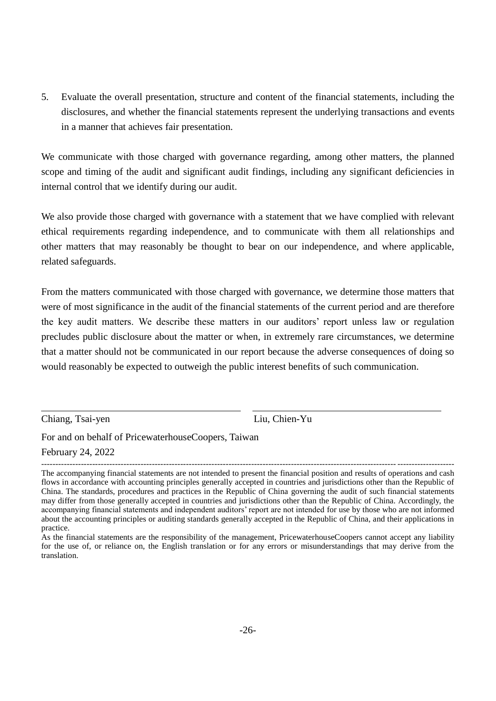5. Evaluate the overall presentation, structure and content of the financial statements, including the disclosures, and whether the financial statements represent the underlying transactions and events in a manner that achieves fair presentation.

We communicate with those charged with governance regarding, among other matters, the planned scope and timing of the audit and significant audit findings, including any significant deficiencies in internal control that we identify during our audit.

We also provide those charged with governance with a statement that we have complied with relevant ethical requirements regarding independence, and to communicate with them all relationships and other matters that may reasonably be thought to bear on our independence, and where applicable, related safeguards.

From the matters communicated with those charged with governance, we determine those matters that were of most significance in the audit of the financial statements of the current period and are therefore the key audit matters. We describe these matters in our auditors' report unless law or regulation precludes public disclosure about the matter or when, in extremely rare circumstances, we determine that a matter should not be communicated in our report because the adverse consequences of doing so would reasonably be expected to outweigh the public interest benefits of such communication.

Chiang, Tsai-yen Liu, Chien-Yu

For and on behalf of PricewaterhouseCoopers, Taiwan

February 24, 2022

<sup>-----------------------------------------------------------------------------------------------------------------------------</sup> -------------------- The accompanying financial statements are not intended to present the financial position and results of operations and cash flows in accordance with accounting principles generally accepted in countries and jurisdictions other than the Republic of China. The standards, procedures and practices in the Republic of China governing the audit of such financial statements may differ from those generally accepted in countries and jurisdictions other than the Republic of China. Accordingly, the accompanying financial statements and independent auditors' report are not intended for use by those who are not informed about the accounting principles or auditing standards generally accepted in the Republic of China, and their applications in practice.

As the financial statements are the responsibility of the management, PricewaterhouseCoopers cannot accept any liability for the use of, or reliance on, the English translation or for any errors or misunderstandings that may derive from the translation.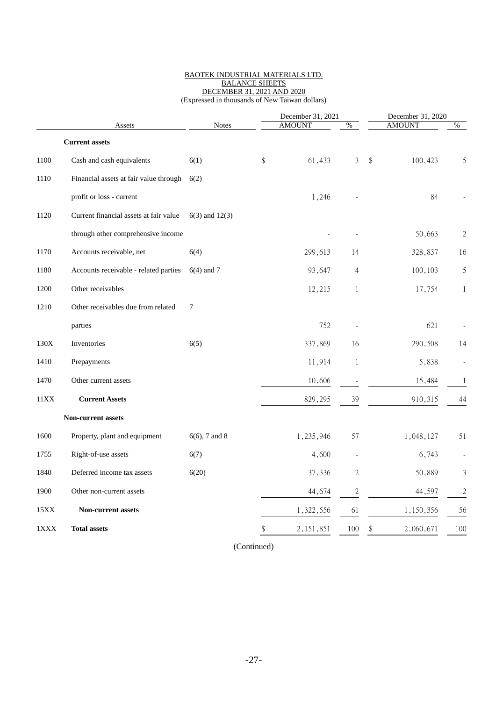#### BAOTEK INDUSTRIAL MATERIALS LTD. BALANCE SHEETS DECEMBER 31, 2021 AND 2020 (Expressed in thousands of New Taiwan dollars)

|        |                                        |                    | December 31, 2021 |                          | December 31, 2020 |               |               |  |
|--------|----------------------------------------|--------------------|-------------------|--------------------------|-------------------|---------------|---------------|--|
|        | Assets                                 | Notes              | <b>AMOUNT</b>     | %                        |                   | <b>AMOUNT</b> | $\%$          |  |
|        | <b>Current assets</b>                  |                    |                   |                          |                   |               |               |  |
| 1100   | Cash and cash equivalents              | 6(1)               | \$<br>61,433      | $\mathfrak{Z}$           | $\sqrt$           | 100,423       | 5             |  |
| 1110   | Financial assets at fair value through | 6(2)               |                   |                          |                   |               |               |  |
|        | profit or loss - current               |                    | 1,246             |                          |                   | 84            |               |  |
| 1120   | Current financial assets at fair value | $6(3)$ and $12(3)$ |                   |                          |                   |               |               |  |
|        | through other comprehensive income     |                    |                   |                          |                   | 50,663        | 2             |  |
| 1170   | Accounts receivable, net               | 6(4)               | 299,613           | 14                       |                   | 328,837       | 16            |  |
| 1180   | Accounts receivable - related parties  | $6(4)$ and 7       | 93,647            | 4                        |                   | 100,103       | $\mathfrak s$ |  |
| 1200   | Other receivables                      |                    | 12,215            | $\mathbf{1}$             |                   | 17,754        | $\mathbf{1}$  |  |
| 1210   | Other receivables due from related     | $\tau$             |                   |                          |                   |               |               |  |
|        | parties                                |                    | 752               |                          |                   | 621           |               |  |
| 130X   | Inventories                            | 6(5)               | 337,869           | 16                       |                   | 290,508       | 14            |  |
| 1410   | Prepayments                            |                    | 11,914            | $\mathbf{1}$             |                   | 5,838         |               |  |
| 1470   | Other current assets                   |                    | 10,606            |                          |                   | 15,484        | $\mathbf{1}$  |  |
| 11XX   | <b>Current Assets</b>                  |                    | 829,295           | 39                       |                   | 910,315       | $44$          |  |
|        | Non-current assets                     |                    |                   |                          |                   |               |               |  |
| 1600   | Property, plant and equipment          | $6(6)$ , 7 and 8   | 1,235,946         | 57                       |                   | 1,048,127     | 51            |  |
| 1755   | Right-of-use assets                    | 6(7)               | 4,600             | $\overline{\phantom{a}}$ |                   | 6,743         |               |  |
| 1840   | Deferred income tax assets             | 6(20)              | 37,336            | 2                        |                   | 50,889        | 3             |  |
| 1900   | Other non-current assets               |                    | 44,674            | $\mathfrak{2}$           |                   | 44,597        | $\sqrt{2}$    |  |
| $15XX$ | <b>Non-current assets</b>              |                    | 1,322,556         | 61                       |                   | 1,150,356     | 56            |  |
| 1XXX   | <b>Total assets</b>                    |                    | \$<br>2, 151, 851 | 100                      | \$                | 2,060,671     | 100           |  |

(Continued)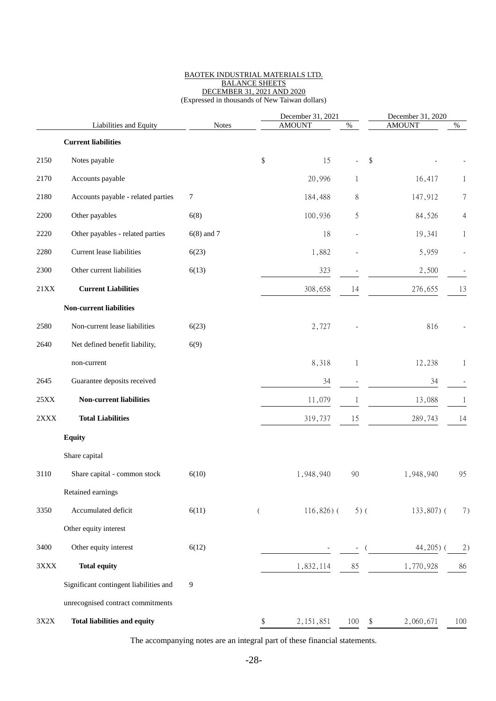#### BAOTEK INDUSTRIAL MATERIALS LTD. BALANCE SHEETS DECEMBER 31, 2021 AND 2020 (Expressed in thousands of New Taiwan dollars)

|      | Liabilities and Equity                 | <b>Notes</b> |          | December 31, 2021<br><b>AMOUNT</b> | $\%$                              | December 31, 2020<br><b>AMOUNT</b> | $\%$ |
|------|----------------------------------------|--------------|----------|------------------------------------|-----------------------------------|------------------------------------|------|
|      |                                        |              |          |                                    |                                   |                                    |      |
|      | <b>Current liabilities</b>             |              |          |                                    |                                   |                                    |      |
| 2150 | Notes payable                          |              | \$       | 15                                 | \$                                |                                    |      |
| 2170 | Accounts payable                       |              |          | 20,996                             | $\mathbf{1}$                      | 16,417                             | 1    |
| 2180 | Accounts payable - related parties     | 7            |          | 184,488                            | $8\,$                             | 147,912                            | 7    |
| 2200 | Other payables                         | 6(8)         |          | 100,936                            | 5                                 | 84,526                             | 4    |
| 2220 | Other payables - related parties       | $6(8)$ and 7 |          | 18                                 |                                   | 19,341                             | 1    |
| 2280 | Current lease liabilities              | 6(23)        |          | 1,882                              |                                   | 5,959                              |      |
| 2300 | Other current liabilities              | 6(13)        |          | 323                                |                                   | 2,500                              |      |
| 21XX | <b>Current Liabilities</b>             |              |          | 308,658                            | 14                                | 276,655                            | 13   |
|      | <b>Non-current liabilities</b>         |              |          |                                    |                                   |                                    |      |
| 2580 | Non-current lease liabilities          | 6(23)        |          | 2,727                              |                                   | 816                                |      |
| 2640 | Net defined benefit liability,         | 6(9)         |          |                                    |                                   |                                    |      |
|      | non-current                            |              |          | 8,318                              | $\mathbf{1}$                      | 12,238                             | 1    |
| 2645 | Guarantee deposits received            |              |          | 34                                 |                                   | 34                                 |      |
| 25XX | <b>Non-current liabilities</b>         |              |          | 11,079                             | 1                                 | 13,088                             | 1    |
| 2XXX | <b>Total Liabilities</b>               |              |          | 319,737                            | 15                                | 289,743                            | 14   |
|      | <b>Equity</b>                          |              |          |                                    |                                   |                                    |      |
|      | Share capital                          |              |          |                                    |                                   |                                    |      |
| 3110 | Share capital - common stock           | 6(10)        |          | 1,948,940                          | 90                                | 1,948,940                          | 95   |
|      | Retained earnings                      |              |          |                                    |                                   |                                    |      |
| 3350 | Accumulated deficit                    | 6(11)        | $\left($ | $116,826$ ) (                      | $5)$ (                            | $133,807$ ) (                      | 7)   |
|      | Other equity interest                  |              |          |                                    |                                   |                                    |      |
| 3400 | Other equity interest                  | 6(12)        |          |                                    |                                   | $44,205$ ) (                       | 2)   |
| 3XXX | <b>Total equity</b>                    |              |          | 1,832,114                          | 85                                | 1,770,928                          | 86   |
|      | Significant contingent liabilities and | 9            |          |                                    |                                   |                                    |      |
|      | unrecognised contract commitments      |              |          |                                    |                                   |                                    |      |
| 3X2X | <b>Total liabilities and equity</b>    |              | \$       | 2, 151, 851                        | 100<br>$\boldsymbol{\mathsf{\$}}$ | 2,060,671                          | 100  |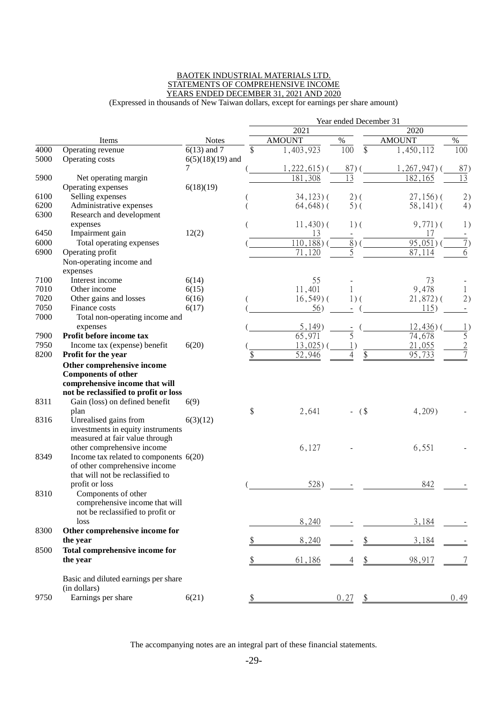#### BAOTEK INDUSTRIAL MATERIALS LTD. STATEMENTS OF COMPREHENSIVE INCOME YEARS ENDED DECEMBER 31, 2021 AND 2020

(Expressed in thousands of New Taiwan dollars, except for earnings per share amount)

|              |                                                                     | Year ended December 31              |                          |               |                 |          |                |                 |
|--------------|---------------------------------------------------------------------|-------------------------------------|--------------------------|---------------|-----------------|----------|----------------|-----------------|
|              |                                                                     |                                     |                          | 2021          |                 |          | 2020           |                 |
|              | Items                                                               | <b>Notes</b>                        |                          | <b>AMOUNT</b> | $\%$            |          | <b>AMOUNT</b>  | $\%$            |
| 4000<br>5000 | Operating revenue<br>Operating costs                                | $6(13)$ and 7<br>$6(5)(18)(19)$ and | $\overline{\mathcal{S}}$ | 1,403,923     | 100             | \$       | 1,450,112      | 100             |
|              |                                                                     | 7                                   |                          | $,222,615)$ ( | $87)$ (         |          | 1,267,947)     | 87)             |
| 5900         | Net operating margin                                                |                                     |                          | 181,308       | 13              |          | 182,165        | 13              |
|              | Operating expenses                                                  | 6(18)(19)                           |                          |               |                 |          |                |                 |
| 6100         | Selling expenses                                                    |                                     |                          | $34,123$ ) (  | $2)$ (          |          | $27,156$ ) (   | 2)              |
| 6200         | Administrative expenses                                             |                                     |                          | $64,648$ ) (  | $5)$ (          |          | $58,141$ ) (   | 4)              |
| 6300         | Research and development                                            |                                     |                          |               |                 |          |                |                 |
|              | expenses                                                            |                                     |                          | $11,430$ ) (  | $1)$ (          |          | $9,771)$ (     | 1)              |
| 6450         | Impairment gain                                                     | 12(2)                               |                          | 13            |                 |          | 17             |                 |
| 6000         | Total operating expenses                                            |                                     |                          | 110,188)      | $\overline{8})$ |          | 95,051)        | $\overline{7})$ |
| 6900         | Operating profit                                                    |                                     |                          | 71,120        |                 |          | 87,114         | 6               |
|              | Non-operating income and                                            |                                     |                          |               |                 |          |                |                 |
|              | expenses                                                            |                                     |                          |               |                 |          |                |                 |
| 7100         | Interest income                                                     | 6(14)                               |                          | 55            |                 |          | 73             |                 |
| 7010         | Other income                                                        | 6(15)                               |                          | 11,401        |                 |          | 9,478          |                 |
| 7020         | Other gains and losses                                              | 6(16)                               |                          | $16,549$ ) (  | $1)$ (          |          | $21,872$ ) (   | 2)              |
| 7050         | Finance costs                                                       | 6(17)                               |                          | 56)           |                 |          | 115)           |                 |
| 7000         | Total non-operating income and                                      |                                     |                          |               |                 |          |                |                 |
|              | expenses                                                            |                                     |                          | 5,149)        |                 |          | $12,436$ ) $($ |                 |
| 7900         | Profit before income tax                                            |                                     |                          | 65,971        | $\overline{5}$  |          | 74,678         | 5               |
| 7950         | Income tax (expense) benefit                                        | 6(20)                               |                          | $13,025$ )    |                 |          | 21,055         |                 |
| 8200         | Profit for the year                                                 |                                     |                          | 52,946        |                 |          | 95,733         |                 |
|              | Other comprehensive income                                          |                                     |                          |               |                 |          |                |                 |
|              | <b>Components of other</b>                                          |                                     |                          |               |                 |          |                |                 |
|              | comprehensive income that will                                      |                                     |                          |               |                 |          |                |                 |
|              | not be reclassified to profit or loss                               |                                     |                          |               |                 |          |                |                 |
| 8311         | Gain (loss) on defined benefit                                      | 6(9)                                |                          |               |                 |          |                |                 |
|              | plan                                                                |                                     | \$                       | 2,641         |                 | $-$ (\$) | $4,209$ )      |                 |
| 8316         | Unrealised gains from                                               | 6(3)(12)                            |                          |               |                 |          |                |                 |
|              | investments in equity instruments<br>measured at fair value through |                                     |                          |               |                 |          |                |                 |
|              | other comprehensive income                                          |                                     |                          | 6,127         |                 |          | 6,551          |                 |
| 8349         | Income tax related to components $6(20)$                            |                                     |                          |               |                 |          |                |                 |
|              | of other comprehensive income                                       |                                     |                          |               |                 |          |                |                 |
|              | that will not be reclassified to                                    |                                     |                          |               |                 |          |                |                 |
|              | profit or loss                                                      |                                     |                          | 528)          |                 |          | 842            |                 |
| 8310         | Components of other                                                 |                                     |                          |               |                 |          |                |                 |
|              | comprehensive income that will                                      |                                     |                          |               |                 |          |                |                 |
|              | not be reclassified to profit or                                    |                                     |                          |               |                 |          |                |                 |
|              | loss                                                                |                                     |                          | 8,240         |                 |          | 3,184          |                 |
| 8300         | Other comprehensive income for                                      |                                     |                          |               |                 |          |                |                 |
|              | the year                                                            |                                     |                          | 8,240         |                 |          | 3,184          |                 |
| 8500         | Total comprehensive income for                                      |                                     |                          |               |                 |          |                |                 |
|              | the year                                                            |                                     |                          | 61,186        | 4               |          | 98,917         |                 |
|              |                                                                     |                                     |                          |               |                 |          |                |                 |
|              | Basic and diluted earnings per share                                |                                     |                          |               |                 |          |                |                 |
|              | (in dollars)                                                        |                                     |                          |               |                 |          |                |                 |
| 9750         | Earnings per share                                                  | 6(21)                               |                          |               | 0.27            |          |                | 0.49            |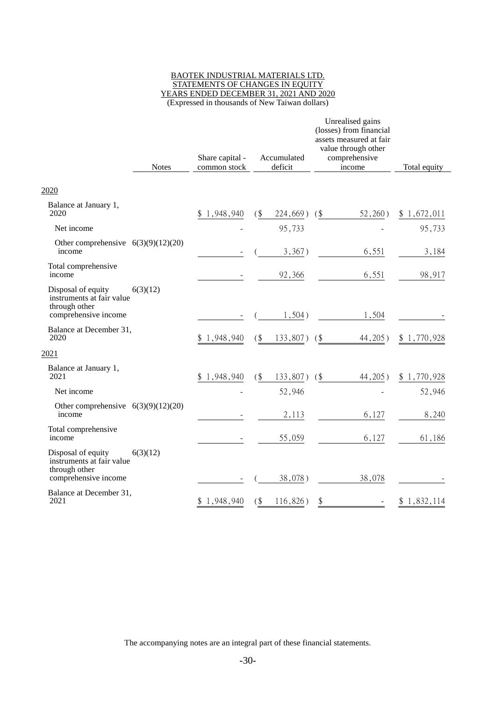#### BAOTEK INDUSTRIAL MATERIALS LTD. STATEMENTS OF CHANGES IN EQUITY YEARS ENDED DECEMBER 31, 2021 AND 2020 (Expressed in thousands of New Taiwan dollars)

|                                                                                          | <b>Notes</b> | Share capital -<br>common stock |             | Accumulated<br>deficit | Unrealised gains<br>(losses) from financial<br>assets measured at fair<br>value through other<br>comprehensive<br>income | Total equity                         |
|------------------------------------------------------------------------------------------|--------------|---------------------------------|-------------|------------------------|--------------------------------------------------------------------------------------------------------------------------|--------------------------------------|
|                                                                                          |              |                                 |             |                        |                                                                                                                          |                                      |
| 2020                                                                                     |              |                                 |             |                        |                                                                                                                          |                                      |
| Balance at January 1,<br>2020                                                            |              | \$1,948,940                     | (           | 224,669) (\$           | 52,260)                                                                                                                  | \$1,672,011                          |
| Net income                                                                               |              |                                 |             | 95,733                 |                                                                                                                          | 95,733                               |
| Other comprehensive $6(3)(9)(12)(20)$<br>income                                          |              |                                 |             | 3,367)                 | 6,551                                                                                                                    | 3,184                                |
| Total comprehensive<br>income                                                            |              |                                 |             | 92,366                 | 6,551                                                                                                                    | 98,917                               |
| Disposal of equity<br>instruments at fair value<br>through other<br>comprehensive income | 6(3)(12)     |                                 |             | 1,504)                 | 1,504                                                                                                                    |                                      |
| Balance at December 31,<br>2020                                                          |              | \$1,948,940                     | (           | 133,807) (\$           | 44, 205)                                                                                                                 | \$1,770,928                          |
| 2021                                                                                     |              |                                 |             |                        |                                                                                                                          |                                      |
| Balance at January 1,<br>2021                                                            |              | \$1,948,940                     | (           | $133,807$ ) (\$        | 44,205)                                                                                                                  | \$1,770,928                          |
| Net income                                                                               |              |                                 |             | 52,946                 |                                                                                                                          | 52,946                               |
| Other comprehensive $6(3)(9)(12)(20)$<br>income                                          |              |                                 |             | 2,113                  | 6,127                                                                                                                    | 8,240                                |
| Total comprehensive<br>income                                                            |              |                                 |             | 55,059                 | 6,127                                                                                                                    | 61,186                               |
| Disposal of equity<br>instruments at fair value<br>through other<br>comprehensive income | 6(3)(12)     |                                 |             | 38,078)                | 38,078                                                                                                                   |                                      |
| Balance at December 31,<br>2021                                                          |              | \$1,948,940                     | $$^{\circ}$ | 116,826)               | \$                                                                                                                       | $\frac{1}{\frac{1}{2}}$ \$ 1,832,114 |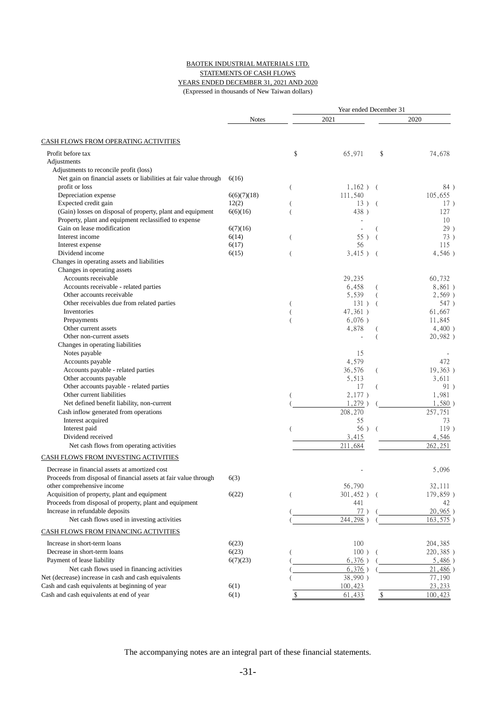#### BAOTEK INDUSTRIAL MATERIALS LTD. STATEMENTS OF CASH FLOWS YEARS ENDED DECEMBER 31, 2021 AND 2020

(Expressed in thousands of New Taiwan dollars)

|                                                                   |              |                  | Year ended December 31 |                |            |  |  |  |
|-------------------------------------------------------------------|--------------|------------------|------------------------|----------------|------------|--|--|--|
|                                                                   | <b>Notes</b> |                  | 2021                   |                | 2020       |  |  |  |
| CASH FLOWS FROM OPERATING ACTIVITIES                              |              |                  |                        |                |            |  |  |  |
| Profit before tax                                                 |              | \$               | 65,971                 | \$             | 74,678     |  |  |  |
| Adjustments                                                       |              |                  |                        |                |            |  |  |  |
| Adjustments to reconcile profit (loss)                            |              |                  |                        |                |            |  |  |  |
| Net gain on financial assets or liabilities at fair value through | 6(16)        |                  |                        |                |            |  |  |  |
| profit or loss                                                    |              | $\overline{(\ }$ | $1,162$ ) (            |                | 84)        |  |  |  |
| Depreciation expense                                              | 6(6)(7)(18)  |                  | 111,540                |                | 105,655    |  |  |  |
| Expected credit gain                                              | 12(2)        |                  | $13)$ (                |                | 17)        |  |  |  |
| (Gain) losses on disposal of property, plant and equipment        | 6(6)(16)     |                  | 438)                   |                | 127        |  |  |  |
| Property, plant and equipment reclassified to expense             |              |                  |                        |                | 10         |  |  |  |
| Gain on lease modification                                        | 6(7)(16)     |                  | ä,                     |                | 29)        |  |  |  |
| Interest income                                                   | 6(14)        | $\overline{(\ }$ | 55)                    | $\left($       | 73)        |  |  |  |
| Interest expense                                                  | 6(17)        |                  | 56                     |                | 115        |  |  |  |
| Dividend income                                                   | 6(15)        |                  | $3,415$ ) (            |                | 4,546)     |  |  |  |
| Changes in operating assets and liabilities                       |              |                  |                        |                |            |  |  |  |
| Changes in operating assets                                       |              |                  |                        |                |            |  |  |  |
| Accounts receivable                                               |              |                  | 29,235                 |                | 60,732     |  |  |  |
| Accounts receivable - related parties                             |              |                  | 6,458                  |                | 8,861)     |  |  |  |
| Other accounts receivable                                         |              |                  | 5,539                  | $\overline{ }$ | $2,569$ )  |  |  |  |
| Other receivables due from related parties                        |              |                  | 131)                   | $\overline{ }$ | 547)       |  |  |  |
| Inventories                                                       |              |                  | 47,361)                |                | 61,667     |  |  |  |
| Prepayments<br>Other current assets                               |              |                  | 6,076)                 |                | 11,845     |  |  |  |
| Other non-current assets                                          |              |                  | 4,878                  |                | $4,400$ )  |  |  |  |
| Changes in operating liabilities                                  |              |                  |                        |                | 20,982)    |  |  |  |
| Notes payable                                                     |              |                  | 15                     |                |            |  |  |  |
| Accounts payable                                                  |              |                  | 4,579                  |                | 472        |  |  |  |
| Accounts payable - related parties                                |              |                  | 36,576                 | $\overline{ }$ | 19,363)    |  |  |  |
| Other accounts payable                                            |              |                  | 5,513                  |                | 3,611      |  |  |  |
| Other accounts payable - related parties                          |              |                  | 17                     | - (            | 91)        |  |  |  |
| Other current liabilities                                         |              |                  | 2,177)                 |                | 1,981      |  |  |  |
| Net defined benefit liability, non-current                        |              |                  | $1,279$ )              |                | $1,580$ )  |  |  |  |
| Cash inflow generated from operations                             |              |                  | 208,270                |                | 257,751    |  |  |  |
| Interest acquired                                                 |              |                  | 55                     |                | 73         |  |  |  |
| Interest paid                                                     |              |                  | 56)                    | $\left($       | 119)       |  |  |  |
| Dividend received                                                 |              |                  | 3,415                  |                | 4,546      |  |  |  |
| Net cash flows from operating activities                          |              |                  | 211,684                |                | 262,251    |  |  |  |
| CASH FLOWS FROM INVESTING ACTIVITIES                              |              |                  |                        |                |            |  |  |  |
| Decrease in financial assets at amortized cost                    |              |                  |                        |                | 5,096      |  |  |  |
| Proceeds from disposal of financial assets at fair value through  | 6(3)         |                  |                        |                |            |  |  |  |
| other comprehensive income                                        |              |                  | 56,790                 |                | 32,111     |  |  |  |
| Acquisition of property, plant and equipment                      | 6(22)        |                  | 301,452)               | $\overline{ }$ | 179,859)   |  |  |  |
| Proceeds from disposal of property, plant and equipment           |              |                  | 441                    |                | 42         |  |  |  |
| Increase in refundable deposits                                   |              |                  | 77)                    |                | 20,965)    |  |  |  |
| Net cash flows used in investing activities                       |              |                  | 244,298)               |                | 163,575)   |  |  |  |
| CASH FLOWS FROM FINANCING ACTIVITIES                              |              |                  |                        |                |            |  |  |  |
| Increase in short-term loans                                      | 6(23)        |                  | 100                    |                | 204,385    |  |  |  |
| Decrease in short-term loans                                      | 6(23)        |                  | $100$ )                |                | 220,385)   |  |  |  |
| Payment of lease liability                                        | 6(7)(23)     |                  | 6,376)                 |                | 5,486)     |  |  |  |
| Net cash flows used in financing activities                       |              |                  | 6,376)                 |                | $21,486$ ) |  |  |  |
| Net (decrease) increase in cash and cash equivalents              |              |                  | 38,990)                |                | 77,190     |  |  |  |
| Cash and cash equivalents at beginning of year                    | 6(1)         |                  | 100,423                |                | 23, 233    |  |  |  |
| Cash and cash equivalents at end of year                          | 6(1)         |                  | 61,433                 | \$             | 100,423    |  |  |  |
|                                                                   |              |                  |                        |                |            |  |  |  |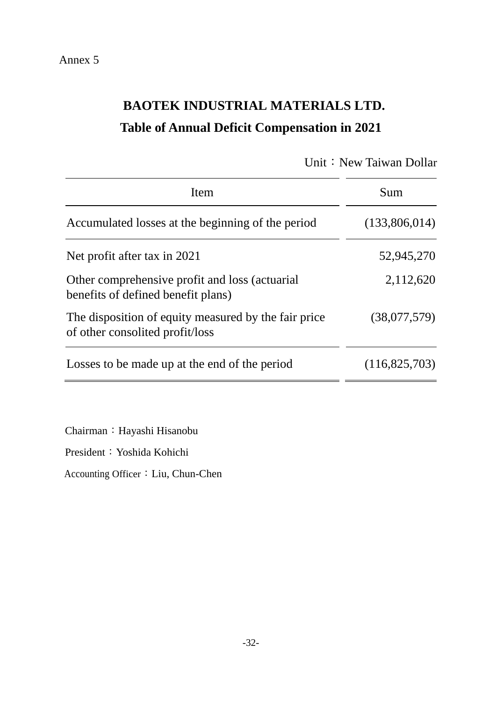### **BAOTEK INDUSTRIAL MATERIALS LTD. Table of Annual Deficit Compensation in 2021**

|  |  |  |  | Unit: New Taiwan Dollar |  |
|--|--|--|--|-------------------------|--|
|--|--|--|--|-------------------------|--|

| Item                                                                                    | Sum           |
|-----------------------------------------------------------------------------------------|---------------|
| Accumulated losses at the beginning of the period                                       | (133,806,014) |
| Net profit after tax in 2021                                                            | 52,945,270    |
| Other comprehensive profit and loss (actuarial<br>benefits of defined benefit plans)    | 2,112,620     |
| The disposition of equity measured by the fair price<br>of other consolited profit/loss | (38,077,579)  |
| Losses to be made up at the end of the period                                           | (116,825,703) |

Chairman: Hayashi Hisanobu

President: Yoshida Kohichi

Accounting Officer: Liu, Chun-Chen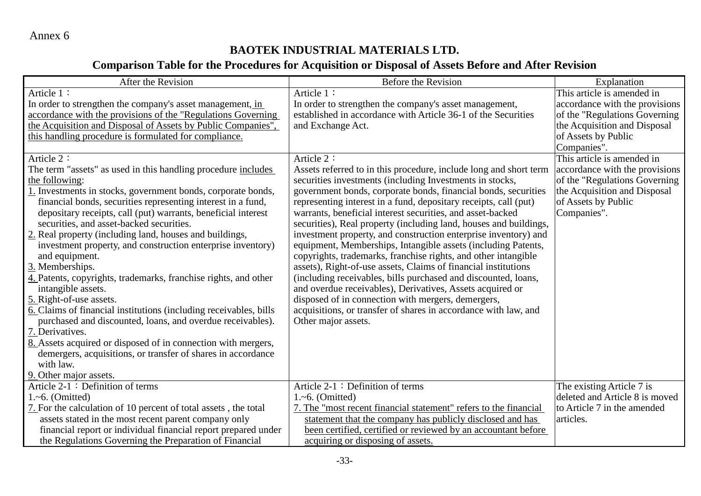#### **BAOTEK INDUSTRIAL MATERIALS LTD.**

### **Comparison Table for the Procedures for Acquisition or Disposal of Assets Before and After Revision**

| After the Revision                                                | Before the Revision                                               | Explanation                    |
|-------------------------------------------------------------------|-------------------------------------------------------------------|--------------------------------|
| Article 1:                                                        | Article 1:                                                        | This article is amended in     |
| In order to strengthen the company's asset management, in         | In order to strengthen the company's asset management,            | accordance with the provisions |
| accordance with the provisions of the "Regulations Governing"     | established in accordance with Article 36-1 of the Securities     | of the "Regulations Governing  |
| the Acquisition and Disposal of Assets by Public Companies",      | and Exchange Act.                                                 | the Acquisition and Disposal   |
| this handling procedure is formulated for compliance.             |                                                                   | of Assets by Public            |
|                                                                   |                                                                   | Companies".                    |
| Article 2:                                                        | Article 2:                                                        | This article is amended in     |
| The term "assets" as used in this handling procedure includes     | Assets referred to in this procedure, include long and short term | accordance with the provisions |
| the following:                                                    | securities investments (including Investments in stocks,          | of the "Regulations Governing" |
| 1. Investments in stocks, government bonds, corporate bonds,      | government bonds, corporate bonds, financial bonds, securities    | the Acquisition and Disposal   |
| financial bonds, securities representing interest in a fund,      | representing interest in a fund, depositary receipts, call (put)  | of Assets by Public            |
| depositary receipts, call (put) warrants, beneficial interest     | warrants, beneficial interest securities, and asset-backed        | Companies".                    |
| securities, and asset-backed securities.                          | securities), Real property (including land, houses and buildings, |                                |
| 2. Real property (including land, houses and buildings,           | investment property, and construction enterprise inventory) and   |                                |
| investment property, and construction enterprise inventory)       | equipment, Memberships, Intangible assets (including Patents,     |                                |
| and equipment.                                                    | copyrights, trademarks, franchise rights, and other intangible    |                                |
| 3. Memberships.                                                   | assets), Right-of-use assets, Claims of financial institutions    |                                |
| 4. Patents, copyrights, trademarks, franchise rights, and other   | (including receivables, bills purchased and discounted, loans,    |                                |
| intangible assets.                                                | and overdue receivables), Derivatives, Assets acquired or         |                                |
| 5. Right-of-use assets.                                           | disposed of in connection with mergers, demergers,                |                                |
| 6. Claims of financial institutions (including receivables, bills | acquisitions, or transfer of shares in accordance with law, and   |                                |
| purchased and discounted, loans, and overdue receivables).        | Other major assets.                                               |                                |
| 7. Derivatives.                                                   |                                                                   |                                |
| 8. Assets acquired or disposed of in connection with mergers,     |                                                                   |                                |
| demergers, acquisitions, or transfer of shares in accordance      |                                                                   |                                |
| with law.                                                         |                                                                   |                                |
| 9. Other major assets.                                            |                                                                   |                                |
| Article 2-1: Definition of terms                                  | Article 2-1: Definition of terms                                  | The existing Article 7 is      |
| $1.-6.$ (Omitted)                                                 | $1.-6.$ (Omitted)                                                 | deleted and Article 8 is moved |
| 7. For the calculation of 10 percent of total assets, the total   | 7. The "most recent financial statement" refers to the financial  | to Article 7 in the amended    |
| assets stated in the most recent parent company only              | statement that the company has publicly disclosed and has         | articles.                      |
| financial report or individual financial report prepared under    | been certified, certified or reviewed by an accountant before     |                                |
| the Regulations Governing the Preparation of Financial            | acquiring or disposing of assets.                                 |                                |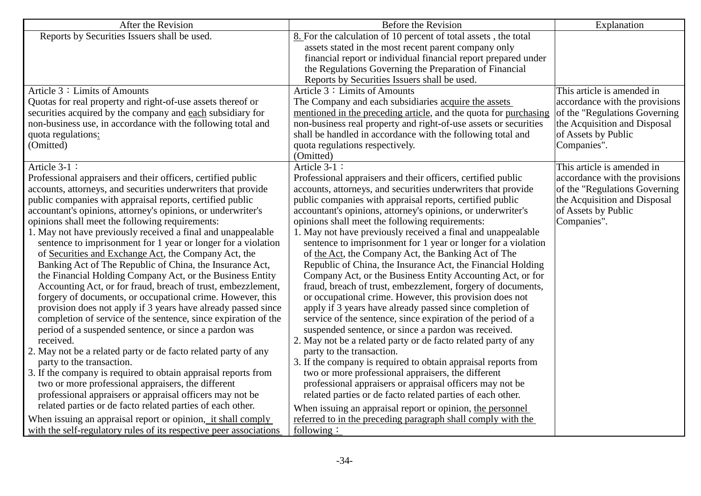| After the Revision                                                                                                                                                                                                                                                                                                                                                                                                                                                                                                                                                                                                                                                                                                                                                                                                                                                                                                                                                                                                                                                                                                                                                                                                                                                                                                                                                                                                                                                             | <b>Before the Revision</b>                                                                                                                                                                                                                                                                                                                                                                                                                                                                                                                                                                                                                                                                                                                                                                                                                                                                                                                                                                                                                                                                                                                                                                                                                                                                                                                                                                                                                                    | Explanation                                                                                                                                                         |
|--------------------------------------------------------------------------------------------------------------------------------------------------------------------------------------------------------------------------------------------------------------------------------------------------------------------------------------------------------------------------------------------------------------------------------------------------------------------------------------------------------------------------------------------------------------------------------------------------------------------------------------------------------------------------------------------------------------------------------------------------------------------------------------------------------------------------------------------------------------------------------------------------------------------------------------------------------------------------------------------------------------------------------------------------------------------------------------------------------------------------------------------------------------------------------------------------------------------------------------------------------------------------------------------------------------------------------------------------------------------------------------------------------------------------------------------------------------------------------|---------------------------------------------------------------------------------------------------------------------------------------------------------------------------------------------------------------------------------------------------------------------------------------------------------------------------------------------------------------------------------------------------------------------------------------------------------------------------------------------------------------------------------------------------------------------------------------------------------------------------------------------------------------------------------------------------------------------------------------------------------------------------------------------------------------------------------------------------------------------------------------------------------------------------------------------------------------------------------------------------------------------------------------------------------------------------------------------------------------------------------------------------------------------------------------------------------------------------------------------------------------------------------------------------------------------------------------------------------------------------------------------------------------------------------------------------------------|---------------------------------------------------------------------------------------------------------------------------------------------------------------------|
| Reports by Securities Issuers shall be used.                                                                                                                                                                                                                                                                                                                                                                                                                                                                                                                                                                                                                                                                                                                                                                                                                                                                                                                                                                                                                                                                                                                                                                                                                                                                                                                                                                                                                                   | 8. For the calculation of 10 percent of total assets, the total<br>assets stated in the most recent parent company only<br>financial report or individual financial report prepared under<br>the Regulations Governing the Preparation of Financial<br>Reports by Securities Issuers shall be used.                                                                                                                                                                                                                                                                                                                                                                                                                                                                                                                                                                                                                                                                                                                                                                                                                                                                                                                                                                                                                                                                                                                                                           |                                                                                                                                                                     |
| Article 3: Limits of Amounts<br>Quotas for real property and right-of-use assets thereof or<br>securities acquired by the company and each subsidiary for<br>non-business use, in accordance with the following total and<br>quota regulations:<br>(Omitted)                                                                                                                                                                                                                                                                                                                                                                                                                                                                                                                                                                                                                                                                                                                                                                                                                                                                                                                                                                                                                                                                                                                                                                                                                   | Article 3: Limits of Amounts<br>The Company and each subsidiaries acquire the assets<br>mentioned in the preceding article, and the quota for purchasing<br>non-business real property and right-of-use assets or securities<br>shall be handled in accordance with the following total and<br>quota regulations respectively.<br>(Omitted)                                                                                                                                                                                                                                                                                                                                                                                                                                                                                                                                                                                                                                                                                                                                                                                                                                                                                                                                                                                                                                                                                                                   | This article is amended in<br>accordance with the provisions<br>of the "Regulations Governing<br>the Acquisition and Disposal<br>of Assets by Public<br>Companies". |
| Article 3-1 :<br>Professional appraisers and their officers, certified public<br>accounts, attorneys, and securities underwriters that provide<br>public companies with appraisal reports, certified public<br>accountant's opinions, attorney's opinions, or underwriter's<br>opinions shall meet the following requirements:<br>1. May not have previously received a final and unappealable<br>sentence to imprisonment for 1 year or longer for a violation<br>of Securities and Exchange Act, the Company Act, the<br>Banking Act of The Republic of China, the Insurance Act,<br>the Financial Holding Company Act, or the Business Entity<br>Accounting Act, or for fraud, breach of trust, embezzlement,<br>forgery of documents, or occupational crime. However, this<br>provision does not apply if 3 years have already passed since<br>completion of service of the sentence, since expiration of the<br>period of a suspended sentence, or since a pardon was<br>received.<br>2. May not be a related party or de facto related party of any<br>party to the transaction.<br>3. If the company is required to obtain appraisal reports from<br>two or more professional appraisers, the different<br>professional appraisers or appraisal officers may not be<br>related parties or de facto related parties of each other.<br>When issuing an appraisal report or opinion, it shall comply<br>with the self-regulatory rules of its respective peer associations | Article 3-1 :<br>Professional appraisers and their officers, certified public<br>accounts, attorneys, and securities underwriters that provide<br>public companies with appraisal reports, certified public<br>accountant's opinions, attorney's opinions, or underwriter's<br>opinions shall meet the following requirements:<br>1. May not have previously received a final and unappealable<br>sentence to imprisonment for 1 year or longer for a violation<br>of the Act, the Company Act, the Banking Act of The<br>Republic of China, the Insurance Act, the Financial Holding<br>Company Act, or the Business Entity Accounting Act, or for<br>fraud, breach of trust, embezzlement, forgery of documents,<br>or occupational crime. However, this provision does not<br>apply if 3 years have already passed since completion of<br>service of the sentence, since expiration of the period of a<br>suspended sentence, or since a pardon was received.<br>2. May not be a related party or de facto related party of any<br>party to the transaction.<br>3. If the company is required to obtain appraisal reports from<br>two or more professional appraisers, the different<br>professional appraisers or appraisal officers may not be<br>related parties or de facto related parties of each other.<br>When issuing an appraisal report or opinion, the personnel<br>referred to in the preceding paragraph shall comply with the<br>following: | This article is amended in<br>accordance with the provisions<br>of the "Regulations Governing<br>the Acquisition and Disposal<br>of Assets by Public<br>Companies". |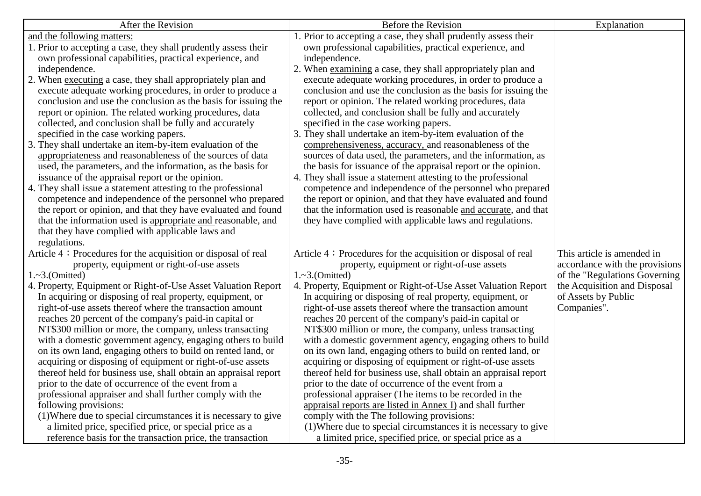| After the Revision                                                                                                                                                                                                                                                                                                                                                                                                                                                                                                                                                                                                                                                                                                                                                                                                                                                                                                                                                                                                                                                                                                       | <b>Before the Revision</b>                                                                                                                                                                                                                                                                                                                                                                                                                                                                                                                                                                                                                                                                                                                                                                                                                                                                                                                                                                                                                                                                        | Explanation                                                                                                                                                         |
|--------------------------------------------------------------------------------------------------------------------------------------------------------------------------------------------------------------------------------------------------------------------------------------------------------------------------------------------------------------------------------------------------------------------------------------------------------------------------------------------------------------------------------------------------------------------------------------------------------------------------------------------------------------------------------------------------------------------------------------------------------------------------------------------------------------------------------------------------------------------------------------------------------------------------------------------------------------------------------------------------------------------------------------------------------------------------------------------------------------------------|---------------------------------------------------------------------------------------------------------------------------------------------------------------------------------------------------------------------------------------------------------------------------------------------------------------------------------------------------------------------------------------------------------------------------------------------------------------------------------------------------------------------------------------------------------------------------------------------------------------------------------------------------------------------------------------------------------------------------------------------------------------------------------------------------------------------------------------------------------------------------------------------------------------------------------------------------------------------------------------------------------------------------------------------------------------------------------------------------|---------------------------------------------------------------------------------------------------------------------------------------------------------------------|
| and the following matters:<br>1. Prior to accepting a case, they shall prudently assess their<br>own professional capabilities, practical experience, and<br>independence.<br>2. When executing a case, they shall appropriately plan and<br>execute adequate working procedures, in order to produce a<br>conclusion and use the conclusion as the basis for issuing the<br>report or opinion. The related working procedures, data<br>collected, and conclusion shall be fully and accurately<br>specified in the case working papers.<br>3. They shall undertake an item-by-item evaluation of the<br>appropriateness and reasonableness of the sources of data<br>used, the parameters, and the information, as the basis for<br>issuance of the appraisal report or the opinion.<br>4. They shall issue a statement attesting to the professional<br>competence and independence of the personnel who prepared<br>the report or opinion, and that they have evaluated and found<br>that the information used is appropriate and reasonable, and<br>that they have complied with applicable laws and<br>regulations. | 1. Prior to accepting a case, they shall prudently assess their<br>own professional capabilities, practical experience, and<br>independence.<br>2. When examining a case, they shall appropriately plan and<br>execute adequate working procedures, in order to produce a<br>conclusion and use the conclusion as the basis for issuing the<br>report or opinion. The related working procedures, data<br>collected, and conclusion shall be fully and accurately<br>specified in the case working papers.<br>3. They shall undertake an item-by-item evaluation of the<br>comprehensiveness, accuracy, and reasonableness of the<br>sources of data used, the parameters, and the information, as<br>the basis for issuance of the appraisal report or the opinion.<br>4. They shall issue a statement attesting to the professional<br>competence and independence of the personnel who prepared<br>the report or opinion, and that they have evaluated and found<br>that the information used is reasonable and accurate, and that<br>they have complied with applicable laws and regulations. |                                                                                                                                                                     |
| Article 4: Procedures for the acquisition or disposal of real<br>property, equipment or right-of-use assets<br>$1.-3$ . (Omitted)<br>4. Property, Equipment or Right-of-Use Asset Valuation Report<br>In acquiring or disposing of real property, equipment, or<br>right-of-use assets thereof where the transaction amount<br>reaches 20 percent of the company's paid-in capital or<br>NT\$300 million or more, the company, unless transacting<br>with a domestic government agency, engaging others to build<br>on its own land, engaging others to build on rented land, or<br>acquiring or disposing of equipment or right-of-use assets<br>thereof held for business use, shall obtain an appraisal report<br>prior to the date of occurrence of the event from a<br>professional appraiser and shall further comply with the<br>following provisions:<br>(1) Where due to special circumstances it is necessary to give<br>a limited price, specified price, or special price as a<br>reference basis for the transaction price, the transaction                                                                 | Article 4: Procedures for the acquisition or disposal of real<br>property, equipment or right-of-use assets<br>$1.-3$ . (Omitted)<br>4. Property, Equipment or Right-of-Use Asset Valuation Report<br>In acquiring or disposing of real property, equipment, or<br>right-of-use assets thereof where the transaction amount<br>reaches 20 percent of the company's paid-in capital or<br>NT\$300 million or more, the company, unless transacting<br>with a domestic government agency, engaging others to build<br>on its own land, engaging others to build on rented land, or<br>acquiring or disposing of equipment or right-of-use assets<br>thereof held for business use, shall obtain an appraisal report<br>prior to the date of occurrence of the event from a<br>professional appraiser (The items to be recorded in the<br>appraisal reports are listed in Annex I) and shall further<br>comply with the The following provisions:<br>(1) Where due to special circumstances it is necessary to give<br>a limited price, specified price, or special price as a                       | This article is amended in<br>accordance with the provisions<br>of the "Regulations Governing<br>the Acquisition and Disposal<br>of Assets by Public<br>Companies". |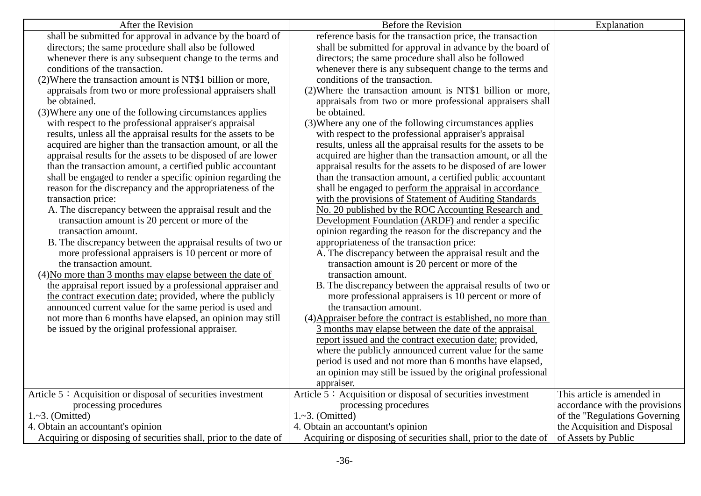| After the Revision                                               | <b>Before the Revision</b>                                       | Explanation                    |
|------------------------------------------------------------------|------------------------------------------------------------------|--------------------------------|
| shall be submitted for approval in advance by the board of       | reference basis for the transaction price, the transaction       |                                |
| directors; the same procedure shall also be followed             | shall be submitted for approval in advance by the board of       |                                |
| whenever there is any subsequent change to the terms and         | directors; the same procedure shall also be followed             |                                |
| conditions of the transaction.                                   | whenever there is any subsequent change to the terms and         |                                |
| (2) Where the transaction amount is NT\$1 billion or more,       | conditions of the transaction.                                   |                                |
| appraisals from two or more professional appraisers shall        | (2) Where the transaction amount is NT\$1 billion or more,       |                                |
| be obtained.                                                     | appraisals from two or more professional appraisers shall        |                                |
| (3) Where any one of the following circumstances applies         | be obtained.                                                     |                                |
| with respect to the professional appraiser's appraisal           | (3) Where any one of the following circumstances applies         |                                |
| results, unless all the appraisal results for the assets to be   | with respect to the professional appraiser's appraisal           |                                |
| acquired are higher than the transaction amount, or all the      | results, unless all the appraisal results for the assets to be   |                                |
| appraisal results for the assets to be disposed of are lower     | acquired are higher than the transaction amount, or all the      |                                |
| than the transaction amount, a certified public accountant       | appraisal results for the assets to be disposed of are lower     |                                |
| shall be engaged to render a specific opinion regarding the      | than the transaction amount, a certified public accountant       |                                |
| reason for the discrepancy and the appropriateness of the        | shall be engaged to perform the appraisal in accordance          |                                |
| transaction price:                                               | with the provisions of Statement of Auditing Standards           |                                |
| A. The discrepancy between the appraisal result and the          | No. 20 published by the ROC Accounting Research and              |                                |
| transaction amount is 20 percent or more of the                  | Development Foundation (ARDF) and render a specific              |                                |
| transaction amount.                                              | opinion regarding the reason for the discrepancy and the         |                                |
| B. The discrepancy between the appraisal results of two or       | appropriateness of the transaction price:                        |                                |
| more professional appraisers is 10 percent or more of            | A. The discrepancy between the appraisal result and the          |                                |
| the transaction amount.                                          | transaction amount is 20 percent or more of the                  |                                |
| (4) No more than 3 months may elapse between the date of         | transaction amount.                                              |                                |
| the appraisal report issued by a professional appraiser and      | B. The discrepancy between the appraisal results of two or       |                                |
| the contract execution date; provided, where the publicly        | more professional appraisers is 10 percent or more of            |                                |
| announced current value for the same period is used and          | the transaction amount.                                          |                                |
| not more than 6 months have elapsed, an opinion may still        | (4) Appraiser before the contract is established, no more than   |                                |
| be issued by the original professional appraiser.                | 3 months may elapse between the date of the appraisal            |                                |
|                                                                  | report issued and the contract execution date; provided,         |                                |
|                                                                  | where the publicly announced current value for the same          |                                |
|                                                                  | period is used and not more than 6 months have elapsed,          |                                |
|                                                                  | an opinion may still be issued by the original professional      |                                |
|                                                                  | appraiser.                                                       |                                |
| Article 5: Acquisition or disposal of securities investment      | Article 5: Acquisition or disposal of securities investment      | This article is amended in     |
| processing procedures                                            | processing procedures                                            | accordance with the provisions |
| $1.-3.$ (Omitted)                                                | $1.-3.$ (Omitted)                                                | of the "Regulations Governing  |
| 4. Obtain an accountant's opinion                                | 4. Obtain an accountant's opinion                                | the Acquisition and Disposal   |
| Acquiring or disposing of securities shall, prior to the date of | Acquiring or disposing of securities shall, prior to the date of | of Assets by Public            |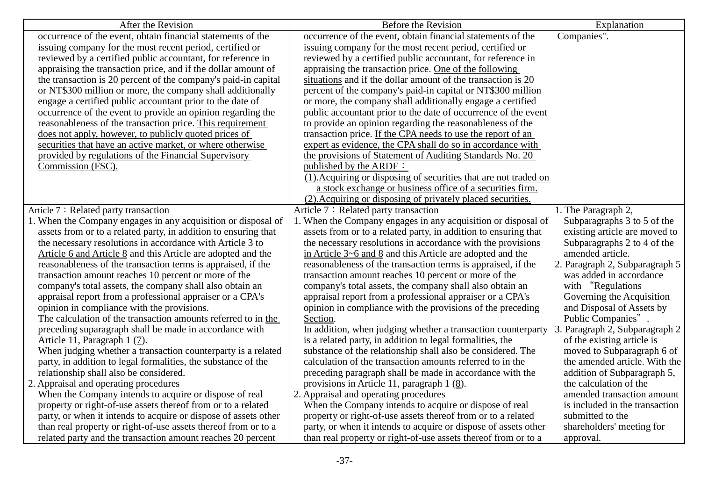| After the Revision                                              | <b>Before the Revision</b>                                        | Explanation                    |
|-----------------------------------------------------------------|-------------------------------------------------------------------|--------------------------------|
| occurrence of the event, obtain financial statements of the     | occurrence of the event, obtain financial statements of the       | Companies".                    |
| issuing company for the most recent period, certified or        | issuing company for the most recent period, certified or          |                                |
| reviewed by a certified public accountant, for reference in     | reviewed by a certified public accountant, for reference in       |                                |
| appraising the transaction price, and if the dollar amount of   | appraising the transaction price. One of the following            |                                |
| the transaction is 20 percent of the company's paid-in capital  | situations and if the dollar amount of the transaction is 20      |                                |
| or NT\$300 million or more, the company shall additionally      | percent of the company's paid-in capital or NT\$300 million       |                                |
| engage a certified public accountant prior to the date of       | or more, the company shall additionally engage a certified        |                                |
| occurrence of the event to provide an opinion regarding the     | public accountant prior to the date of occurrence of the event    |                                |
| reasonableness of the transaction price. This requirement       | to provide an opinion regarding the reasonableness of the         |                                |
| does not apply, however, to publicly quoted prices of           | transaction price. If the CPA needs to use the report of an       |                                |
| securities that have an active market, or where otherwise       | expert as evidence, the CPA shall do so in accordance with        |                                |
| provided by regulations of the Financial Supervisory            | the provisions of Statement of Auditing Standards No. 20          |                                |
| Commission (FSC).                                               | published by the ARDF:                                            |                                |
|                                                                 | (1). Acquiring or disposing of securities that are not traded on  |                                |
|                                                                 | a stock exchange or business office of a securities firm.         |                                |
|                                                                 | (2). Acquiring or disposing of privately placed securities.       |                                |
| Article 7: Related party transaction                            | Article 7: Related party transaction                              | 1. The Paragraph 2,            |
| 1. When the Company engages in any acquisition or disposal of   | 1. When the Company engages in any acquisition or disposal of     | Subparagraphs 3 to 5 of the    |
| assets from or to a related party, in addition to ensuring that | assets from or to a related party, in addition to ensuring that   | existing article are moved to  |
| the necessary resolutions in accordance with Article 3 to       | the necessary resolutions in accordance with the provisions       | Subparagraphs 2 to 4 of the    |
| Article 6 and Article 8 and this Article are adopted and the    | in Article $3\neg 6$ and $8$ and this Article are adopted and the | amended article.               |
| reasonableness of the transaction terms is appraised, if the    | reasonableness of the transaction terms is appraised, if the      | 2. Paragraph 2, Subparagraph 5 |
| transaction amount reaches 10 percent or more of the            | transaction amount reaches 10 percent or more of the              | was added in accordance        |
| company's total assets, the company shall also obtain an        | company's total assets, the company shall also obtain an          | with "Regulations              |
| appraisal report from a professional appraiser or a CPA's       | appraisal report from a professional appraiser or a CPA's         | Governing the Acquisition      |
| opinion in compliance with the provisions.                      | opinion in compliance with the provisions of the preceding        | and Disposal of Assets by      |
| The calculation of the transaction amounts referred to in the   | Section.                                                          | Public Companies".             |
| preceding suparagraph shall be made in accordance with          | In addition, when judging whether a transaction counterparty      | 3. Paragraph 2, Subparagraph 2 |
| Article 11, Paragraph 1 (7).                                    | is a related party, in addition to legal formalities, the         | of the existing article is     |
| When judging whether a transaction counterparty is a related    | substance of the relationship shall also be considered. The       | moved to Subparagraph 6 of     |
| party, in addition to legal formalities, the substance of the   | calculation of the transaction amounts referred to in the         | the amended article. With the  |
| relationship shall also be considered.                          | preceding paragraph shall be made in accordance with the          | addition of Subparagraph 5,    |
| 2. Appraisal and operating procedures                           | provisions in Article 11, paragraph $1$ (8).                      | the calculation of the         |
| When the Company intends to acquire or dispose of real          | 2. Appraisal and operating procedures                             | amended transaction amount     |
| property or right-of-use assets thereof from or to a related    | When the Company intends to acquire or dispose of real            | is included in the transaction |
| party, or when it intends to acquire or dispose of assets other | property or right-of-use assets thereof from or to a related      | submitted to the               |
| than real property or right-of-use assets thereof from or to a  | party, or when it intends to acquire or dispose of assets other   | shareholders' meeting for      |
| related party and the transaction amount reaches 20 percent     | than real property or right-of-use assets thereof from or to a    | approval.                      |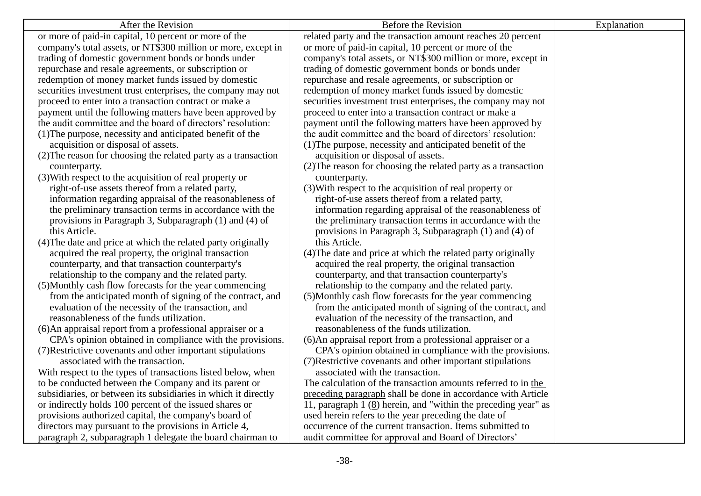| After the Revision                                             | <b>Before the Revision</b>                                            | Explanation |
|----------------------------------------------------------------|-----------------------------------------------------------------------|-------------|
| or more of paid-in capital, 10 percent or more of the          | related party and the transaction amount reaches 20 percent           |             |
| company's total assets, or NT\$300 million or more, except in  | or more of paid-in capital, 10 percent or more of the                 |             |
| trading of domestic government bonds or bonds under            | company's total assets, or NT\$300 million or more, except in         |             |
| repurchase and resale agreements, or subscription or           | trading of domestic government bonds or bonds under                   |             |
| redemption of money market funds issued by domestic            | repurchase and resale agreements, or subscription or                  |             |
| securities investment trust enterprises, the company may not   | redemption of money market funds issued by domestic                   |             |
| proceed to enter into a transaction contract or make a         | securities investment trust enterprises, the company may not          |             |
| payment until the following matters have been approved by      | proceed to enter into a transaction contract or make a                |             |
| the audit committee and the board of directors' resolution:    | payment until the following matters have been approved by             |             |
| (1) The purpose, necessity and anticipated benefit of the      | the audit committee and the board of directors' resolution:           |             |
| acquisition or disposal of assets.                             | (1) The purpose, necessity and anticipated benefit of the             |             |
| (2) The reason for choosing the related party as a transaction | acquisition or disposal of assets.                                    |             |
| counterparty.                                                  | (2) The reason for choosing the related party as a transaction        |             |
| (3) With respect to the acquisition of real property or        | counterparty.                                                         |             |
| right-of-use assets thereof from a related party,              | (3) With respect to the acquisition of real property or               |             |
| information regarding appraisal of the reasonableness of       | right-of-use assets thereof from a related party,                     |             |
| the preliminary transaction terms in accordance with the       | information regarding appraisal of the reasonableness of              |             |
| provisions in Paragraph 3, Subparagraph (1) and (4) of         | the preliminary transaction terms in accordance with the              |             |
| this Article.                                                  | provisions in Paragraph 3, Subparagraph (1) and (4) of                |             |
| (4) The date and price at which the related party originally   | this Article.                                                         |             |
| acquired the real property, the original transaction           | (4) The date and price at which the related party originally          |             |
| counterparty, and that transaction counterparty's              | acquired the real property, the original transaction                  |             |
| relationship to the company and the related party.             | counterparty, and that transaction counterparty's                     |             |
| (5)Monthly cash flow forecasts for the year commencing         | relationship to the company and the related party.                    |             |
| from the anticipated month of signing of the contract, and     | (5) Monthly cash flow forecasts for the year commencing               |             |
| evaluation of the necessity of the transaction, and            | from the anticipated month of signing of the contract, and            |             |
| reasonableness of the funds utilization.                       | evaluation of the necessity of the transaction, and                   |             |
| (6) An appraisal report from a professional appraiser or a     | reasonableness of the funds utilization.                              |             |
| CPA's opinion obtained in compliance with the provisions.      | (6) An appraisal report from a professional appraiser or a            |             |
| (7) Restrictive covenants and other important stipulations     | CPA's opinion obtained in compliance with the provisions.             |             |
| associated with the transaction.                               | (7) Restrictive covenants and other important stipulations            |             |
| With respect to the types of transactions listed below, when   | associated with the transaction.                                      |             |
| to be conducted between the Company and its parent or          | The calculation of the transaction amounts referred to in the         |             |
| subsidiaries, or between its subsidiaries in which it directly | preceding paragraph shall be done in accordance with Article          |             |
| or indirectly holds 100 percent of the issued shares or        | 11, paragraph $1 \times 8$ herein, and "within the preceding year" as |             |
| provisions authorized capital, the company's board of          | used herein refers to the year preceding the date of                  |             |
| directors may pursuant to the provisions in Article 4,         | occurrence of the current transaction. Items submitted to             |             |
| paragraph 2, subparagraph 1 delegate the board chairman to     | audit committee for approval and Board of Directors'                  |             |
|                                                                |                                                                       |             |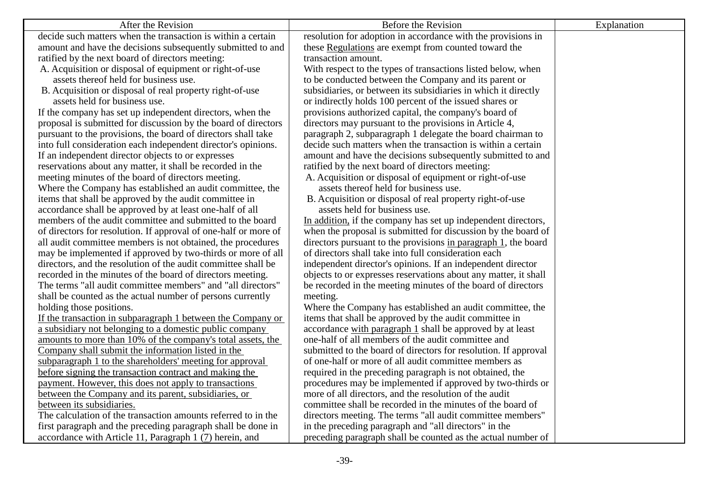| After the Revision                                              | Before the Revision                                             | Explanation |
|-----------------------------------------------------------------|-----------------------------------------------------------------|-------------|
| decide such matters when the transaction is within a certain    | resolution for adoption in accordance with the provisions in    |             |
| amount and have the decisions subsequently submitted to and     | these Regulations are exempt from counted toward the            |             |
| ratified by the next board of directors meeting:                | transaction amount.                                             |             |
| A. Acquisition or disposal of equipment or right-of-use         | With respect to the types of transactions listed below, when    |             |
| assets thereof held for business use.                           | to be conducted between the Company and its parent or           |             |
| B. Acquisition or disposal of real property right-of-use        | subsidiaries, or between its subsidiaries in which it directly  |             |
| assets held for business use.                                   | or indirectly holds 100 percent of the issued shares or         |             |
| If the company has set up independent directors, when the       | provisions authorized capital, the company's board of           |             |
| proposal is submitted for discussion by the board of directors  | directors may pursuant to the provisions in Article 4,          |             |
| pursuant to the provisions, the board of directors shall take   | paragraph 2, subparagraph 1 delegate the board chairman to      |             |
| into full consideration each independent director's opinions.   | decide such matters when the transaction is within a certain    |             |
| If an independent director objects to or expresses              | amount and have the decisions subsequently submitted to and     |             |
| reservations about any matter, it shall be recorded in the      | ratified by the next board of directors meeting:                |             |
| meeting minutes of the board of directors meeting.              | A. Acquisition or disposal of equipment or right-of-use         |             |
| Where the Company has established an audit committee, the       | assets thereof held for business use.                           |             |
| items that shall be approved by the audit committee in          | B. Acquisition or disposal of real property right-of-use        |             |
| accordance shall be approved by at least one-half of all        | assets held for business use.                                   |             |
| members of the audit committee and submitted to the board       | In addition, if the company has set up independent directors,   |             |
| of directors for resolution. If approval of one-half or more of | when the proposal is submitted for discussion by the board of   |             |
| all audit committee members is not obtained, the procedures     | directors pursuant to the provisions in paragraph 1, the board  |             |
| may be implemented if approved by two-thirds or more of all     | of directors shall take into full consideration each            |             |
| directors, and the resolution of the audit committee shall be   | independent director's opinions. If an independent director     |             |
| recorded in the minutes of the board of directors meeting.      | objects to or expresses reservations about any matter, it shall |             |
| The terms "all audit committee members" and "all directors"     | be recorded in the meeting minutes of the board of directors    |             |
| shall be counted as the actual number of persons currently      | meeting.                                                        |             |
| holding those positions.                                        | Where the Company has established an audit committee, the       |             |
| If the transaction in subparagraph 1 between the Company or     | items that shall be approved by the audit committee in          |             |
| a subsidiary not belonging to a domestic public company         | accordance with paragraph 1 shall be approved by at least       |             |
| amounts to more than 10% of the company's total assets, the     | one-half of all members of the audit committee and              |             |
| Company shall submit the information listed in the              | submitted to the board of directors for resolution. If approval |             |
| subparagraph 1 to the shareholders' meeting for approval        | of one-half or more of all audit committee members as           |             |
| before signing the transaction contract and making the          | required in the preceding paragraph is not obtained, the        |             |
| payment. However, this does not apply to transactions           | procedures may be implemented if approved by two-thirds or      |             |
| between the Company and its parent, subsidiaries, or            | more of all directors, and the resolution of the audit          |             |
| between its subsidiaries.                                       | committee shall be recorded in the minutes of the board of      |             |
| The calculation of the transaction amounts referred to in the   | directors meeting. The terms "all audit committee members"      |             |
| first paragraph and the preceding paragraph shall be done in    | in the preceding paragraph and "all directors" in the           |             |
| accordance with Article 11, Paragraph 1 (7) herein, and         | preceding paragraph shall be counted as the actual number of    |             |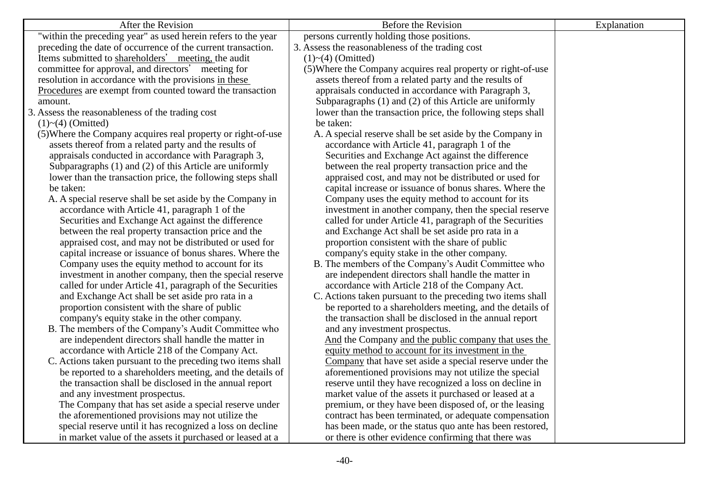| After the Revision                                            | <b>Before the Revision</b>                                   | Explanation |
|---------------------------------------------------------------|--------------------------------------------------------------|-------------|
| "within the preceding year" as used herein refers to the year | persons currently holding those positions.                   |             |
| preceding the date of occurrence of the current transaction.  | 3. Assess the reasonableness of the trading cost             |             |
| Items submitted to shareholders' meeting, the audit           | $(1)~(4)$ (Omitted)                                          |             |
| committee for approval, and directors' meeting for            | (5) Where the Company acquires real property or right-of-use |             |
| resolution in accordance with the provisions in these         | assets thereof from a related party and the results of       |             |
| Procedures are exempt from counted toward the transaction     | appraisals conducted in accordance with Paragraph 3,         |             |
| amount.                                                       | Subparagraphs (1) and (2) of this Article are uniformly      |             |
| 3. Assess the reasonableness of the trading cost              | lower than the transaction price, the following steps shall  |             |
| $(1)~(4)$ (Omitted)                                           | be taken:                                                    |             |
| (5) Where the Company acquires real property or right-of-use  | A. A special reserve shall be set aside by the Company in    |             |
| assets thereof from a related party and the results of        | accordance with Article 41, paragraph 1 of the               |             |
| appraisals conducted in accordance with Paragraph 3,          | Securities and Exchange Act against the difference           |             |
| Subparagraphs (1) and (2) of this Article are uniformly       | between the real property transaction price and the          |             |
| lower than the transaction price, the following steps shall   | appraised cost, and may not be distributed or used for       |             |
| be taken:                                                     | capital increase or issuance of bonus shares. Where the      |             |
| A. A special reserve shall be set aside by the Company in     | Company uses the equity method to account for its            |             |
| accordance with Article 41, paragraph 1 of the                | investment in another company, then the special reserve      |             |
| Securities and Exchange Act against the difference            | called for under Article 41, paragraph of the Securities     |             |
| between the real property transaction price and the           | and Exchange Act shall be set aside pro rata in a            |             |
| appraised cost, and may not be distributed or used for        | proportion consistent with the share of public               |             |
| capital increase or issuance of bonus shares. Where the       | company's equity stake in the other company.                 |             |
| Company uses the equity method to account for its             | B. The members of the Company's Audit Committee who          |             |
| investment in another company, then the special reserve       | are independent directors shall handle the matter in         |             |
| called for under Article 41, paragraph of the Securities      | accordance with Article 218 of the Company Act.              |             |
| and Exchange Act shall be set aside pro rata in a             | C. Actions taken pursuant to the preceding two items shall   |             |
| proportion consistent with the share of public                | be reported to a shareholders meeting, and the details of    |             |
| company's equity stake in the other company.                  | the transaction shall be disclosed in the annual report      |             |
| B. The members of the Company's Audit Committee who           | and any investment prospectus.                               |             |
| are independent directors shall handle the matter in          | And the Company and the public company that uses the         |             |
| accordance with Article 218 of the Company Act.               | equity method to account for its investment in the           |             |
| C. Actions taken pursuant to the preceding two items shall    | Company that have set aside a special reserve under the      |             |
| be reported to a shareholders meeting, and the details of     | aforementioned provisions may not utilize the special        |             |
| the transaction shall be disclosed in the annual report       | reserve until they have recognized a loss on decline in      |             |
| and any investment prospectus.                                | market value of the assets it purchased or leased at a       |             |
| The Company that has set aside a special reserve under        | premium, or they have been disposed of, or the leasing       |             |
| the aforementioned provisions may not utilize the             | contract has been terminated, or adequate compensation       |             |
| special reserve until it has recognized a loss on decline     | has been made, or the status quo ante has been restored,     |             |
| in market value of the assets it purchased or leased at a     | or there is other evidence confirming that there was         |             |
|                                                               |                                                              |             |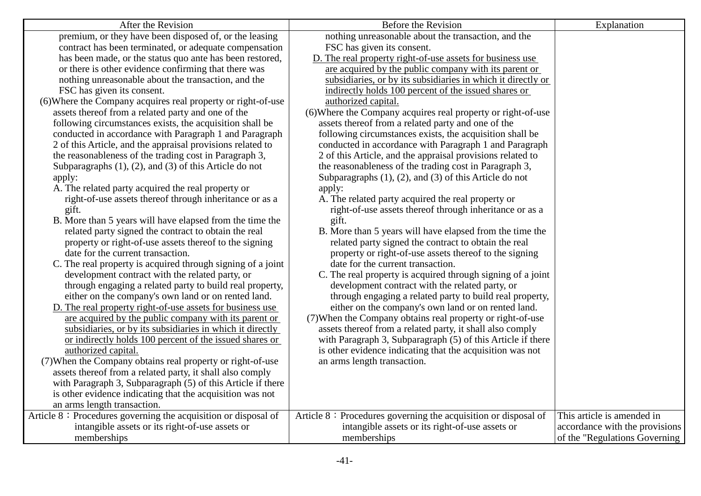| After the Revision                                               | <b>Before the Revision</b>                                     | Explanation                    |
|------------------------------------------------------------------|----------------------------------------------------------------|--------------------------------|
| premium, or they have been disposed of, or the leasing           | nothing unreasonable about the transaction, and the            |                                |
| contract has been terminated, or adequate compensation           | FSC has given its consent.                                     |                                |
| has been made, or the status quo ante has been restored,         | D. The real property right-of-use assets for business use      |                                |
| or there is other evidence confirming that there was             | are acquired by the public company with its parent or          |                                |
| nothing unreasonable about the transaction, and the              | subsidiaries, or by its subsidiaries in which it directly or   |                                |
| FSC has given its consent.                                       | indirectly holds 100 percent of the issued shares or           |                                |
| (6) Where the Company acquires real property or right-of-use     | authorized capital.                                            |                                |
| assets thereof from a related party and one of the               | (6) Where the Company acquires real property or right-of-use   |                                |
| following circumstances exists, the acquisition shall be         | assets thereof from a related party and one of the             |                                |
| conducted in accordance with Paragraph 1 and Paragraph           | following circumstances exists, the acquisition shall be       |                                |
| 2 of this Article, and the appraisal provisions related to       | conducted in accordance with Paragraph 1 and Paragraph         |                                |
| the reasonableness of the trading cost in Paragraph 3,           | 2 of this Article, and the appraisal provisions related to     |                                |
| Subparagraphs (1), (2), and (3) of this Article do not           | the reasonableness of the trading cost in Paragraph 3,         |                                |
| apply:                                                           | Subparagraphs $(1)$ , $(2)$ , and $(3)$ of this Article do not |                                |
| A. The related party acquired the real property or               | apply:                                                         |                                |
| right-of-use assets thereof through inheritance or as a          | A. The related party acquired the real property or             |                                |
| gift.                                                            | right-of-use assets thereof through inheritance or as a        |                                |
| B. More than 5 years will have elapsed from the time the         | gift.                                                          |                                |
| related party signed the contract to obtain the real             | B. More than 5 years will have elapsed from the time the       |                                |
| property or right-of-use assets thereof to the signing           | related party signed the contract to obtain the real           |                                |
| date for the current transaction.                                | property or right-of-use assets thereof to the signing         |                                |
| C. The real property is acquired through signing of a joint      | date for the current transaction.                              |                                |
| development contract with the related party, or                  | C. The real property is acquired through signing of a joint    |                                |
| through engaging a related party to build real property,         | development contract with the related party, or                |                                |
| either on the company's own land or on rented land.              | through engaging a related party to build real property,       |                                |
| D. The real property right-of-use assets for business use        | either on the company's own land or on rented land.            |                                |
| are acquired by the public company with its parent or            | (7) When the Company obtains real property or right-of-use     |                                |
| subsidiaries, or by its subsidiaries in which it directly        | assets thereof from a related party, it shall also comply      |                                |
| or indirectly holds 100 percent of the issued shares or          | with Paragraph 3, Subparagraph (5) of this Article if there    |                                |
| authorized capital.                                              | is other evidence indicating that the acquisition was not      |                                |
| (7) When the Company obtains real property or right-of-use       | an arms length transaction.                                    |                                |
| assets thereof from a related party, it shall also comply        |                                                                |                                |
| with Paragraph 3, Subparagraph (5) of this Article if there      |                                                                |                                |
| is other evidence indicating that the acquisition was not        |                                                                |                                |
| an arms length transaction.                                      |                                                                |                                |
| Article $8:$ Procedures governing the acquisition or disposal of | Article 8: Procedures governing the acquisition or disposal of | This article is amended in     |
| intangible assets or its right-of-use assets or                  | intangible assets or its right-of-use assets or                | accordance with the provisions |
| memberships                                                      | memberships                                                    | of the "Regulations Governing  |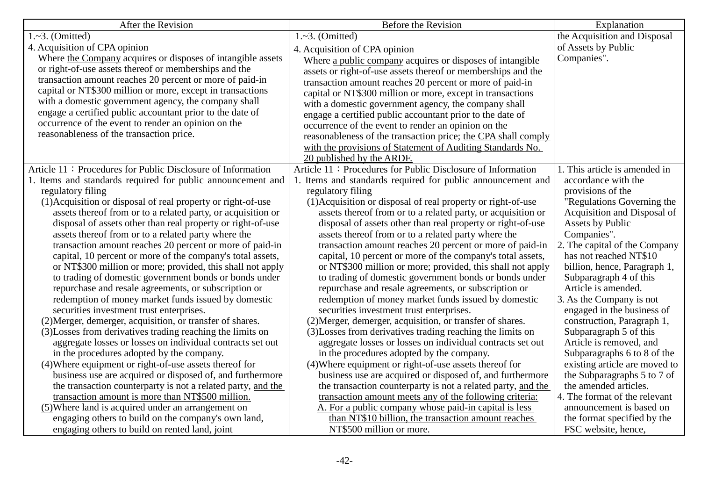| After the Revision                                           | Before the Revision                                           | Explanation                   |
|--------------------------------------------------------------|---------------------------------------------------------------|-------------------------------|
| $1.-3.$ (Omitted)                                            | $1.-3.$ (Omitted)                                             | the Acquisition and Disposal  |
| 4. Acquisition of CPA opinion                                | 4. Acquisition of CPA opinion                                 | of Assets by Public           |
| Where the Company acquires or disposes of intangible assets  | Where a public company acquires or disposes of intangible     | Companies".                   |
| or right-of-use assets thereof or memberships and the        | assets or right-of-use assets thereof or memberships and the  |                               |
| transaction amount reaches 20 percent or more of paid-in     | transaction amount reaches 20 percent or more of paid-in      |                               |
| capital or NT\$300 million or more, except in transactions   | capital or NT\$300 million or more, except in transactions    |                               |
| with a domestic government agency, the company shall         | with a domestic government agency, the company shall          |                               |
| engage a certified public accountant prior to the date of    | engage a certified public accountant prior to the date of     |                               |
| occurrence of the event to render an opinion on the          | occurrence of the event to render an opinion on the           |                               |
| reasonableness of the transaction price.                     | reasonableness of the transaction price; the CPA shall comply |                               |
|                                                              | with the provisions of Statement of Auditing Standards No.    |                               |
|                                                              | 20 published by the ARDF.                                     |                               |
| Article 11: Procedures for Public Disclosure of Information  | Article 11: Procedures for Public Disclosure of Information   | 1. This article is amended in |
| 1. Items and standards required for public announcement and  | 1. Items and standards required for public announcement and   | accordance with the           |
| regulatory filing                                            | regulatory filing                                             | provisions of the             |
| (1) Acquisition or disposal of real property or right-of-use | (1) Acquisition or disposal of real property or right-of-use  | "Regulations Governing the    |
| assets thereof from or to a related party, or acquisition or | assets thereof from or to a related party, or acquisition or  | Acquisition and Disposal of   |
| disposal of assets other than real property or right-of-use  | disposal of assets other than real property or right-of-use   | Assets by Public              |
| assets thereof from or to a related party where the          | assets thereof from or to a related party where the           | Companies".                   |
| transaction amount reaches 20 percent or more of paid-in     | transaction amount reaches 20 percent or more of paid-in      | 2. The capital of the Company |
| capital, 10 percent or more of the company's total assets,   | capital, 10 percent or more of the company's total assets,    | has not reached NT\$10        |
| or NT\$300 million or more; provided, this shall not apply   | or NT\$300 million or more; provided, this shall not apply    | billion, hence, Paragraph 1,  |
| to trading of domestic government bonds or bonds under       | to trading of domestic government bonds or bonds under        | Subparagraph 4 of this        |
| repurchase and resale agreements, or subscription or         | repurchase and resale agreements, or subscription or          | Article is amended.           |
| redemption of money market funds issued by domestic          | redemption of money market funds issued by domestic           | 3. As the Company is not      |
| securities investment trust enterprises.                     | securities investment trust enterprises.                      | engaged in the business of    |
| (2) Merger, demerger, acquisition, or transfer of shares.    | (2) Merger, demerger, acquisition, or transfer of shares.     | construction, Paragraph 1,    |
| (3) Losses from derivatives trading reaching the limits on   | (3) Losses from derivatives trading reaching the limits on    | Subparagraph 5 of this        |
| aggregate losses or losses on individual contracts set out   | aggregate losses or losses on individual contracts set out    | Article is removed, and       |
| in the procedures adopted by the company.                    | in the procedures adopted by the company.                     | Subparagraphs 6 to 8 of the   |
| (4) Where equipment or right-of-use assets thereof for       | (4) Where equipment or right-of-use assets thereof for        | existing article are moved to |
| business use are acquired or disposed of, and furthermore    | business use are acquired or disposed of, and furthermore     | the Subparagraphs 5 to 7 of   |
| the transaction counterparty is not a related party, and the | the transaction counterparty is not a related party, and the  | the amended articles.         |
| transaction amount is more than NT\$500 million.             | transaction amount meets any of the following criteria:       | 4. The format of the relevant |
| (5) Where land is acquired under an arrangement on           | A. For a public company whose paid-in capital is less         | announcement is based on      |
| engaging others to build on the company's own land,          | than NT\$10 billion, the transaction amount reaches           | the format specified by the   |
| engaging others to build on rented land, joint               | NT\$500 million or more.                                      | FSC website, hence,           |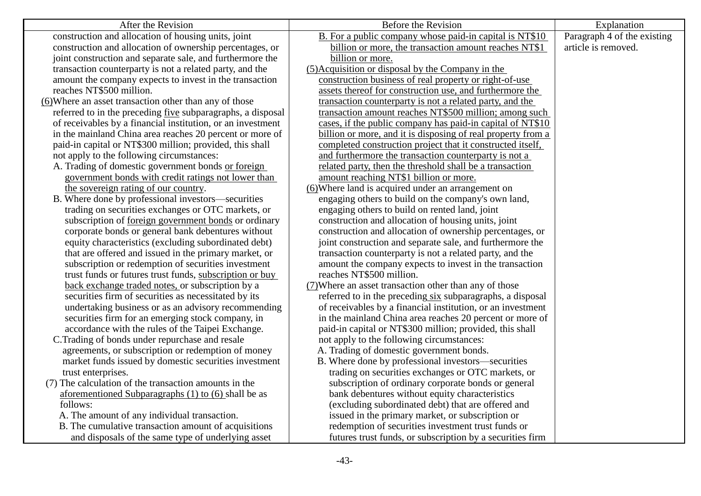| After the Revision                                                 | <b>Before the Revision</b>                                   | Explanation                 |
|--------------------------------------------------------------------|--------------------------------------------------------------|-----------------------------|
| construction and allocation of housing units, joint                | B. For a public company whose paid-in capital is NT\$10      | Paragraph 4 of the existing |
| construction and allocation of ownership percentages, or           | billion or more, the transaction amount reaches NT\$1        | article is removed.         |
| joint construction and separate sale, and furthermore the          | billion or more.                                             |                             |
| transaction counterparty is not a related party, and the           | (5) Acquisition or disposal by the Company in the            |                             |
| amount the company expects to invest in the transaction            | construction business of real property or right-of-use       |                             |
| reaches NT\$500 million.                                           | assets thereof for construction use, and furthermore the     |                             |
| (6) Where an asset transaction other than any of those             | transaction counterparty is not a related party, and the     |                             |
| referred to in the preceding <u>five</u> subparagraphs, a disposal | transaction amount reaches NT\$500 million; among such       |                             |
| of receivables by a financial institution, or an investment        | cases, if the public company has paid-in capital of NT\$10   |                             |
| in the mainland China area reaches 20 percent or more of           | billion or more, and it is disposing of real property from a |                             |
| paid-in capital or NT\$300 million; provided, this shall           | completed construction project that it constructed itself,   |                             |
| not apply to the following circumstances:                          | and furthermore the transaction counterparty is not a        |                             |
| A. Trading of domestic government bonds or foreign                 | related party, then the threshold shall be a transaction     |                             |
| government bonds with credit ratings not lower than                | amount reaching NT\$1 billion or more.                       |                             |
| the sovereign rating of our country.                               | (6) Where land is acquired under an arrangement on           |                             |
| B. Where done by professional investors—securities                 | engaging others to build on the company's own land,          |                             |
| trading on securities exchanges or OTC markets, or                 | engaging others to build on rented land, joint               |                             |
| subscription of <u>foreign</u> government bonds or ordinary        | construction and allocation of housing units, joint          |                             |
| corporate bonds or general bank debentures without                 | construction and allocation of ownership percentages, or     |                             |
| equity characteristics (excluding subordinated debt)               | joint construction and separate sale, and furthermore the    |                             |
| that are offered and issued in the primary market, or              | transaction counterparty is not a related party, and the     |                             |
| subscription or redemption of securities investment                | amount the company expects to invest in the transaction      |                             |
| trust funds or futures trust funds, subscription or buy            | reaches NT\$500 million.                                     |                             |
| back exchange traded notes, or subscription by a                   | (7) Where an asset transaction other than any of those       |                             |
| securities firm of securities as necessitated by its               | referred to in the preceding six subparagraphs, a disposal   |                             |
| undertaking business or as an advisory recommending                | of receivables by a financial institution, or an investment  |                             |
| securities firm for an emerging stock company, in                  | in the mainland China area reaches 20 percent or more of     |                             |
| accordance with the rules of the Taipei Exchange.                  | paid-in capital or NT\$300 million; provided, this shall     |                             |
| C. Trading of bonds under repurchase and resale                    | not apply to the following circumstances:                    |                             |
| agreements, or subscription or redemption of money                 | A. Trading of domestic government bonds.                     |                             |
| market funds issued by domestic securities investment              | B. Where done by professional investors—securities           |                             |
| trust enterprises.                                                 | trading on securities exchanges or OTC markets, or           |                             |
| (7) The calculation of the transaction amounts in the              | subscription of ordinary corporate bonds or general          |                             |
| aforementioned Subparagraphs (1) to (6) shall be as                | bank debentures without equity characteristics               |                             |
| follows:                                                           | (excluding subordinated debt) that are offered and           |                             |
| A. The amount of any individual transaction.                       | issued in the primary market, or subscription or             |                             |
| B. The cumulative transaction amount of acquisitions               | redemption of securities investment trust funds or           |                             |
| and disposals of the same type of underlying asset                 | futures trust funds, or subscription by a securities firm    |                             |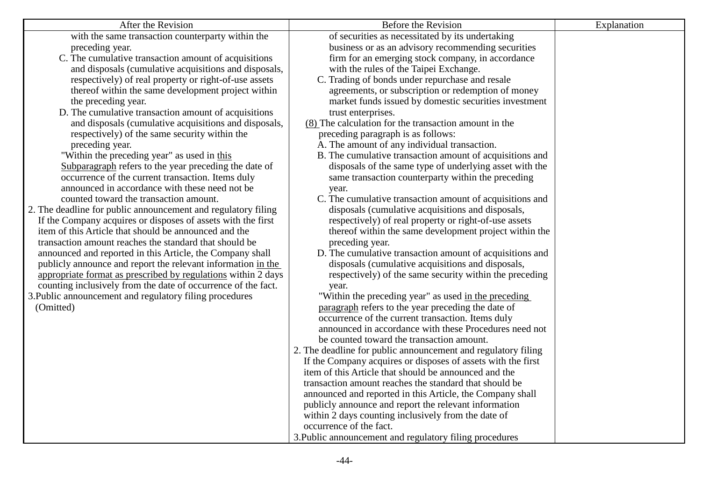| After the Revision                                            | Before the Revision                                           | Explanation |
|---------------------------------------------------------------|---------------------------------------------------------------|-------------|
| with the same transaction counterparty within the             | of securities as necessitated by its undertaking              |             |
| preceding year.                                               | business or as an advisory recommending securities            |             |
| C. The cumulative transaction amount of acquisitions          | firm for an emerging stock company, in accordance             |             |
| and disposals (cumulative acquisitions and disposals,         | with the rules of the Taipei Exchange.                        |             |
| respectively) of real property or right-of-use assets         | C. Trading of bonds under repurchase and resale               |             |
| thereof within the same development project within            | agreements, or subscription or redemption of money            |             |
| the preceding year.                                           | market funds issued by domestic securities investment         |             |
| D. The cumulative transaction amount of acquisitions          | trust enterprises.                                            |             |
| and disposals (cumulative acquisitions and disposals,         | (8) The calculation for the transaction amount in the         |             |
| respectively) of the same security within the                 | preceding paragraph is as follows:                            |             |
| preceding year.                                               | A. The amount of any individual transaction.                  |             |
| "Within the preceding year" as used in this                   | B. The cumulative transaction amount of acquisitions and      |             |
| Subparagraph refers to the year preceding the date of         | disposals of the same type of underlying asset with the       |             |
| occurrence of the current transaction. Items duly             | same transaction counterparty within the preceding            |             |
| announced in accordance with these need not be                | year.                                                         |             |
| counted toward the transaction amount.                        | C. The cumulative transaction amount of acquisitions and      |             |
| 2. The deadline for public announcement and regulatory filing | disposals (cumulative acquisitions and disposals,             |             |
| If the Company acquires or disposes of assets with the first  | respectively) of real property or right-of-use assets         |             |
| item of this Article that should be announced and the         | thereof within the same development project within the        |             |
| transaction amount reaches the standard that should be        | preceding year.                                               |             |
| announced and reported in this Article, the Company shall     | D. The cumulative transaction amount of acquisitions and      |             |
| publicly announce and report the relevant information in the  | disposals (cumulative acquisitions and disposals,             |             |
| appropriate format as prescribed by regulations within 2 days | respectively) of the same security within the preceding       |             |
| counting inclusively from the date of occurrence of the fact. | year.                                                         |             |
| 3. Public announcement and regulatory filing procedures       | "Within the preceding year" as used in the preceding          |             |
| (Omitted)                                                     | paragraph refers to the year preceding the date of            |             |
|                                                               | occurrence of the current transaction. Items duly             |             |
|                                                               | announced in accordance with these Procedures need not        |             |
|                                                               | be counted toward the transaction amount.                     |             |
|                                                               | 2. The deadline for public announcement and regulatory filing |             |
|                                                               | If the Company acquires or disposes of assets with the first  |             |
|                                                               | item of this Article that should be announced and the         |             |
|                                                               | transaction amount reaches the standard that should be        |             |
|                                                               | announced and reported in this Article, the Company shall     |             |
|                                                               | publicly announce and report the relevant information         |             |
|                                                               | within 2 days counting inclusively from the date of           |             |
|                                                               | occurrence of the fact.                                       |             |
|                                                               | 3. Public announcement and regulatory filing procedures       |             |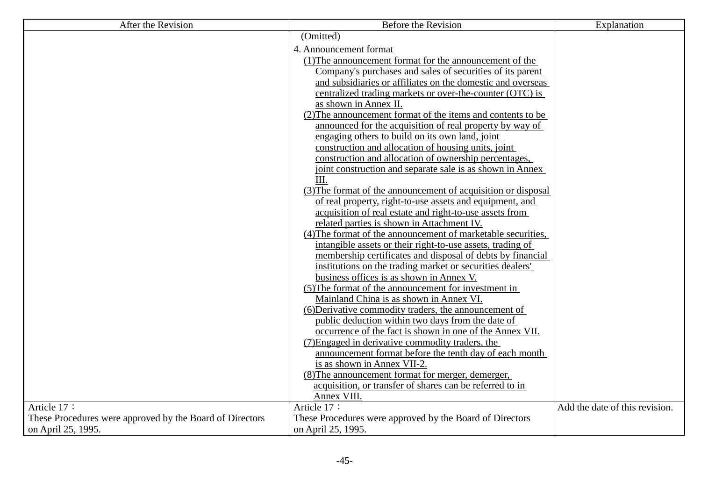| After the Revision                                       | <b>Before the Revision</b>                                              | Explanation                    |
|----------------------------------------------------------|-------------------------------------------------------------------------|--------------------------------|
|                                                          | (Omitted)                                                               |                                |
|                                                          | 4. Announcement format                                                  |                                |
|                                                          | (1) The announcement format for the announcement of the                 |                                |
|                                                          | Company's purchases and sales of securities of its parent               |                                |
|                                                          | and subsidiaries or affiliates on the domestic and overseas             |                                |
|                                                          | centralized trading markets or over-the-counter (OTC) is                |                                |
|                                                          | as shown in Annex II.                                                   |                                |
|                                                          | (2) The announcement format of the items and contents to be             |                                |
|                                                          | announced for the acquisition of real property by way of                |                                |
|                                                          | engaging others to build on its own land, joint                         |                                |
|                                                          | construction and allocation of housing units, joint                     |                                |
|                                                          | construction and allocation of ownership percentages,                   |                                |
|                                                          | joint construction and separate sale is as shown in Annex               |                                |
|                                                          | III.                                                                    |                                |
|                                                          | (3) The format of the announcement of acquisition or disposal           |                                |
|                                                          | of real property, right-to-use assets and equipment, and                |                                |
|                                                          | acquisition of real estate and right-to-use assets from                 |                                |
|                                                          | related parties is shown in Attachment IV.                              |                                |
|                                                          | (4) The format of the announcement of marketable securities,            |                                |
|                                                          | intangible assets or their right-to-use assets, trading of              |                                |
|                                                          | membership certificates and disposal of debts by financial              |                                |
|                                                          | institutions on the trading market or securities dealers'               |                                |
|                                                          | business offices is as shown in Annex V.                                |                                |
|                                                          | (5) The format of the announcement for investment in                    |                                |
|                                                          | Mainland China is as shown in Annex VI.                                 |                                |
|                                                          | (6) Derivative commodity traders, the announcement of                   |                                |
|                                                          | public deduction within two days from the date of                       |                                |
|                                                          | occurrence of the fact is shown in one of the Annex VII.                |                                |
|                                                          | (7) Engaged in derivative commodity traders, the                        |                                |
|                                                          | announcement format before the tenth day of each month                  |                                |
|                                                          | is as shown in Annex VII-2.                                             |                                |
|                                                          | (8) The announcement format for merger, demerger,                       |                                |
|                                                          | acquisition, or transfer of shares can be referred to in<br>Annex VIII. |                                |
| Article 17:                                              | Article 17:                                                             | Add the date of this revision. |
| These Procedures were approved by the Board of Directors | These Procedures were approved by the Board of Directors                |                                |
| on April 25, 1995.                                       | on April 25, 1995.                                                      |                                |
|                                                          |                                                                         |                                |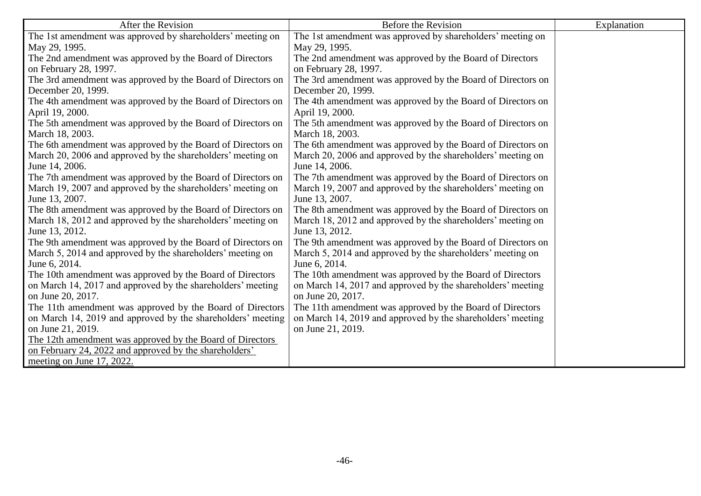| After the Revision                                          | <b>Before the Revision</b>                                  | Explanation |
|-------------------------------------------------------------|-------------------------------------------------------------|-------------|
| The 1st amendment was approved by shareholders' meeting on  | The 1st amendment was approved by shareholders' meeting on  |             |
| May 29, 1995.                                               | May 29, 1995.                                               |             |
| The 2nd amendment was approved by the Board of Directors    | The 2nd amendment was approved by the Board of Directors    |             |
| on February 28, 1997.                                       | on February 28, 1997.                                       |             |
| The 3rd amendment was approved by the Board of Directors on | The 3rd amendment was approved by the Board of Directors on |             |
| December 20, 1999.                                          | December 20, 1999.                                          |             |
| The 4th amendment was approved by the Board of Directors on | The 4th amendment was approved by the Board of Directors on |             |
| April 19, 2000.                                             | April 19, 2000.                                             |             |
| The 5th amendment was approved by the Board of Directors on | The 5th amendment was approved by the Board of Directors on |             |
| March 18, 2003.                                             | March 18, 2003.                                             |             |
| The 6th amendment was approved by the Board of Directors on | The 6th amendment was approved by the Board of Directors on |             |
| March 20, 2006 and approved by the shareholders' meeting on | March 20, 2006 and approved by the shareholders' meeting on |             |
| June 14, 2006.                                              | June 14, 2006.                                              |             |
| The 7th amendment was approved by the Board of Directors on | The 7th amendment was approved by the Board of Directors on |             |
| March 19, 2007 and approved by the shareholders' meeting on | March 19, 2007 and approved by the shareholders' meeting on |             |
| June 13, 2007.                                              | June 13, 2007.                                              |             |
| The 8th amendment was approved by the Board of Directors on | The 8th amendment was approved by the Board of Directors on |             |
| March 18, 2012 and approved by the shareholders' meeting on | March 18, 2012 and approved by the shareholders' meeting on |             |
| June 13, 2012.                                              | June 13, 2012.                                              |             |
| The 9th amendment was approved by the Board of Directors on | The 9th amendment was approved by the Board of Directors on |             |
| March 5, 2014 and approved by the shareholders' meeting on  | March 5, 2014 and approved by the shareholders' meeting on  |             |
| June 6, 2014.                                               | June 6, 2014.                                               |             |
| The 10th amendment was approved by the Board of Directors   | The 10th amendment was approved by the Board of Directors   |             |
| on March 14, 2017 and approved by the shareholders' meeting | on March 14, 2017 and approved by the shareholders' meeting |             |
| on June 20, 2017.                                           | on June 20, 2017.                                           |             |
| The 11th amendment was approved by the Board of Directors   | The 11th amendment was approved by the Board of Directors   |             |
| on March 14, 2019 and approved by the shareholders' meeting | on March 14, 2019 and approved by the shareholders' meeting |             |
| on June 21, 2019.                                           | on June 21, 2019.                                           |             |
| The 12th amendment was approved by the Board of Directors   |                                                             |             |
| on February 24, 2022 and approved by the shareholders'      |                                                             |             |
| meeting on June 17, 2022.                                   |                                                             |             |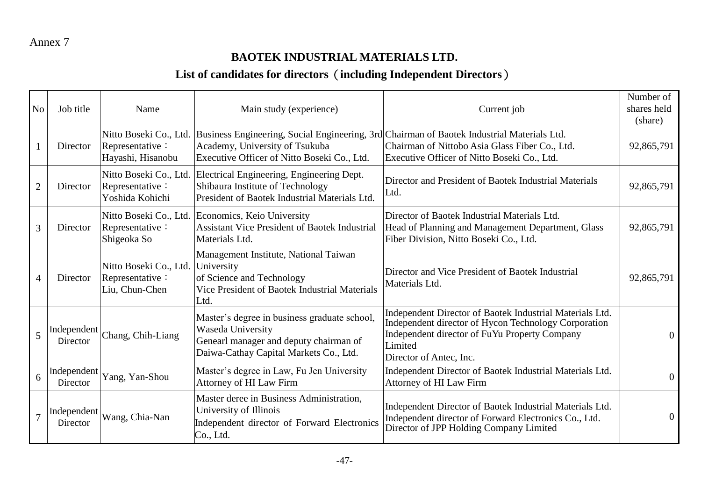## **BAOTEK INDUSTRIAL MATERIALS LTD.**

# **List of candidates for directors**(**including Independent Directors**)

| N <sub>o</sub> | Job title               | Name                                                           | Main study (experience)                                                                                                                                                     | Current job                                                                                                                                                                                             | Number of<br>shares held<br>(share) |
|----------------|-------------------------|----------------------------------------------------------------|-----------------------------------------------------------------------------------------------------------------------------------------------------------------------------|---------------------------------------------------------------------------------------------------------------------------------------------------------------------------------------------------------|-------------------------------------|
|                | Director                | Nitto Boseki Co., Ltd.<br>Representative:<br>Hayashi, Hisanobu | Business Engineering, Social Engineering, 3rd Chairman of Baotek Industrial Materials Ltd.<br>Academy, University of Tsukuba<br>Executive Officer of Nitto Boseki Co., Ltd. | Chairman of Nittobo Asia Glass Fiber Co., Ltd.<br>Executive Officer of Nitto Boseki Co., Ltd.                                                                                                           | 92,865,791                          |
| $\overline{2}$ | Director                | Representative:<br>Yoshida Kohichi                             | Nitto Boseki Co., Ltd. Electrical Engineering, Engineering Dept.<br>Shibaura Institute of Technology<br>President of Baotek Industrial Materials Ltd.                       | Director and President of Baotek Industrial Materials<br>Ltd.                                                                                                                                           | 92,865,791                          |
| 3              | Director                | Representative:<br>Shigeoka So                                 | Nitto Boseki Co., Ltd. Economics, Keio University<br><b>Assistant Vice President of Baotek Industrial</b><br>Materials Ltd.                                                 | Director of Baotek Industrial Materials Ltd.<br>Head of Planning and Management Department, Glass<br>Fiber Division, Nitto Boseki Co., Ltd.                                                             | 92,865,791                          |
| 4              | Director                | Nitto Boseki Co., Ltd.<br>Representative:<br>Liu, Chun-Chen    | Management Institute, National Taiwan<br>University<br>of Science and Technology<br>Vice President of Baotek Industrial Materials<br>Ltd.                                   | Director and Vice President of Baotek Industrial<br>Materials Ltd.                                                                                                                                      | 92,865,791                          |
| 5              | Independent<br>Director | Chang, Chih-Liang                                              | Master's degree in business graduate school,<br>Waseda University<br>Genearl manager and deputy chairman of<br>Daiwa-Cathay Capital Markets Co., Ltd.                       | Independent Director of Baotek Industrial Materials Ltd.<br>Independent director of Hycon Technology Corporation<br>Independent director of FuYu Property Company<br>Limited<br>Director of Antec, Inc. | $\overline{0}$                      |
| 6              | Independent<br>Director | Yang, Yan-Shou                                                 | Master's degree in Law, Fu Jen University<br><b>Attorney of HI Law Firm</b>                                                                                                 | Independent Director of Baotek Industrial Materials Ltd.<br>Attorney of HI Law Firm                                                                                                                     | $\Omega$                            |
| $\overline{7}$ | Independent<br>Director | Wang, Chia-Nan                                                 | Master deree in Business Administration,<br>University of Illinois<br>Independent director of Forward Electronics<br>Co., Ltd.                                              | Independent Director of Baotek Industrial Materials Ltd.<br>Independent director of Forward Electronics Co., Ltd.<br>Director of JPP Holding Company Limited                                            | $\theta$                            |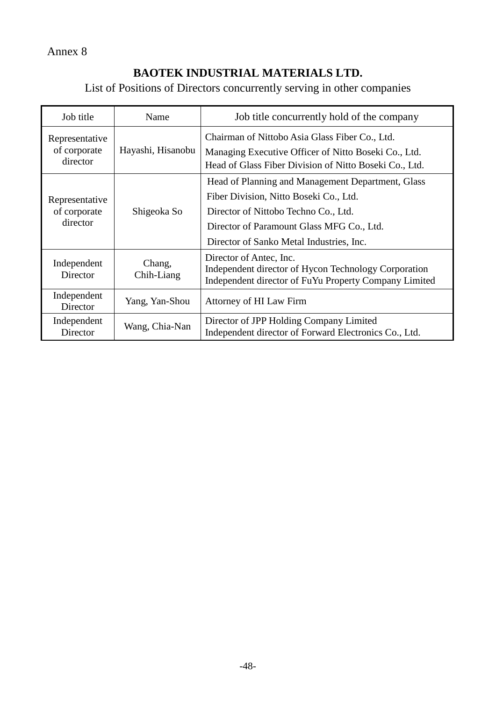# **BAOTEK INDUSTRIAL MATERIALS LTD.**

List of Positions of Directors concurrently serving in other companies

| Job title                      | Name                 | Job title concurrently hold of the company                                                                                               |
|--------------------------------|----------------------|------------------------------------------------------------------------------------------------------------------------------------------|
| Representative<br>of corporate | Hayashi, Hisanobu    | Chairman of Nittobo Asia Glass Fiber Co., Ltd.                                                                                           |
| director                       |                      | Managing Executive Officer of Nitto Boseki Co., Ltd.<br>Head of Glass Fiber Division of Nitto Boseki Co., Ltd.                           |
|                                | Shigeoka So          | Head of Planning and Management Department, Glass                                                                                        |
| Representative                 |                      | Fiber Division, Nitto Boseki Co., Ltd.                                                                                                   |
| of corporate                   |                      | Director of Nittobo Techno Co., Ltd.                                                                                                     |
| director                       |                      | Director of Paramount Glass MFG Co., Ltd.                                                                                                |
|                                |                      | Director of Sanko Metal Industries, Inc.                                                                                                 |
| Independent<br>Director        | Chang,<br>Chih-Liang | Director of Antec, Inc.<br>Independent director of Hycon Technology Corporation<br>Independent director of FuYu Property Company Limited |
| Independent<br>Director        | Yang, Yan-Shou       | Attorney of HI Law Firm                                                                                                                  |
| Independent<br>Director        | Wang, Chia-Nan       | Director of JPP Holding Company Limited<br>Independent director of Forward Electronics Co., Ltd.                                         |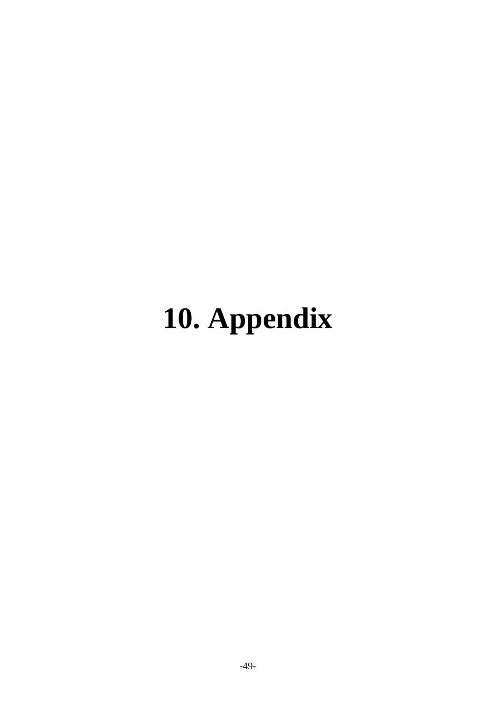# **10. Appendix**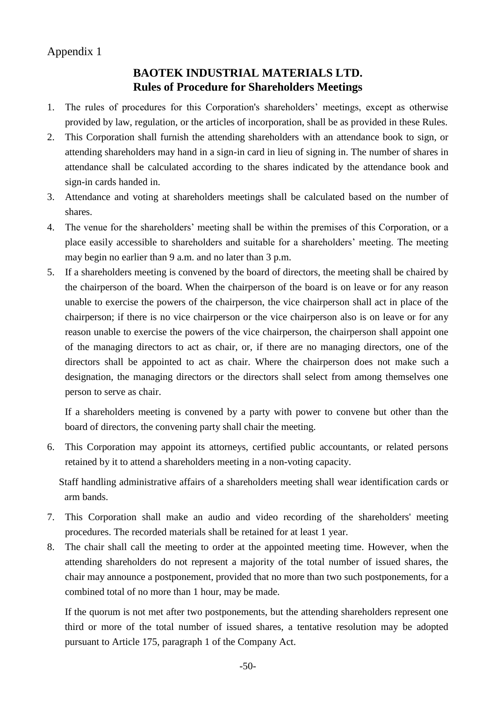## Appendix 1

## **BAOTEK INDUSTRIAL MATERIALS LTD. Rules of Procedure for Shareholders Meetings**

- 1. The rules of procedures for this Corporation's shareholders' meetings, except as otherwise provided by law, regulation, or the articles of incorporation, shall be as provided in these Rules.
- 2. This Corporation shall furnish the attending shareholders with an attendance book to sign, or attending shareholders may hand in a sign-in card in lieu of signing in. The number of shares in attendance shall be calculated according to the shares indicated by the attendance book and sign-in cards handed in.
- 3. Attendance and voting at shareholders meetings shall be calculated based on the number of shares.
- 4. The venue for the shareholders' meeting shall be within the premises of this Corporation, or a place easily accessible to shareholders and suitable for a shareholders' meeting. The meeting may begin no earlier than 9 a.m. and no later than 3 p.m.
- 5. If a shareholders meeting is convened by the board of directors, the meeting shall be chaired by the chairperson of the board. When the chairperson of the board is on leave or for any reason unable to exercise the powers of the chairperson, the vice chairperson shall act in place of the chairperson; if there is no vice chairperson or the vice chairperson also is on leave or for any reason unable to exercise the powers of the vice chairperson, the chairperson shall appoint one of the managing directors to act as chair, or, if there are no managing directors, one of the directors shall be appointed to act as chair. Where the chairperson does not make such a designation, the managing directors or the directors shall select from among themselves one person to serve as chair.

If a shareholders meeting is convened by a party with power to convene but other than the board of directors, the convening party shall chair the meeting.

6. This Corporation may appoint its attorneys, certified public accountants, or related persons retained by it to attend a shareholders meeting in a non-voting capacity.

Staff handling administrative affairs of a shareholders meeting shall wear identification cards or arm bands.

- 7. This Corporation shall make an audio and video recording of the shareholders' meeting procedures. The recorded materials shall be retained for at least 1 year.
- 8. The chair shall call the meeting to order at the appointed meeting time. However, when the attending shareholders do not represent a majority of the total number of issued shares, the chair may announce a postponement, provided that no more than two such postponements, for a combined total of no more than 1 hour, may be made.

If the quorum is not met after two postponements, but the attending shareholders represent one third or more of the total number of issued shares, a tentative resolution may be adopted pursuant to Article 175, paragraph 1 of the Company Act.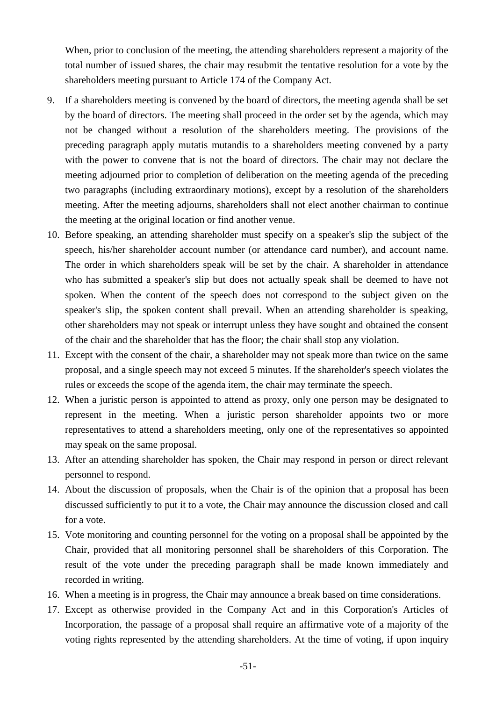When, prior to conclusion of the meeting, the attending shareholders represent a majority of the total number of issued shares, the chair may resubmit the tentative resolution for a vote by the shareholders meeting pursuant to Article 174 of the Company Act.

- 9. If a shareholders meeting is convened by the board of directors, the meeting agenda shall be set by the board of directors. The meeting shall proceed in the order set by the agenda, which may not be changed without a resolution of the shareholders meeting. The provisions of the preceding paragraph apply mutatis mutandis to a shareholders meeting convened by a party with the power to convene that is not the board of directors. The chair may not declare the meeting adjourned prior to completion of deliberation on the meeting agenda of the preceding two paragraphs (including extraordinary motions), except by a resolution of the shareholders meeting. After the meeting adjourns, shareholders shall not elect another chairman to continue the meeting at the original location or find another venue.
- 10. Before speaking, an attending shareholder must specify on a speaker's slip the subject of the speech, his/her shareholder account number (or attendance card number), and account name. The order in which shareholders speak will be set by the chair. A shareholder in attendance who has submitted a speaker's slip but does not actually speak shall be deemed to have not spoken. When the content of the speech does not correspond to the subject given on the speaker's slip, the spoken content shall prevail. When an attending shareholder is speaking, other shareholders may not speak or interrupt unless they have sought and obtained the consent of the chair and the shareholder that has the floor; the chair shall stop any violation.
- 11. Except with the consent of the chair, a shareholder may not speak more than twice on the same proposal, and a single speech may not exceed 5 minutes. If the shareholder's speech violates the rules or exceeds the scope of the agenda item, the chair may terminate the speech.
- 12. When a juristic person is appointed to attend as proxy, only one person may be designated to represent in the meeting. When a juristic person shareholder appoints two or more representatives to attend a shareholders meeting, only one of the representatives so appointed may speak on the same proposal.
- 13. After an attending shareholder has spoken, the Chair may respond in person or direct relevant personnel to respond.
- 14. About the discussion of proposals, when the Chair is of the opinion that a proposal has been discussed sufficiently to put it to a vote, the Chair may announce the discussion closed and call for a vote.
- 15. Vote monitoring and counting personnel for the voting on a proposal shall be appointed by the Chair, provided that all monitoring personnel shall be shareholders of this Corporation. The result of the vote under the preceding paragraph shall be made known immediately and recorded in writing.
- 16. When a meeting is in progress, the Chair may announce a break based on time considerations.
- 17. Except as otherwise provided in the Company Act and in this Corporation's Articles of Incorporation, the passage of a proposal shall require an affirmative vote of a majority of the voting rights represented by the attending shareholders. At the time of voting, if upon inquiry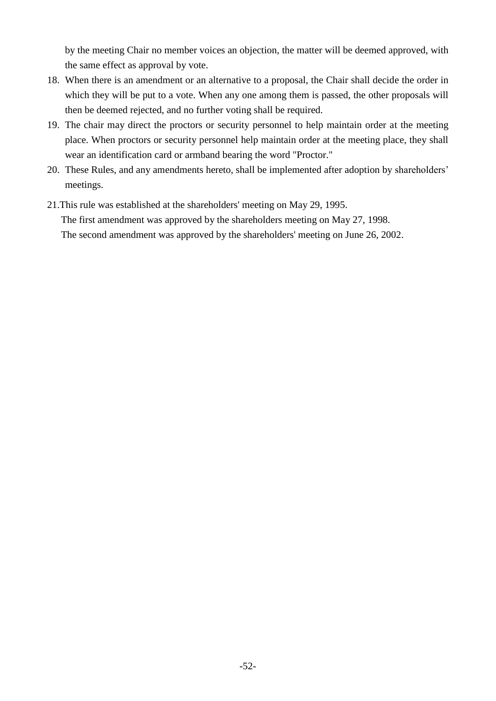by the meeting Chair no member voices an objection, the matter will be deemed approved, with the same effect as approval by vote.

- 18. When there is an amendment or an alternative to a proposal, the Chair shall decide the order in which they will be put to a vote. When any one among them is passed, the other proposals will then be deemed rejected, and no further voting shall be required.
- 19. The chair may direct the proctors or security personnel to help maintain order at the meeting place. When proctors or security personnel help maintain order at the meeting place, they shall wear an identification card or armband bearing the word "Proctor."
- 20. These Rules, and any amendments hereto, shall be implemented after adoption by shareholders' meetings.
- 21.This rule was established at the shareholders' meeting on May 29, 1995. The first amendment was approved by the shareholders meeting on May 27, 1998. The second amendment was approved by the shareholders' meeting on June 26, 2002.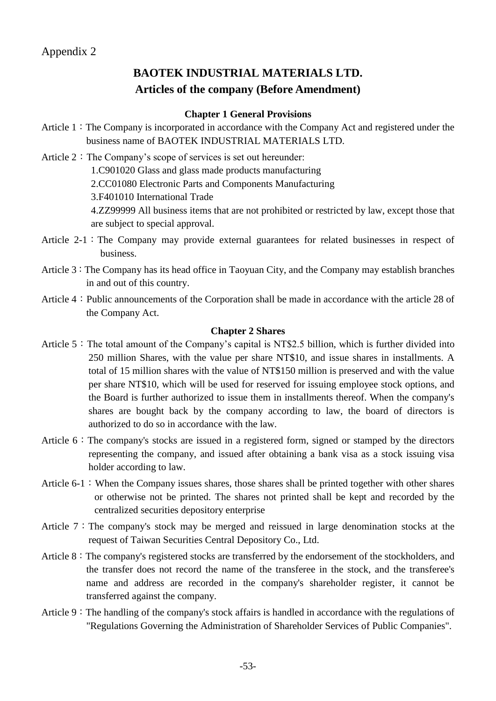# **BAOTEK INDUSTRIAL MATERIALS LTD. Articles of the company (Before Amendment)**

#### **Chapter 1 General Provisions**

Article 1: The Company is incorporated in accordance with the Company Act and registered under the business name of BAOTEK INDUSTRIAL MATERIALS LTD.

Article  $2:$  The Company's scope of services is set out hereunder: 1.C901020 Glass and glass made products manufacturing 2.CC01080 Electronic Parts and Components Manufacturing 3.F401010 International Trade 4.ZZ99999 All business items that are not prohibited or restricted by law, except those that are subject to special approval.

- Article 2-1: The Company may provide external guarantees for related businesses in respect of business.
- Article 3: The Company has its head office in Taoyuan City, and the Company may establish branches in and out of this country.
- Article 4: Public announcements of the Corporation shall be made in accordance with the article 28 of the Company Act.

#### **Chapter 2 Shares**

- Article 5: The total amount of the Company's capital is NT\$2.5 billion, which is further divided into 250 million Shares, with the value per share NT\$10, and issue shares in installments. A total of 15 million shares with the value of NT\$150 million is preserved and with the value per share NT\$10, which will be used for reserved for issuing employee stock options, and the Board is further authorized to issue them in installments thereof. When the company's shares are bought back by the company according to law, the board of directors is authorized to do so in accordance with the law.
- Article  $6:$  The company's stocks are issued in a registered form, signed or stamped by the directors representing the company, and issued after obtaining a bank visa as a stock issuing visa holder according to law.
- Article  $6-1$ : When the Company issues shares, those shares shall be printed together with other shares or otherwise not be printed. The shares not printed shall be kept and recorded by the centralized securities depository enterprise
- Article  $7:$  The company's stock may be merged and reissued in large denomination stocks at the request of Taiwan Securities Central Depository Co., Ltd.
- Article  $8:$  The company's registered stocks are transferred by the endorsement of the stockholders, and the transfer does not record the name of the transferee in the stock, and the transferee's name and address are recorded in the company's shareholder register, it cannot be transferred against the company.
- Article 9: The handling of the company's stock affairs is handled in accordance with the regulations of "Regulations Governing the Administration of Shareholder Services of Public Companies".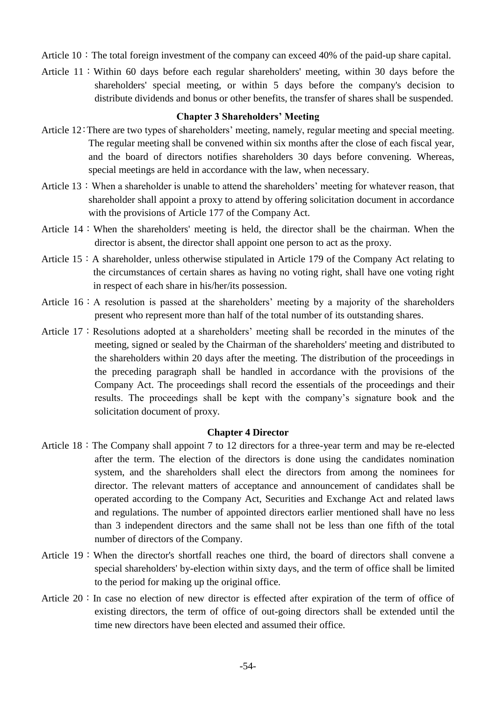- Article  $10:$  The total foreign investment of the company can exceed 40% of the paid-up share capital.
- Article 11:Within 60 days before each regular shareholders' meeting, within 30 days before the shareholders' special meeting, or within 5 days before the company's decision to distribute dividends and bonus or other benefits, the transfer of shares shall be suspended.

#### **Chapter 3 Shareholders' Meeting**

- Article 12:There are two types of shareholders' meeting, namely, regular meeting and special meeting. The regular meeting shall be convened within six months after the close of each fiscal year, and the board of directors notifies shareholders 30 days before convening. Whereas, special meetings are held in accordance with the law, when necessary.
- Article 13: When a shareholder is unable to attend the shareholders' meeting for whatever reason, that shareholder shall appoint a proxy to attend by offering solicitation document in accordance with the provisions of Article 177 of the Company Act.
- Article 14:When the shareholders' meeting is held, the director shall be the chairman. When the director is absent, the director shall appoint one person to act as the proxy.
- Article 15: A shareholder, unless otherwise stipulated in Article 179 of the Company Act relating to the circumstances of certain shares as having no voting right, shall have one voting right in respect of each share in his/her/its possession.
- Article  $16:$  A resolution is passed at the shareholders' meeting by a majority of the shareholders present who represent more than half of the total number of its outstanding shares.
- Article 17: Resolutions adopted at a shareholders' meeting shall be recorded in the minutes of the meeting, signed or sealed by the Chairman of the shareholders' meeting and distributed to the shareholders within 20 days after the meeting. The distribution of the proceedings in the preceding paragraph shall be handled in accordance with the provisions of the Company Act. The proceedings shall record the essentials of the proceedings and their results. The proceedings shall be kept with the company's signature book and the solicitation document of proxy.

#### **Chapter 4 Director**

- Article 18: The Company shall appoint 7 to 12 directors for a three-year term and may be re-elected after the term. The election of the directors is done using the candidates nomination system, and the shareholders shall elect the directors from among the nominees for director. The relevant matters of acceptance and announcement of candidates shall be operated according to the Company Act, Securities and Exchange Act and related laws and regulations. The number of appointed directors earlier mentioned shall have no less than 3 independent directors and the same shall not be less than one fifth of the total number of directors of the Company.
- Article 19: When the director's shortfall reaches one third, the board of directors shall convene a special shareholders' by-election within sixty days, and the term of office shall be limited to the period for making up the original office.
- Article 20: In case no election of new director is effected after expiration of the term of office of existing directors, the term of office of out-going directors shall be extended until the time new directors have been elected and assumed their office.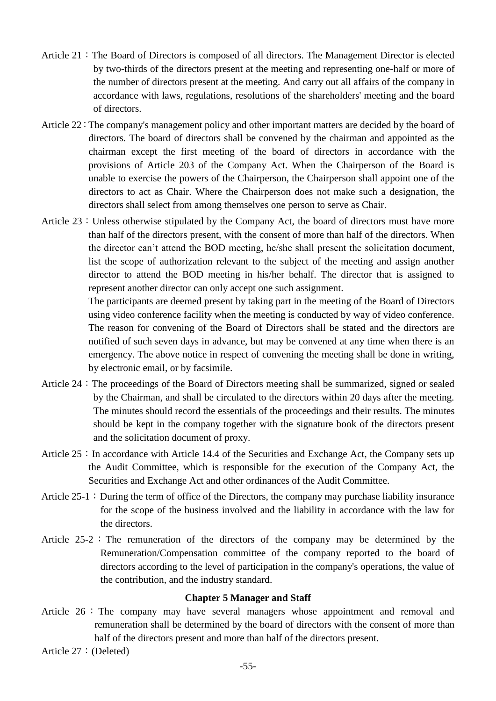- Article 21: The Board of Directors is composed of all directors. The Management Director is elected by two-thirds of the directors present at the meeting and representing one-half or more of the number of directors present at the meeting. And carry out all affairs of the company in accordance with laws, regulations, resolutions of the shareholders' meeting and the board of directors.
- Article 22:The company's management policy and other important matters are decided by the board of directors. The board of directors shall be convened by the chairman and appointed as the chairman except the first meeting of the board of directors in accordance with the provisions of Article 203 of the Company Act. When the Chairperson of the Board is unable to exercise the powers of the Chairperson, the Chairperson shall appoint one of the directors to act as Chair. Where the Chairperson does not make such a designation, the directors shall select from among themselves one person to serve as Chair.
- Article 23: Unless otherwise stipulated by the Company Act, the board of directors must have more than half of the directors present, with the consent of more than half of the directors. When the director can't attend the BOD meeting, he/she shall present the solicitation document, list the scope of authorization relevant to the subject of the meeting and assign another director to attend the BOD meeting in his/her behalf. The director that is assigned to represent another director can only accept one such assignment.

The participants are deemed present by taking part in the meeting of the Board of Directors using video conference facility when the meeting is conducted by way of video conference. The reason for convening of the Board of Directors shall be stated and the directors are notified of such seven days in advance, but may be convened at any time when there is an emergency. The above notice in respect of convening the meeting shall be done in writing, by electronic email, or by facsimile.

- Article 24: The proceedings of the Board of Directors meeting shall be summarized, signed or sealed by the Chairman, and shall be circulated to the directors within 20 days after the meeting. The minutes should record the essentials of the proceedings and their results. The minutes should be kept in the company together with the signature book of the directors present and the solicitation document of proxy.
- Article 25: In accordance with Article 14.4 of the Securities and Exchange Act, the Company sets up the Audit Committee, which is responsible for the execution of the Company Act, the Securities and Exchange Act and other ordinances of the Audit Committee.
- Article  $25-1:$  During the term of office of the Directors, the company may purchase liability insurance for the scope of the business involved and the liability in accordance with the law for the directors.
- Article  $25-2$ : The remuneration of the directors of the company may be determined by the Remuneration/Compensation committee of the company reported to the board of directors according to the level of participation in the company's operations, the value of the contribution, and the industry standard.

#### **Chapter 5 Manager and Staff**

Article 26:The company may have several managers whose appointment and removal and remuneration shall be determined by the board of directors with the consent of more than half of the directors present and more than half of the directors present.

Article 27:(Deleted)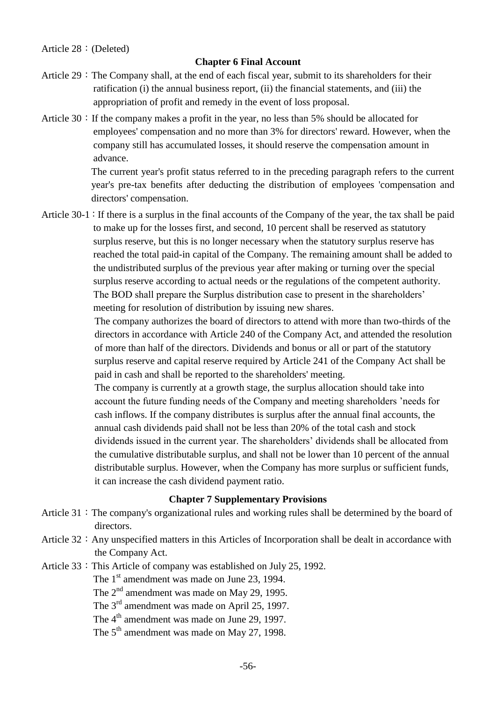#### **Chapter 6 Final Account**

- Article 29: The Company shall, at the end of each fiscal year, submit to its shareholders for their ratification (i) the annual business report, (ii) the financial statements, and (iii) the appropriation of profit and remedy in the event of loss proposal.
- Article  $30:$  If the company makes a profit in the year, no less than 5% should be allocated for employees' compensation and no more than 3% for directors' reward. However, when the company still has accumulated losses, it should reserve the compensation amount in advance.

The current year's profit status referred to in the preceding paragraph refers to the current year's pre-tax benefits after deducting the distribution of employees 'compensation and directors' compensation.

Article  $30-1$ : If there is a surplus in the final accounts of the Company of the year, the tax shall be paid to make up for the losses first, and second, 10 percent shall be reserved as statutory surplus reserve, but this is no longer necessary when the statutory surplus reserve has reached the total paid-in capital of the Company. The remaining amount shall be added to the undistributed surplus of the previous year after making or turning over the special surplus reserve according to actual needs or the regulations of the competent authority. The BOD shall prepare the Surplus distribution case to present in the shareholders' meeting for resolution of distribution by issuing new shares.

> The company authorizes the board of directors to attend with more than two-thirds of the directors in accordance with Article 240 of the Company Act, and attended the resolution of more than half of the directors. Dividends and bonus or all or part of the statutory surplus reserve and capital reserve required by Article 241 of the Company Act shall be paid in cash and shall be reported to the shareholders' meeting.

> The company is currently at a growth stage, the surplus allocation should take into account the future funding needs of the Company and meeting shareholders 'needs for cash inflows. If the company distributes is surplus after the annual final accounts, the annual cash dividends paid shall not be less than 20% of the total cash and stock dividends issued in the current year. The shareholders' dividends shall be allocated from the cumulative distributable surplus, and shall not be lower than 10 percent of the annual distributable surplus. However, when the Company has more surplus or sufficient funds, it can increase the cash dividend payment ratio.

#### **Chapter 7 Supplementary Provisions**

- Article 31: The company's organizational rules and working rules shall be determined by the board of directors.
- Article 32: Any unspecified matters in this Articles of Incorporation shall be dealt in accordance with the Company Act.
- Article 33: This Article of company was established on July 25, 1992.

The 1<sup>st</sup> amendment was made on June 23, 1994.

The 2<sup>nd</sup> amendment was made on May 29, 1995.

The 3<sup>rd</sup> amendment was made on April 25, 1997.

The 4<sup>th</sup> amendment was made on June 29, 1997.

The 5<sup>th</sup> amendment was made on May 27, 1998.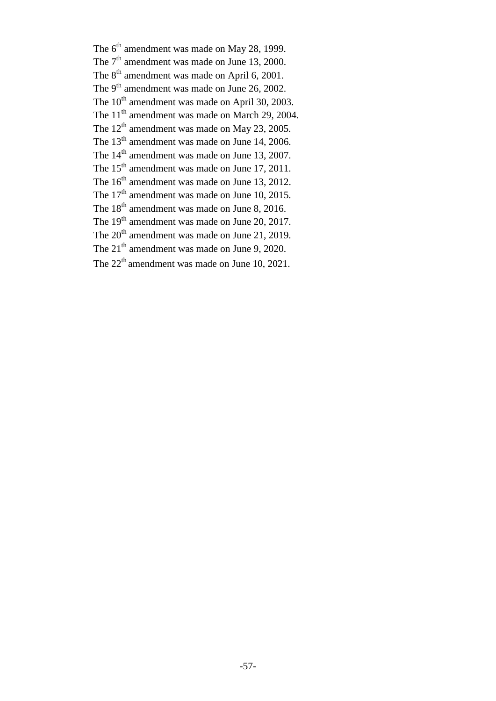The 6<sup>th</sup> amendment was made on May 28, 1999. The  $7<sup>th</sup>$  amendment was made on June 13, 2000. The 8<sup>th</sup> amendment was made on April 6, 2001. The 9<sup>th</sup> amendment was made on June 26, 2002. The  $10^{th}$  amendment was made on April 30, 2003. The 11<sup>th</sup> amendment was made on March 29, 2004. The  $12<sup>th</sup>$  amendment was made on May 23, 2005. The 13<sup>th</sup> amendment was made on June 14, 2006. The 14<sup>th</sup> amendment was made on June 13, 2007. The  $15<sup>th</sup>$  amendment was made on June 17, 2011. The  $16<sup>th</sup>$  amendment was made on June 13, 2012. The  $17<sup>th</sup>$  amendment was made on June 10, 2015. The 18<sup>th</sup> amendment was made on June 8, 2016. The  $19<sup>th</sup>$  amendment was made on June 20, 2017. The 20<sup>th</sup> amendment was made on June 21, 2019. The 21<sup>th</sup> amendment was made on June 9, 2020. The  $22<sup>th</sup>$  amendment was made on June 10, 2021.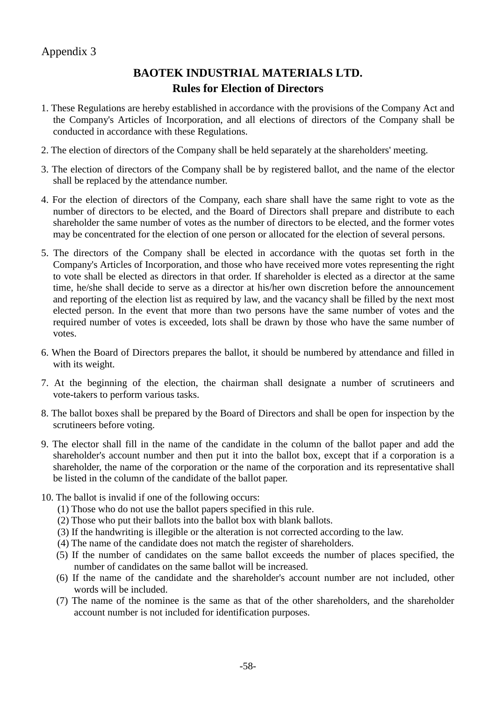# **BAOTEK INDUSTRIAL MATERIALS LTD. Rules for Election of Directors**

- 1. These Regulations are hereby established in accordance with the provisions of the Company Act and the Company's Articles of Incorporation, and all elections of directors of the Company shall be conducted in accordance with these Regulations.
- 2. The election of directors of the Company shall be held separately at the shareholders' meeting.
- 3. The election of directors of the Company shall be by registered ballot, and the name of the elector shall be replaced by the attendance number.
- 4. For the election of directors of the Company, each share shall have the same right to vote as the number of directors to be elected, and the Board of Directors shall prepare and distribute to each shareholder the same number of votes as the number of directors to be elected, and the former votes may be concentrated for the election of one person or allocated for the election of several persons.
- 5. The directors of the Company shall be elected in accordance with the quotas set forth in the Company's Articles of Incorporation, and those who have received more votes representing the right to vote shall be elected as directors in that order. If shareholder is elected as a director at the same time, he/she shall decide to serve as a director at his/her own discretion before the announcement and reporting of the election list as required by law, and the vacancy shall be filled by the next most elected person. In the event that more than two persons have the same number of votes and the required number of votes is exceeded, lots shall be drawn by those who have the same number of votes.
- 6. When the Board of Directors prepares the ballot, it should be numbered by attendance and filled in with its weight.
- 7. At the beginning of the election, the chairman shall designate a number of scrutineers and vote-takers to perform various tasks.
- 8. The ballot boxes shall be prepared by the Board of Directors and shall be open for inspection by the scrutineers before voting.
- 9. The elector shall fill in the name of the candidate in the column of the ballot paper and add the shareholder's account number and then put it into the ballot box, except that if a corporation is a shareholder, the name of the corporation or the name of the corporation and its representative shall be listed in the column of the candidate of the ballot paper.
- 10. The ballot is invalid if one of the following occurs:
	- (1) Those who do not use the ballot papers specified in this rule.
	- (2) Those who put their ballots into the ballot box with blank ballots.
	- (3) If the handwriting is illegible or the alteration is not corrected according to the law.
	- (4) The name of the candidate does not match the register of shareholders.
	- (5) If the number of candidates on the same ballot exceeds the number of places specified, the number of candidates on the same ballot will be increased.
	- (6) If the name of the candidate and the shareholder's account number are not included, other words will be included.
	- (7) The name of the nominee is the same as that of the other shareholders, and the shareholder account number is not included for identification purposes.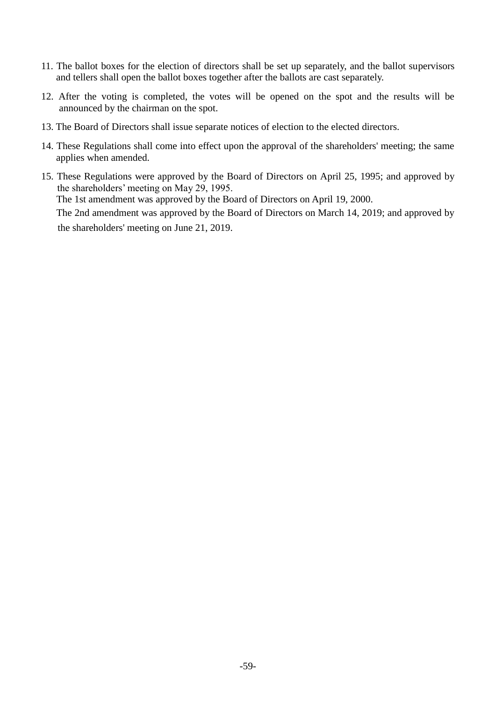- 11. The ballot boxes for the election of directors shall be set up separately, and the ballot supervisors and tellers shall open the ballot boxes together after the ballots are cast separately.
- 12. After the voting is completed, the votes will be opened on the spot and the results will be announced by the chairman on the spot.
- 13. The Board of Directors shall issue separate notices of election to the elected directors.
- 14. These Regulations shall come into effect upon the approval of the shareholders' meeting; the same applies when amended.
- 15. These Regulations were approved by the Board of Directors on April 25, 1995; and approved by the shareholders' meeting on May 29, 1995.

The 1st amendment was approved by the Board of Directors on April 19, 2000.

The 2nd amendment was approved by the Board of Directors on March 14, 2019; and approved by the shareholders' meeting on June 21, 2019.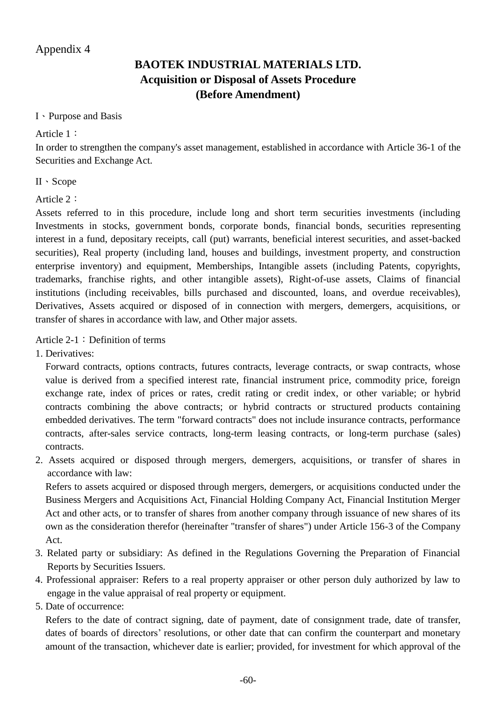### Appendix 4

# **BAOTEK INDUSTRIAL MATERIALS LTD. Acquisition or Disposal of Assets Procedure (Before Amendment)**

#### I、Purpose and Basis

Article 1:

In order to strengthen the company's asset management, established in accordance with Article 36-1 of the Securities and Exchange Act.

II、Scope

Article 2:

Assets referred to in this procedure, include long and short term securities investments (including Investments in stocks, government bonds, corporate bonds, financial bonds, securities representing interest in a fund, depositary receipts, call (put) warrants, beneficial interest securities, and asset-backed securities), Real property (including land, houses and buildings, investment property, and construction enterprise inventory) and equipment, Memberships, Intangible assets (including Patents, copyrights, trademarks, franchise rights, and other intangible assets), Right-of-use assets, Claims of financial institutions (including receivables, bills purchased and discounted, loans, and overdue receivables), Derivatives, Assets acquired or disposed of in connection with mergers, demergers, acquisitions, or transfer of shares in accordance with law, and Other major assets.

Article 2-1: Definition of terms

1. Derivatives:

Forward contracts, options contracts, futures contracts, leverage contracts, or swap contracts, whose value is derived from a specified interest rate, financial instrument price, commodity price, foreign exchange rate, index of prices or rates, credit rating or credit index, or other variable; or hybrid contracts combining the above contracts; or hybrid contracts or structured products containing embedded derivatives. The term "forward contracts" does not include insurance contracts, performance contracts, after-sales service contracts, long-term leasing contracts, or long-term purchase (sales) contracts.

2. Assets acquired or disposed through mergers, demergers, acquisitions, or transfer of shares in accordance with law:

Refers to assets acquired or disposed through mergers, demergers, or acquisitions conducted under the Business Mergers and Acquisitions Act, Financial Holding Company Act, Financial Institution Merger Act and other acts, or to transfer of shares from another company through issuance of new shares of its own as the consideration therefor (hereinafter "transfer of shares") under Article 156-3 of the Company Act.

- 3. Related party or subsidiary: As defined in the Regulations Governing the Preparation of Financial Reports by Securities Issuers.
- 4. Professional appraiser: Refers to a real property appraiser or other person duly authorized by law to engage in the value appraisal of real property or equipment.
- 5. Date of occurrence:

Refers to the date of contract signing, date of payment, date of consignment trade, date of transfer, dates of boards of directors' resolutions, or other date that can confirm the counterpart and monetary amount of the transaction, whichever date is earlier; provided, for investment for which approval of the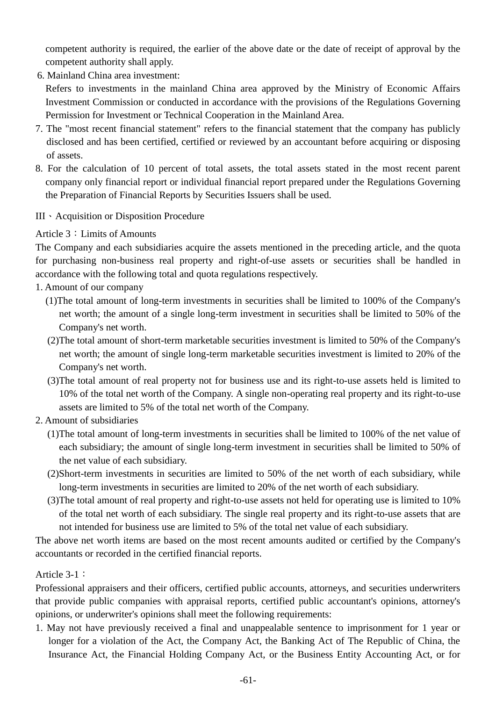competent authority is required, the earlier of the above date or the date of receipt of approval by the competent authority shall apply.

6. Mainland China area investment:

Refers to investments in the mainland China area approved by the Ministry of Economic Affairs Investment Commission or conducted in accordance with the provisions of the Regulations Governing Permission for Investment or Technical Cooperation in the Mainland Area.

- 7. The "most recent financial statement" refers to the financial statement that the company has publicly disclosed and has been certified, certified or reviewed by an accountant before acquiring or disposing of assets.
- 8. For the calculation of 10 percent of total assets, the total assets stated in the most recent parent company only financial report or individual financial report prepared under the Regulations Governing the Preparation of Financial Reports by Securities Issuers shall be used.
- III、Acquisition or Disposition Procedure

#### Article 3:Limits of Amounts

The Company and each subsidiaries acquire the assets mentioned in the preceding article, and the quota for purchasing non-business real property and right-of-use assets or securities shall be handled in accordance with the following total and quota regulations respectively.

- 1. Amount of our company
	- (1)The total amount of long-term investments in securities shall be limited to 100% of the Company's net worth; the amount of a single long-term investment in securities shall be limited to 50% of the Company's net worth.
	- (2)The total amount of short-term marketable securities investment is limited to 50% of the Company's net worth; the amount of single long-term marketable securities investment is limited to 20% of the Company's net worth.
	- (3)The total amount of real property not for business use and its right-to-use assets held is limited to 10% of the total net worth of the Company. A single non-operating real property and its right-to-use assets are limited to 5% of the total net worth of the Company.
- 2. Amount of subsidiaries
	- (1)The total amount of long-term investments in securities shall be limited to 100% of the net value of each subsidiary; the amount of single long-term investment in securities shall be limited to 50% of the net value of each subsidiary.
	- (2)Short-term investments in securities are limited to 50% of the net worth of each subsidiary, while long-term investments in securities are limited to 20% of the net worth of each subsidiary.
	- (3)The total amount of real property and right-to-use assets not held for operating use is limited to 10% of the total net worth of each subsidiary. The single real property and its right-to-use assets that are not intended for business use are limited to 5% of the total net value of each subsidiary.

The above net worth items are based on the most recent amounts audited or certified by the Company's accountants or recorded in the certified financial reports.

#### Article 3-1:

Professional appraisers and their officers, certified public accounts, attorneys, and securities underwriters that provide public companies with appraisal reports, certified public accountant's opinions, attorney's opinions, or underwriter's opinions shall meet the following requirements:

1. May not have previously received a final and unappealable sentence to imprisonment for 1 year or longer for a violation of the Act, the Company Act, the Banking Act of The Republic of China, the Insurance Act, the Financial Holding Company Act, or the Business Entity Accounting Act, or for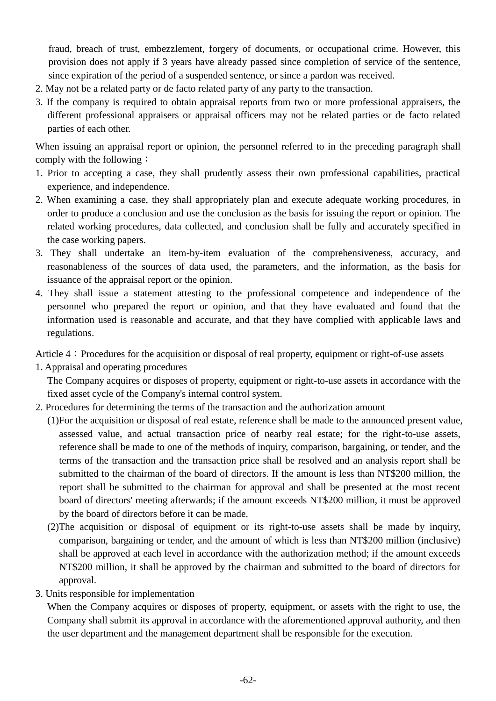fraud, breach of trust, embezzlement, forgery of documents, or occupational crime. However, this provision does not apply if 3 years have already passed since completion of service of the sentence, since expiration of the period of a suspended sentence, or since a pardon was received.

- 2. May not be a related party or de facto related party of any party to the transaction.
- 3. If the company is required to obtain appraisal reports from two or more professional appraisers, the different professional appraisers or appraisal officers may not be related parties or de facto related parties of each other.

When issuing an appraisal report or opinion, the personnel referred to in the preceding paragraph shall comply with the following:

- 1. Prior to accepting a case, they shall prudently assess their own professional capabilities, practical experience, and independence.
- 2. When examining a case, they shall appropriately plan and execute adequate working procedures, in order to produce a conclusion and use the conclusion as the basis for issuing the report or opinion. The related working procedures, data collected, and conclusion shall be fully and accurately specified in the case working papers.
- 3. They shall undertake an item-by-item evaluation of the comprehensiveness, accuracy, and reasonableness of the sources of data used, the parameters, and the information, as the basis for issuance of the appraisal report or the opinion.
- 4. They shall issue a statement attesting to the professional competence and independence of the personnel who prepared the report or opinion, and that they have evaluated and found that the information used is reasonable and accurate, and that they have complied with applicable laws and regulations.

Article 4: Procedures for the acquisition or disposal of real property, equipment or right-of-use assets

1. Appraisal and operating procedures

The Company acquires or disposes of property, equipment or right-to-use assets in accordance with the fixed asset cycle of the Company's internal control system.

- 2. Procedures for determining the terms of the transaction and the authorization amount
	- (1)For the acquisition or disposal of real estate, reference shall be made to the announced present value, assessed value, and actual transaction price of nearby real estate; for the right-to-use assets, reference shall be made to one of the methods of inquiry, comparison, bargaining, or tender, and the terms of the transaction and the transaction price shall be resolved and an analysis report shall be submitted to the chairman of the board of directors. If the amount is less than NT\$200 million, the report shall be submitted to the chairman for approval and shall be presented at the most recent board of directors' meeting afterwards; if the amount exceeds NT\$200 million, it must be approved by the board of directors before it can be made.
	- (2)The acquisition or disposal of equipment or its right-to-use assets shall be made by inquiry, comparison, bargaining or tender, and the amount of which is less than NT\$200 million (inclusive) shall be approved at each level in accordance with the authorization method; if the amount exceeds NT\$200 million, it shall be approved by the chairman and submitted to the board of directors for approval.
- 3. Units responsible for implementation

When the Company acquires or disposes of property, equipment, or assets with the right to use, the Company shall submit its approval in accordance with the aforementioned approval authority, and then the user department and the management department shall be responsible for the execution.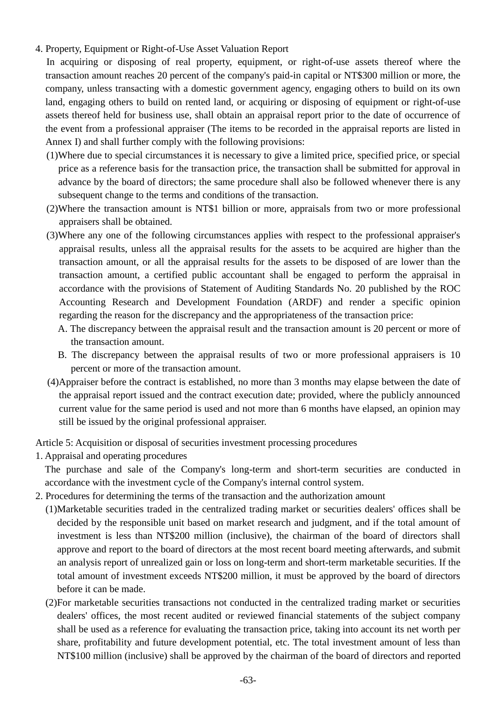#### 4. Property, Equipment or Right-of-Use Asset Valuation Report

In acquiring or disposing of real property, equipment, or right-of-use assets thereof where the transaction amount reaches 20 percent of the company's paid-in capital or NT\$300 million or more, the company, unless transacting with a domestic government agency, engaging others to build on its own land, engaging others to build on rented land, or acquiring or disposing of equipment or right-of-use assets thereof held for business use, shall obtain an appraisal report prior to the date of occurrence of the event from a professional appraiser (The items to be recorded in the appraisal reports are listed in Annex I) and shall further comply with the following provisions:

- (1)Where due to special circumstances it is necessary to give a limited price, specified price, or special price as a reference basis for the transaction price, the transaction shall be submitted for approval in advance by the board of directors; the same procedure shall also be followed whenever there is any subsequent change to the terms and conditions of the transaction.
- (2)Where the transaction amount is NT\$1 billion or more, appraisals from two or more professional appraisers shall be obtained.
- (3)Where any one of the following circumstances applies with respect to the professional appraiser's appraisal results, unless all the appraisal results for the assets to be acquired are higher than the transaction amount, or all the appraisal results for the assets to be disposed of are lower than the transaction amount, a certified public accountant shall be engaged to perform the appraisal in accordance with the provisions of Statement of Auditing Standards No. 20 published by the ROC Accounting Research and Development Foundation (ARDF) and render a specific opinion regarding the reason for the discrepancy and the appropriateness of the transaction price:
	- A. The discrepancy between the appraisal result and the transaction amount is 20 percent or more of the transaction amount.
	- B. The discrepancy between the appraisal results of two or more professional appraisers is 10 percent or more of the transaction amount.
- (4)Appraiser before the contract is established, no more than 3 months may elapse between the date of the appraisal report issued and the contract execution date; provided, where the publicly announced current value for the same period is used and not more than 6 months have elapsed, an opinion may still be issued by the original professional appraiser.

Article 5: Acquisition or disposal of securities investment processing procedures

1. Appraisal and operating procedures

The purchase and sale of the Company's long-term and short-term securities are conducted in accordance with the investment cycle of the Company's internal control system.

- 2. Procedures for determining the terms of the transaction and the authorization amount
	- (1)Marketable securities traded in the centralized trading market or securities dealers' offices shall be decided by the responsible unit based on market research and judgment, and if the total amount of investment is less than NT\$200 million (inclusive), the chairman of the board of directors shall approve and report to the board of directors at the most recent board meeting afterwards, and submit an analysis report of unrealized gain or loss on long-term and short-term marketable securities. If the total amount of investment exceeds NT\$200 million, it must be approved by the board of directors before it can be made.
	- (2)For marketable securities transactions not conducted in the centralized trading market or securities dealers' offices, the most recent audited or reviewed financial statements of the subject company shall be used as a reference for evaluating the transaction price, taking into account its net worth per share, profitability and future development potential, etc. The total investment amount of less than NT\$100 million (inclusive) shall be approved by the chairman of the board of directors and reported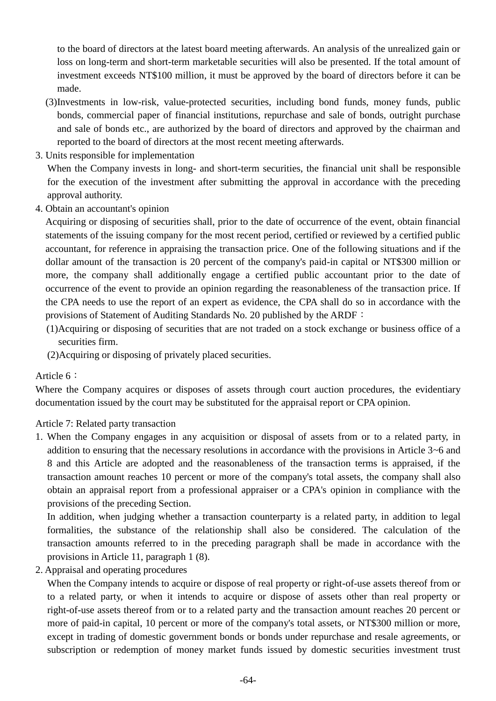to the board of directors at the latest board meeting afterwards. An analysis of the unrealized gain or loss on long-term and short-term marketable securities will also be presented. If the total amount of investment exceeds NT\$100 million, it must be approved by the board of directors before it can be made.

- (3)Investments in low-risk, value-protected securities, including bond funds, money funds, public bonds, commercial paper of financial institutions, repurchase and sale of bonds, outright purchase and sale of bonds etc., are authorized by the board of directors and approved by the chairman and reported to the board of directors at the most recent meeting afterwards.
- 3. Units responsible for implementation

When the Company invests in long- and short-term securities, the financial unit shall be responsible for the execution of the investment after submitting the approval in accordance with the preceding approval authority.

4. Obtain an accountant's opinion

Acquiring or disposing of securities shall, prior to the date of occurrence of the event, obtain financial statements of the issuing company for the most recent period, certified or reviewed by a certified public accountant, for reference in appraising the transaction price. One of the following situations and if the dollar amount of the transaction is 20 percent of the company's paid-in capital or NT\$300 million or more, the company shall additionally engage a certified public accountant prior to the date of occurrence of the event to provide an opinion regarding the reasonableness of the transaction price. If the CPA needs to use the report of an expert as evidence, the CPA shall do so in accordance with the provisions of Statement of Auditing Standards No. 20 published by the ARDF:

- (1)Acquiring or disposing of securities that are not traded on a stock exchange or business office of a securities firm.
- (2)Acquiring or disposing of privately placed securities.

#### Article 6:

Where the Company acquires or disposes of assets through court auction procedures, the evidentiary documentation issued by the court may be substituted for the appraisal report or CPA opinion.

Article 7: Related party transaction

1. When the Company engages in any acquisition or disposal of assets from or to a related party, in addition to ensuring that the necessary resolutions in accordance with the provisions in Article 3~6 and 8 and this Article are adopted and the reasonableness of the transaction terms is appraised, if the transaction amount reaches 10 percent or more of the company's total assets, the company shall also obtain an appraisal report from a professional appraiser or a CPA's opinion in compliance with the provisions of the preceding Section.

In addition, when judging whether a transaction counterparty is a related party, in addition to legal formalities, the substance of the relationship shall also be considered. The calculation of the transaction amounts referred to in the preceding paragraph shall be made in accordance with the provisions in Article 11, paragraph 1 (8).

2. Appraisal and operating procedures

When the Company intends to acquire or dispose of real property or right-of-use assets thereof from or to a related party, or when it intends to acquire or dispose of assets other than real property or right-of-use assets thereof from or to a related party and the transaction amount reaches 20 percent or more of paid-in capital, 10 percent or more of the company's total assets, or NT\$300 million or more, except in trading of domestic government bonds or bonds under repurchase and resale agreements, or subscription or redemption of money market funds issued by domestic securities investment trust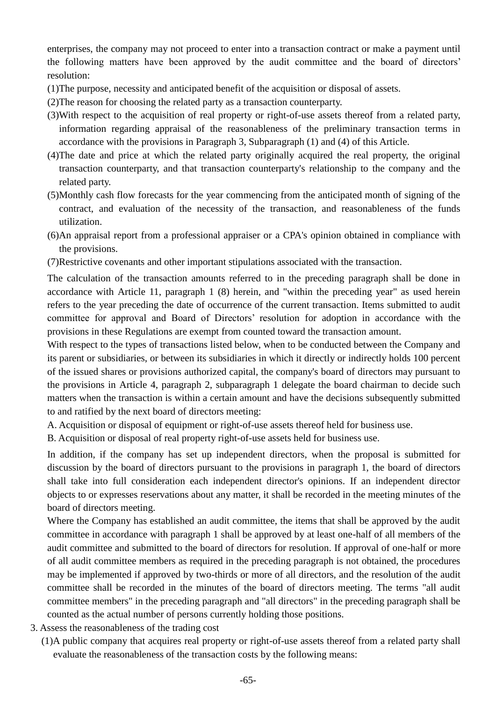enterprises, the company may not proceed to enter into a transaction contract or make a payment until the following matters have been approved by the audit committee and the board of directors' resolution:

(1)The purpose, necessity and anticipated benefit of the acquisition or disposal of assets.

- (2)The reason for choosing the related party as a transaction counterparty.
- (3)With respect to the acquisition of real property or right-of-use assets thereof from a related party, information regarding appraisal of the reasonableness of the preliminary transaction terms in accordance with the provisions in Paragraph 3, Subparagraph (1) and (4) of this Article.
- (4)The date and price at which the related party originally acquired the real property, the original transaction counterparty, and that transaction counterparty's relationship to the company and the related party.
- (5)Monthly cash flow forecasts for the year commencing from the anticipated month of signing of the contract, and evaluation of the necessity of the transaction, and reasonableness of the funds utilization.
- (6)An appraisal report from a professional appraiser or a CPA's opinion obtained in compliance with the provisions.
- (7)Restrictive covenants and other important stipulations associated with the transaction.

The calculation of the transaction amounts referred to in the preceding paragraph shall be done in accordance with Article 11, paragraph 1 (8) herein, and "within the preceding year" as used herein refers to the year preceding the date of occurrence of the current transaction. Items submitted to audit committee for approval and Board of Directors' resolution for adoption in accordance with the provisions in these Regulations are exempt from counted toward the transaction amount.

With respect to the types of transactions listed below, when to be conducted between the Company and its parent or subsidiaries, or between its subsidiaries in which it directly or indirectly holds 100 percent of the issued shares or provisions authorized capital, the company's board of directors may pursuant to the provisions in Article 4, paragraph 2, subparagraph 1 delegate the board chairman to decide such matters when the transaction is within a certain amount and have the decisions subsequently submitted to and ratified by the next board of directors meeting:

A. Acquisition or disposal of equipment or right-of-use assets thereof held for business use.

B. Acquisition or disposal of real property right-of-use assets held for business use.

In addition, if the company has set up independent directors, when the proposal is submitted for discussion by the board of directors pursuant to the provisions in paragraph 1, the board of directors shall take into full consideration each independent director's opinions. If an independent director objects to or expresses reservations about any matter, it shall be recorded in the meeting minutes of the board of directors meeting.

Where the Company has established an audit committee, the items that shall be approved by the audit committee in accordance with paragraph 1 shall be approved by at least one-half of all members of the audit committee and submitted to the board of directors for resolution. If approval of one-half or more of all audit committee members as required in the preceding paragraph is not obtained, the procedures may be implemented if approved by two-thirds or more of all directors, and the resolution of the audit committee shall be recorded in the minutes of the board of directors meeting. The terms "all audit committee members" in the preceding paragraph and "all directors" in the preceding paragraph shall be counted as the actual number of persons currently holding those positions.

- 3. Assess the reasonableness of the trading cost
	- (1)A public company that acquires real property or right-of-use assets thereof from a related party shall evaluate the reasonableness of the transaction costs by the following means: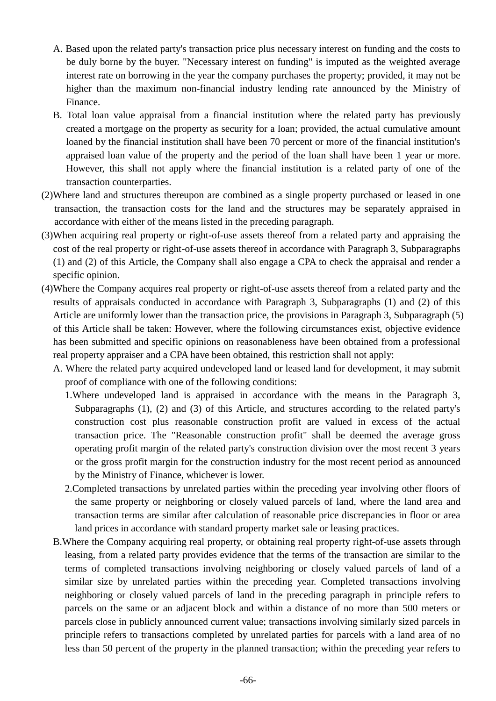- A. Based upon the related party's transaction price plus necessary interest on funding and the costs to be duly borne by the buyer. "Necessary interest on funding" is imputed as the weighted average interest rate on borrowing in the year the company purchases the property; provided, it may not be higher than the maximum non-financial industry lending rate announced by the Ministry of Finance.
- B. Total loan value appraisal from a financial institution where the related party has previously created a mortgage on the property as security for a loan; provided, the actual cumulative amount loaned by the financial institution shall have been 70 percent or more of the financial institution's appraised loan value of the property and the period of the loan shall have been 1 year or more. However, this shall not apply where the financial institution is a related party of one of the transaction counterparties.
- (2)Where land and structures thereupon are combined as a single property purchased or leased in one transaction, the transaction costs for the land and the structures may be separately appraised in accordance with either of the means listed in the preceding paragraph.
- (3)When acquiring real property or right-of-use assets thereof from a related party and appraising the cost of the real property or right-of-use assets thereof in accordance with Paragraph 3, Subparagraphs (1) and (2) of this Article, the Company shall also engage a CPA to check the appraisal and render a specific opinion.
- (4)Where the Company acquires real property or right-of-use assets thereof from a related party and the results of appraisals conducted in accordance with Paragraph 3, Subparagraphs (1) and (2) of this Article are uniformly lower than the transaction price, the provisions in Paragraph 3, Subparagraph (5) of this Article shall be taken: However, where the following circumstances exist, objective evidence has been submitted and specific opinions on reasonableness have been obtained from a professional real property appraiser and a CPA have been obtained, this restriction shall not apply:
	- A. Where the related party acquired undeveloped land or leased land for development, it may submit proof of compliance with one of the following conditions:
		- 1.Where undeveloped land is appraised in accordance with the means in the Paragraph 3, Subparagraphs (1), (2) and (3) of this Article, and structures according to the related party's construction cost plus reasonable construction profit are valued in excess of the actual transaction price. The "Reasonable construction profit" shall be deemed the average gross operating profit margin of the related party's construction division over the most recent 3 years or the gross profit margin for the construction industry for the most recent period as announced by the Ministry of Finance, whichever is lower.
		- 2.Completed transactions by unrelated parties within the preceding year involving other floors of the same property or neighboring or closely valued parcels of land, where the land area and transaction terms are similar after calculation of reasonable price discrepancies in floor or area land prices in accordance with standard property market sale or leasing practices.
	- B.Where the Company acquiring real property, or obtaining real property right-of-use assets through leasing, from a related party provides evidence that the terms of the transaction are similar to the terms of completed transactions involving neighboring or closely valued parcels of land of a similar size by unrelated parties within the preceding year. Completed transactions involving neighboring or closely valued parcels of land in the preceding paragraph in principle refers to parcels on the same or an adjacent block and within a distance of no more than 500 meters or parcels close in publicly announced current value; transactions involving similarly sized parcels in principle refers to transactions completed by unrelated parties for parcels with a land area of no less than 50 percent of the property in the planned transaction; within the preceding year refers to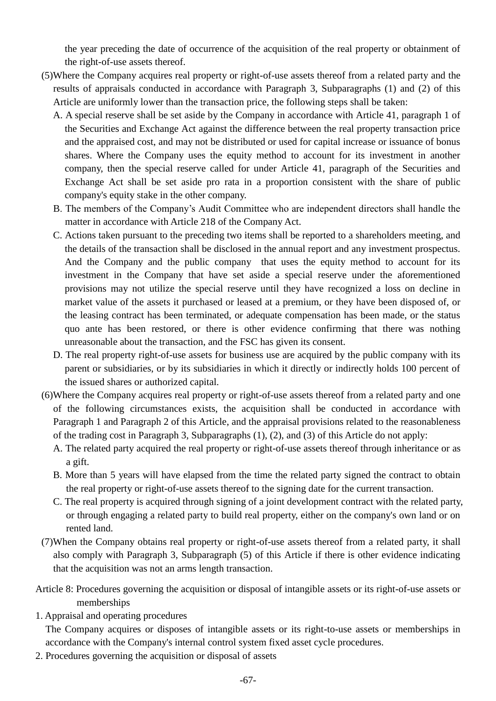the year preceding the date of occurrence of the acquisition of the real property or obtainment of the right-of-use assets thereof.

- (5)Where the Company acquires real property or right-of-use assets thereof from a related party and the results of appraisals conducted in accordance with Paragraph 3, Subparagraphs (1) and (2) of this Article are uniformly lower than the transaction price, the following steps shall be taken:
	- A. A special reserve shall be set aside by the Company in accordance with Article 41, paragraph 1 of the Securities and Exchange Act against the difference between the real property transaction price and the appraised cost, and may not be distributed or used for capital increase or issuance of bonus shares. Where the Company uses the equity method to account for its investment in another company, then the special reserve called for under Article 41, paragraph of the Securities and Exchange Act shall be set aside pro rata in a proportion consistent with the share of public company's equity stake in the other company.
	- B. The members of the Company's Audit Committee who are independent directors shall handle the matter in accordance with Article 218 of the Company Act.
	- C. Actions taken pursuant to the preceding two items shall be reported to a shareholders meeting, and the details of the transaction shall be disclosed in the annual report and any investment prospectus. And the Company and the public company that uses the equity method to account for its investment in the Company that have set aside a special reserve under the aforementioned provisions may not utilize the special reserve until they have recognized a loss on decline in market value of the assets it purchased or leased at a premium, or they have been disposed of, or the leasing contract has been terminated, or adequate compensation has been made, or the status quo ante has been restored, or there is other evidence confirming that there was nothing unreasonable about the transaction, and the FSC has given its consent.
	- D. The real property right-of-use assets for business use are acquired by the public company with its parent or subsidiaries, or by its subsidiaries in which it directly or indirectly holds 100 percent of the issued shares or authorized capital.
- (6)Where the Company acquires real property or right-of-use assets thereof from a related party and one of the following circumstances exists, the acquisition shall be conducted in accordance with Paragraph 1 and Paragraph 2 of this Article, and the appraisal provisions related to the reasonableness of the trading cost in Paragraph 3, Subparagraphs (1), (2), and (3) of this Article do not apply:
	- A. The related party acquired the real property or right-of-use assets thereof through inheritance or as a gift.
	- B. More than 5 years will have elapsed from the time the related party signed the contract to obtain the real property or right-of-use assets thereof to the signing date for the current transaction.
	- C. The real property is acquired through signing of a joint development contract with the related party, or through engaging a related party to build real property, either on the company's own land or on rented land.
- (7)When the Company obtains real property or right-of-use assets thereof from a related party, it shall also comply with Paragraph 3, Subparagraph (5) of this Article if there is other evidence indicating that the acquisition was not an arms length transaction.
- Article 8: Procedures governing the acquisition or disposal of intangible assets or its right-of-use assets or memberships
- 1. Appraisal and operating procedures

The Company acquires or disposes of intangible assets or its right-to-use assets or memberships in accordance with the Company's internal control system fixed asset cycle procedures.

2. Procedures governing the acquisition or disposal of assets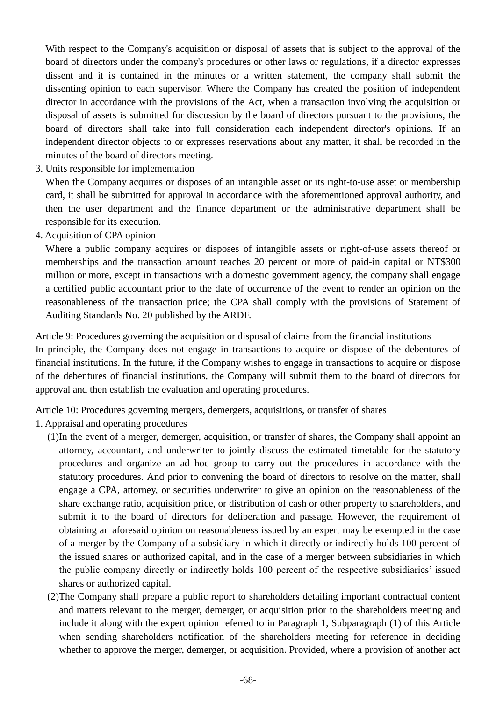With respect to the Company's acquisition or disposal of assets that is subject to the approval of the board of directors under the company's procedures or other laws or regulations, if a director expresses dissent and it is contained in the minutes or a written statement, the company shall submit the dissenting opinion to each supervisor. Where the Company has created the position of independent director in accordance with the provisions of the Act, when a transaction involving the acquisition or disposal of assets is submitted for discussion by the board of directors pursuant to the provisions, the board of directors shall take into full consideration each independent director's opinions. If an independent director objects to or expresses reservations about any matter, it shall be recorded in the minutes of the board of directors meeting.

3. Units responsible for implementation

When the Company acquires or disposes of an intangible asset or its right-to-use asset or membership card, it shall be submitted for approval in accordance with the aforementioned approval authority, and then the user department and the finance department or the administrative department shall be responsible for its execution.

4. Acquisition of CPA opinion

Where a public company acquires or disposes of intangible assets or right-of-use assets thereof or memberships and the transaction amount reaches 20 percent or more of paid-in capital or NT\$300 million or more, except in transactions with a domestic government agency, the company shall engage a certified public accountant prior to the date of occurrence of the event to render an opinion on the reasonableness of the transaction price; the CPA shall comply with the provisions of Statement of Auditing Standards No. 20 published by the ARDF.

Article 9: Procedures governing the acquisition or disposal of claims from the financial institutions In principle, the Company does not engage in transactions to acquire or dispose of the debentures of financial institutions. In the future, if the Company wishes to engage in transactions to acquire or dispose of the debentures of financial institutions, the Company will submit them to the board of directors for approval and then establish the evaluation and operating procedures.

Article 10: Procedures governing mergers, demergers, acquisitions, or transfer of shares

1. Appraisal and operating procedures

- (1)In the event of a merger, demerger, acquisition, or transfer of shares, the Company shall appoint an attorney, accountant, and underwriter to jointly discuss the estimated timetable for the statutory procedures and organize an ad hoc group to carry out the procedures in accordance with the statutory procedures. And prior to convening the board of directors to resolve on the matter, shall engage a CPA, attorney, or securities underwriter to give an opinion on the reasonableness of the share exchange ratio, acquisition price, or distribution of cash or other property to shareholders, and submit it to the board of directors for deliberation and passage. However, the requirement of obtaining an aforesaid opinion on reasonableness issued by an expert may be exempted in the case of a merger by the Company of a subsidiary in which it directly or indirectly holds 100 percent of the issued shares or authorized capital, and in the case of a merger between subsidiaries in which the public company directly or indirectly holds 100 percent of the respective subsidiaries' issued shares or authorized capital.
- (2)The Company shall prepare a public report to shareholders detailing important contractual content and matters relevant to the merger, demerger, or acquisition prior to the shareholders meeting and include it along with the expert opinion referred to in Paragraph 1, Subparagraph (1) of this Article when sending shareholders notification of the shareholders meeting for reference in deciding whether to approve the merger, demerger, or acquisition. Provided, where a provision of another act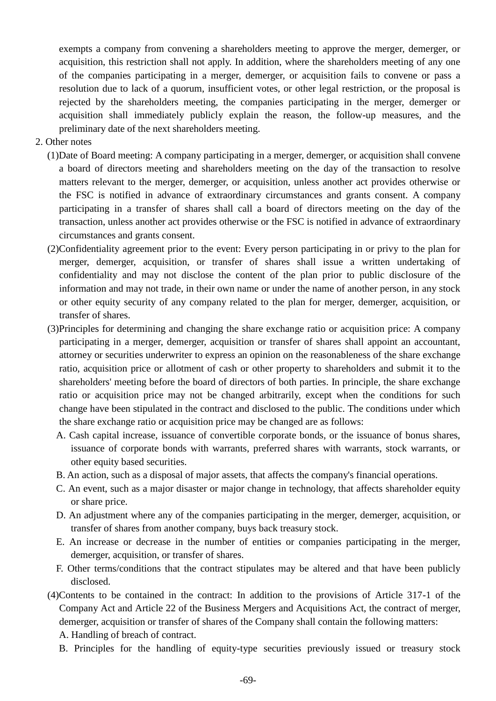exempts a company from convening a shareholders meeting to approve the merger, demerger, or acquisition, this restriction shall not apply. In addition, where the shareholders meeting of any one of the companies participating in a merger, demerger, or acquisition fails to convene or pass a resolution due to lack of a quorum, insufficient votes, or other legal restriction, or the proposal is rejected by the shareholders meeting, the companies participating in the merger, demerger or acquisition shall immediately publicly explain the reason, the follow-up measures, and the preliminary date of the next shareholders meeting.

- 2. Other notes
	- (1)Date of Board meeting: A company participating in a merger, demerger, or acquisition shall convene a board of directors meeting and shareholders meeting on the day of the transaction to resolve matters relevant to the merger, demerger, or acquisition, unless another act provides otherwise or the FSC is notified in advance of extraordinary circumstances and grants consent. A company participating in a transfer of shares shall call a board of directors meeting on the day of the transaction, unless another act provides otherwise or the FSC is notified in advance of extraordinary circumstances and grants consent.
	- (2)Confidentiality agreement prior to the event: Every person participating in or privy to the plan for merger, demerger, acquisition, or transfer of shares shall issue a written undertaking of confidentiality and may not disclose the content of the plan prior to public disclosure of the information and may not trade, in their own name or under the name of another person, in any stock or other equity security of any company related to the plan for merger, demerger, acquisition, or transfer of shares.
	- (3)Principles for determining and changing the share exchange ratio or acquisition price: A company participating in a merger, demerger, acquisition or transfer of shares shall appoint an accountant, attorney or securities underwriter to express an opinion on the reasonableness of the share exchange ratio, acquisition price or allotment of cash or other property to shareholders and submit it to the shareholders' meeting before the board of directors of both parties. In principle, the share exchange ratio or acquisition price may not be changed arbitrarily, except when the conditions for such change have been stipulated in the contract and disclosed to the public. The conditions under which the share exchange ratio or acquisition price may be changed are as follows:
		- A. Cash capital increase, issuance of convertible corporate bonds, or the issuance of bonus shares, issuance of corporate bonds with warrants, preferred shares with warrants, stock warrants, or other equity based securities.
		- B. An action, such as a disposal of major assets, that affects the company's financial operations.
		- C. An event, such as a major disaster or major change in technology, that affects shareholder equity or share price.
		- D. An adjustment where any of the companies participating in the merger, demerger, acquisition, or transfer of shares from another company, buys back treasury stock.
		- E. An increase or decrease in the number of entities or companies participating in the merger, demerger, acquisition, or transfer of shares.
		- F. Other terms/conditions that the contract stipulates may be altered and that have been publicly disclosed.
	- (4)Contents to be contained in the contract: In addition to the provisions of Article 317-1 of the Company Act and Article 22 of the Business Mergers and Acquisitions Act, the contract of merger, demerger, acquisition or transfer of shares of the Company shall contain the following matters:
		- A. Handling of breach of contract.
		- B. Principles for the handling of equity-type securities previously issued or treasury stock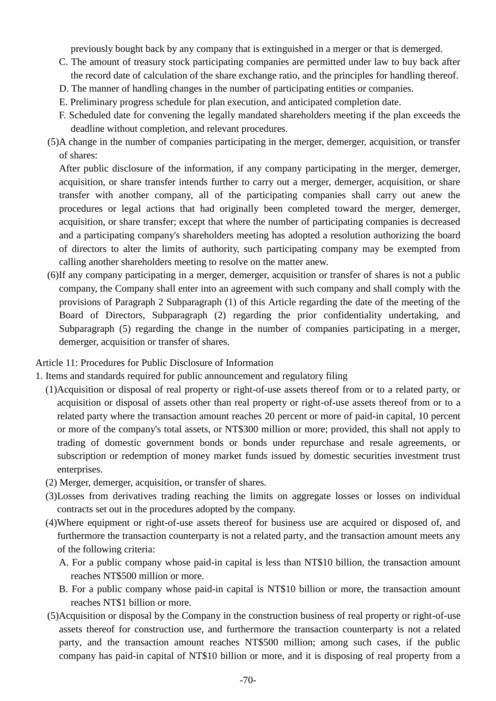previously bought back by any company that is extinguished in a merger or that is demerged.

- C. The amount of treasury stock participating companies are permitted under law to buy back after the record date of calculation of the share exchange ratio, and the principles for handling thereof.
- D. The manner of handling changes in the number of participating entities or companies.
- E. Preliminary progress schedule for plan execution, and anticipated completion date.
- F. Scheduled date for convening the legally mandated shareholders meeting if the plan exceeds the deadline without completion, and relevant procedures.
- (5)A change in the number of companies participating in the merger, demerger, acquisition, or transfer of shares:

After public disclosure of the information, if any company participating in the merger, demerger, acquisition, or share transfer intends further to carry out a merger, demerger, acquisition, or share transfer with another company, all of the participating companies shall carry out anew the procedures or legal actions that had originally been completed toward the merger, demerger, acquisition, or share transfer; except that where the number of participating companies is decreased and a participating company's shareholders meeting has adopted a resolution authorizing the board of directors to alter the limits of authority, such participating company may be exempted from calling another shareholders meeting to resolve on the matter anew.

(6)If any company participating in a merger, demerger, acquisition or transfer of shares is not a public company, the Company shall enter into an agreement with such company and shall comply with the provisions of Paragraph 2 Subparagraph (1) of this Article regarding the date of the meeting of the Board of Directors, Subparagraph (2) regarding the prior confidentiality undertaking, and Subparagraph (5) regarding the change in the number of companies participating in a merger, demerger, acquisition or transfer of shares.

Article 11: Procedures for Public Disclosure of Information

1. Items and standards required for public announcement and regulatory filing

- (1)Acquisition or disposal of real property or right-of-use assets thereof from or to a related party, or acquisition or disposal of assets other than real property or right-of-use assets thereof from or to a related party where the transaction amount reaches 20 percent or more of paid-in capital, 10 percent or more of the company's total assets, or NT\$300 million or more; provided, this shall not apply to trading of domestic government bonds or bonds under repurchase and resale agreements, or subscription or redemption of money market funds issued by domestic securities investment trust enterprises.
- (2) Merger, demerger, acquisition, or transfer of shares.
- (3)Losses from derivatives trading reaching the limits on aggregate losses or losses on individual contracts set out in the procedures adopted by the company.
- (4)Where equipment or right-of-use assets thereof for business use are acquired or disposed of, and furthermore the transaction counterparty is not a related party, and the transaction amount meets any of the following criteria:
	- A. For a public company whose paid-in capital is less than NT\$10 billion, the transaction amount reaches NT\$500 million or more.
	- B. For a public company whose paid-in capital is NT\$10 billion or more, the transaction amount reaches NT\$1 billion or more.
- (5)Acquisition or disposal by the Company in the construction business of real property or right-of-use assets thereof for construction use, and furthermore the transaction counterparty is not a related party, and the transaction amount reaches NT\$500 million; among such cases, if the public company has paid-in capital of NT\$10 billion or more, and it is disposing of real property from a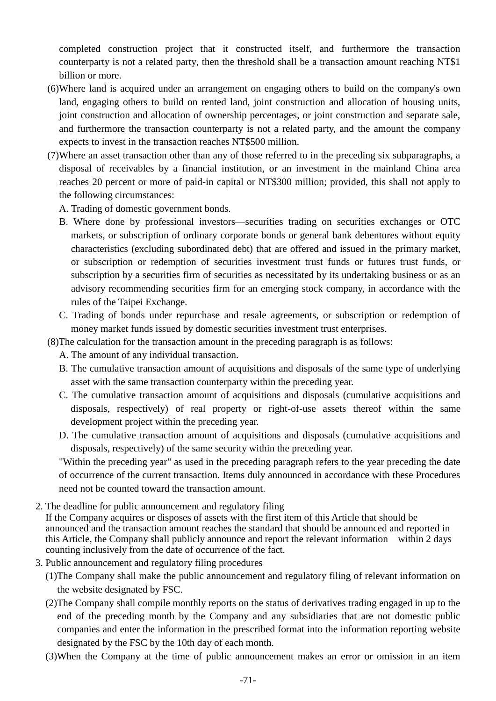completed construction project that it constructed itself, and furthermore the transaction counterparty is not a related party, then the threshold shall be a transaction amount reaching NT\$1 billion or more.

- (6)Where land is acquired under an arrangement on engaging others to build on the company's own land, engaging others to build on rented land, joint construction and allocation of housing units, joint construction and allocation of ownership percentages, or joint construction and separate sale, and furthermore the transaction counterparty is not a related party, and the amount the company expects to invest in the transaction reaches NT\$500 million.
- (7)Where an asset transaction other than any of those referred to in the preceding six subparagraphs, a disposal of receivables by a financial institution, or an investment in the mainland China area reaches 20 percent or more of paid-in capital or NT\$300 million; provided, this shall not apply to the following circumstances:
	- A. Trading of domestic government bonds.
	- B. Where done by professional investors—securities trading on securities exchanges or OTC markets, or subscription of ordinary corporate bonds or general bank debentures without equity characteristics (excluding subordinated debt) that are offered and issued in the primary market, or subscription or redemption of securities investment trust funds or futures trust funds, or subscription by a securities firm of securities as necessitated by its undertaking business or as an advisory recommending securities firm for an emerging stock company, in accordance with the rules of the Taipei Exchange.
	- C. Trading of bonds under repurchase and resale agreements, or subscription or redemption of money market funds issued by domestic securities investment trust enterprises.
- (8)The calculation for the transaction amount in the preceding paragraph is as follows:
	- A. The amount of any individual transaction.
	- B. The cumulative transaction amount of acquisitions and disposals of the same type of underlying asset with the same transaction counterparty within the preceding year.
	- C. The cumulative transaction amount of acquisitions and disposals (cumulative acquisitions and disposals, respectively) of real property or right-of-use assets thereof within the same development project within the preceding year.
	- D. The cumulative transaction amount of acquisitions and disposals (cumulative acquisitions and disposals, respectively) of the same security within the preceding year.

"Within the preceding year" as used in the preceding paragraph refers to the year preceding the date of occurrence of the current transaction. Items duly announced in accordance with these Procedures need not be counted toward the transaction amount.

2. The deadline for public announcement and regulatory filing If the Company acquires or disposes of assets with the first item of this Article that should be announced and the transaction amount reaches the standard that should be announced and reported in

this Article, the Company shall publicly announce and report the relevant information within 2 days counting inclusively from the date of occurrence of the fact.

- 3. Public announcement and regulatory filing procedures
	- (1)The Company shall make the public announcement and regulatory filing of relevant information on the website designated by FSC.
	- (2)The Company shall compile monthly reports on the status of derivatives trading engaged in up to the end of the preceding month by the Company and any subsidiaries that are not domestic public companies and enter the information in the prescribed format into the information reporting website designated by the FSC by the 10th day of each month.
	- (3)When the Company at the time of public announcement makes an error or omission in an item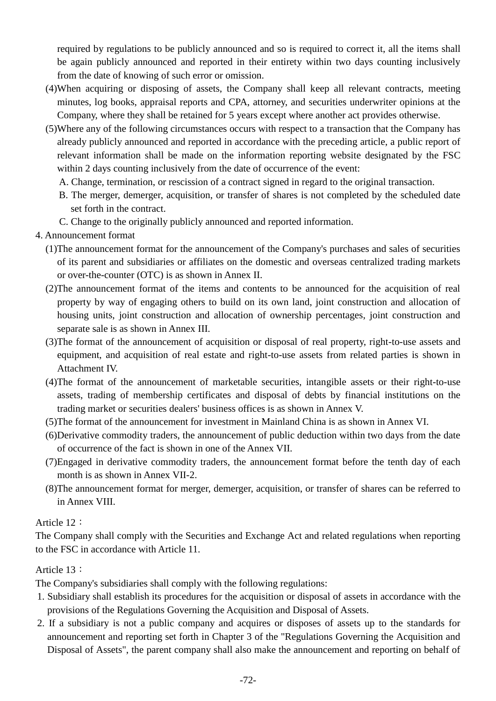required by regulations to be publicly announced and so is required to correct it, all the items shall be again publicly announced and reported in their entirety within two days counting inclusively from the date of knowing of such error or omission.

- (4)When acquiring or disposing of assets, the Company shall keep all relevant contracts, meeting minutes, log books, appraisal reports and CPA, attorney, and securities underwriter opinions at the Company, where they shall be retained for 5 years except where another act provides otherwise.
- (5)Where any of the following circumstances occurs with respect to a transaction that the Company has already publicly announced and reported in accordance with the preceding article, a public report of relevant information shall be made on the information reporting website designated by the FSC within 2 days counting inclusively from the date of occurrence of the event:
	- A. Change, termination, or rescission of a contract signed in regard to the original transaction.
	- B. The merger, demerger, acquisition, or transfer of shares is not completed by the scheduled date set forth in the contract.
	- C. Change to the originally publicly announced and reported information.
- 4. Announcement format
	- (1)The announcement format for the announcement of the Company's purchases and sales of securities of its parent and subsidiaries or affiliates on the domestic and overseas centralized trading markets or over-the-counter (OTC) is as shown in Annex II.
	- (2)The announcement format of the items and contents to be announced for the acquisition of real property by way of engaging others to build on its own land, joint construction and allocation of housing units, joint construction and allocation of ownership percentages, joint construction and separate sale is as shown in Annex III.
	- (3)The format of the announcement of acquisition or disposal of real property, right-to-use assets and equipment, and acquisition of real estate and right-to-use assets from related parties is shown in Attachment IV.
	- (4)The format of the announcement of marketable securities, intangible assets or their right-to-use assets, trading of membership certificates and disposal of debts by financial institutions on the trading market or securities dealers' business offices is as shown in Annex V.
	- (5)The format of the announcement for investment in Mainland China is as shown in Annex VI.
	- (6)Derivative commodity traders, the announcement of public deduction within two days from the date of occurrence of the fact is shown in one of the Annex VII.
	- (7)Engaged in derivative commodity traders, the announcement format before the tenth day of each month is as shown in Annex VII-2.
	- (8)The announcement format for merger, demerger, acquisition, or transfer of shares can be referred to in Annex VIII.

#### Article 12:

The Company shall comply with the Securities and Exchange Act and related regulations when reporting to the FSC in accordance with Article 11.

### Article 13:

The Company's subsidiaries shall comply with the following regulations:

- 1. Subsidiary shall establish its procedures for the acquisition or disposal of assets in accordance with the provisions of the Regulations Governing the Acquisition and Disposal of Assets.
- 2. If a subsidiary is not a public company and acquires or disposes of assets up to the standards for announcement and reporting set forth in Chapter 3 of the "Regulations Governing the Acquisition and Disposal of Assets", the parent company shall also make the announcement and reporting on behalf of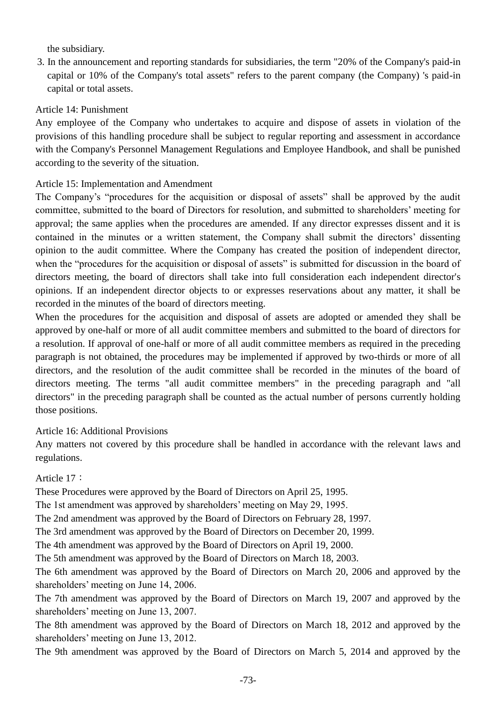the subsidiary.

3. In the announcement and reporting standards for subsidiaries, the term "20% of the Company's paid-in capital or 10% of the Company's total assets" refers to the parent company (the Company) 's paid-in capital or total assets.

#### Article 14: Punishment

Any employee of the Company who undertakes to acquire and dispose of assets in violation of the provisions of this handling procedure shall be subject to regular reporting and assessment in accordance with the Company's Personnel Management Regulations and Employee Handbook, and shall be punished according to the severity of the situation.

#### Article 15: Implementation and Amendment

The Company's "procedures for the acquisition or disposal of assets" shall be approved by the audit committee, submitted to the board of Directors for resolution, and submitted to shareholders' meeting for approval; the same applies when the procedures are amended. If any director expresses dissent and it is contained in the minutes or a written statement, the Company shall submit the directors' dissenting opinion to the audit committee. Where the Company has created the position of independent director, when the "procedures for the acquisition or disposal of assets" is submitted for discussion in the board of directors meeting, the board of directors shall take into full consideration each independent director's opinions. If an independent director objects to or expresses reservations about any matter, it shall be recorded in the minutes of the board of directors meeting.

When the procedures for the acquisition and disposal of assets are adopted or amended they shall be approved by one-half or more of all audit committee members and submitted to the board of directors for a resolution. If approval of one-half or more of all audit committee members as required in the preceding paragraph is not obtained, the procedures may be implemented if approved by two-thirds or more of all directors, and the resolution of the audit committee shall be recorded in the minutes of the board of directors meeting. The terms "all audit committee members" in the preceding paragraph and "all directors" in the preceding paragraph shall be counted as the actual number of persons currently holding those positions.

#### Article 16: Additional Provisions

Any matters not covered by this procedure shall be handled in accordance with the relevant laws and regulations.

Article 17:

These Procedures were approved by the Board of Directors on April 25, 1995.

The 1st amendment was approved by shareholders' meeting on May 29, 1995.

The 2nd amendment was approved by the Board of Directors on February 28, 1997.

The 3rd amendment was approved by the Board of Directors on December 20, 1999.

The 4th amendment was approved by the Board of Directors on April 19, 2000.

The 5th amendment was approved by the Board of Directors on March 18, 2003.

The 6th amendment was approved by the Board of Directors on March 20, 2006 and approved by the shareholders' meeting on June 14, 2006.

The 7th amendment was approved by the Board of Directors on March 19, 2007 and approved by the shareholders' meeting on June 13, 2007.

The 8th amendment was approved by the Board of Directors on March 18, 2012 and approved by the shareholders' meeting on June 13, 2012.

The 9th amendment was approved by the Board of Directors on March 5, 2014 and approved by the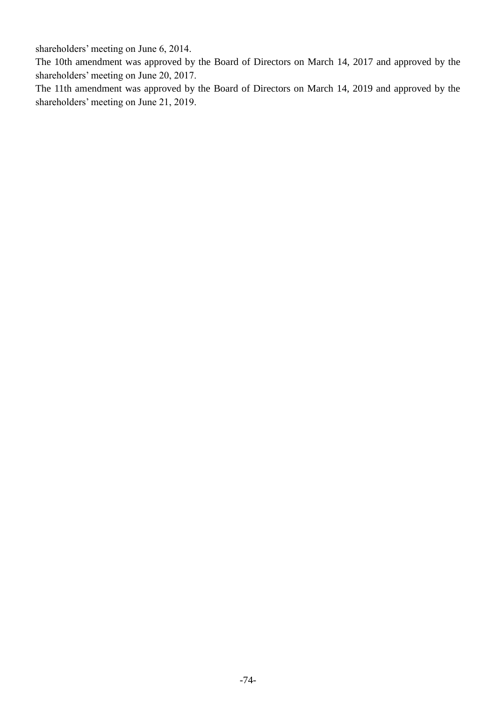shareholders' meeting on June 6, 2014.

The 10th amendment was approved by the Board of Directors on March 14, 2017 and approved by the shareholders' meeting on June 20, 2017.

The 11th amendment was approved by the Board of Directors on March 14, 2019 and approved by the shareholders' meeting on June 21, 2019.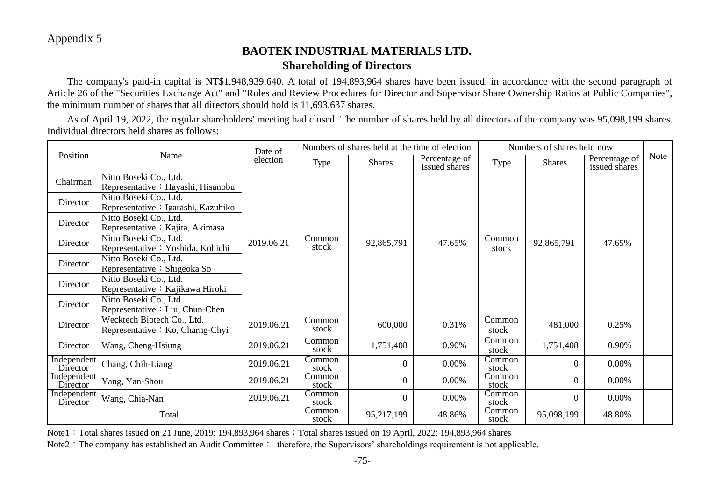## **BAOTEK INDUSTRIAL MATERIALS LTD. Shareholding of Directors**

The company's paid-in capital is NT\$1,948,939,640. A total of 194,893,964 shares have been issued, in accordance with the second paragraph of Article 26 of the "Securities Exchange Act" and "Rules and Review Procedures for Director and Supervisor Share Ownership Ratios at Public Companies", the minimum number of shares that all directors should hold is 11,693,637 shares.

As of April 19, 2022, the regular shareholders' meeting had closed. The number of shares held by all directors of the company was 95,098,199 shares. Individual directors held shares as follows:

| Position                | Name                                                           | Date of<br>election | Numbers of shares held at the time of election |                |                                | Numbers of shares held now |                |                                |             |
|-------------------------|----------------------------------------------------------------|---------------------|------------------------------------------------|----------------|--------------------------------|----------------------------|----------------|--------------------------------|-------------|
|                         |                                                                |                     | Type                                           | <b>Shares</b>  | Percentage of<br>issued shares | Type                       | <b>Shares</b>  | Percentage of<br>issued shares | <b>Note</b> |
| Chairman                | Nitto Boseki Co., Ltd.<br>Representative : Hayashi, Hisanobu   | 2019.06.21          | Common<br>stock                                | 92,865,791     | 47.65%                         | Common<br>stock            | 92,865,791     | 47.65%                         |             |
| Director                | Nitto Boseki Co., Ltd.<br>Representative : Igarashi, Kazuhiko  |                     |                                                |                |                                |                            |                |                                |             |
| Director                | Nitto Boseki Co., Ltd.<br>Representative : Kajita, Akimasa     |                     |                                                |                |                                |                            |                |                                |             |
| Director                | Nitto Boseki Co., Ltd.<br>Representative: Yoshida, Kohichi     |                     |                                                |                |                                |                            |                |                                |             |
| Director                | Nitto Boseki Co., Ltd.<br>Representative : Shigeoka So         |                     |                                                |                |                                |                            |                |                                |             |
| Director                | Nitto Boseki Co., Ltd.<br>Representative: Kajikawa Hiroki      |                     |                                                |                |                                |                            |                |                                |             |
| Director                | Nitto Boseki Co., Ltd.<br>Representative : Liu, Chun-Chen      |                     |                                                |                |                                |                            |                |                                |             |
| Director                | Wecktech Biotech Co., Ltd.<br>Representative : Ko, Charng-Chyi | 2019.06.21          | Common<br>stock                                | 600,000        | 0.31%                          | Common<br>stock            | 481,000        | 0.25%                          |             |
| Director                | Wang, Cheng-Hsiung                                             | 2019.06.21          | Common<br>stock                                | 1,751,408      | 0.90%                          | Common<br>stock            | 1,751,408      | 0.90%                          |             |
| Independent<br>Director | Chang, Chih-Liang                                              | 2019.06.21          | Common<br>stock                                | $\overline{0}$ | $0.00\%$                       | Common<br>stock            | $\overline{0}$ | 0.00%                          |             |
| Independent<br>Director | Yang, Yan-Shou                                                 | 2019.06.21          | Common<br>stock                                | $\overline{0}$ | 0.00%                          | Common<br>stock            | $\Omega$       | 0.00%                          |             |
| Independent<br>Director | Wang, Chia-Nan                                                 | 2019.06.21          | $\overline{\text{Common}}$<br>stock            | $\overline{0}$ | $0.00\%$                       | Common<br>stock            | $\overline{0}$ | 0.00%                          |             |
| Total                   |                                                                |                     | Common<br>stock                                | 95,217,199     | 48.86%                         | Common<br>stock            | 95,098,199     | 48.80%                         |             |

Note1: Total shares issued on 21 June, 2019: 194,893,964 shares; Total shares issued on 19 April, 2022: 194,893,964 shares

Note2: The company has established an Audit Committee; therefore, the Supervisors' shareholdings requirement is not applicable.